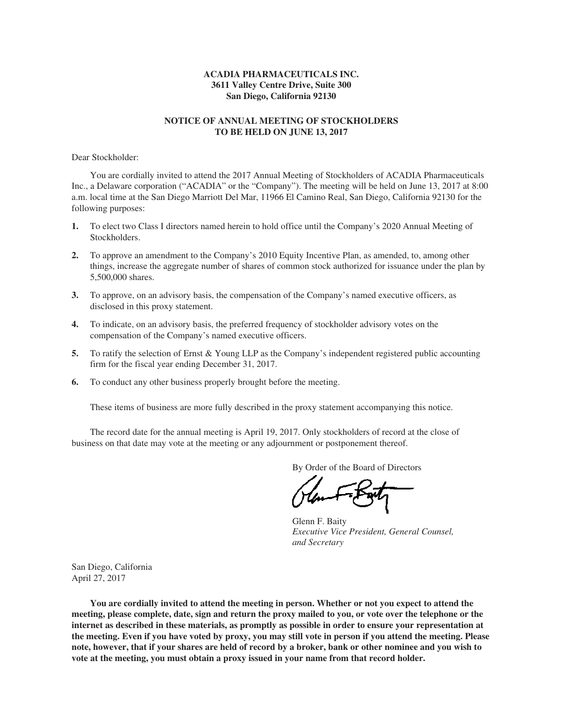# **ACADIA PHARMACEUTICALS INC. 3611 Valley Centre Drive, Suite 300 San Diego, California 92130**

# **NOTICE OF ANNUAL MEETING OF STOCKHOLDERS TO BE HELD ON JUNE 13, 2017**

Dear Stockholder:

You are cordially invited to attend the 2017 Annual Meeting of Stockholders of ACADIA Pharmaceuticals Inc., a Delaware corporation ("ACADIA" or the "Company"). The meeting will be held on June 13, 2017 at 8:00 a.m. local time at the San Diego Marriott Del Mar, 11966 El Camino Real, San Diego, California 92130 for the following purposes:

- **1.** To elect two Class I directors named herein to hold office until the Company's 2020 Annual Meeting of Stockholders.
- **2.** To approve an amendment to the Company's 2010 Equity Incentive Plan, as amended, to, among other things, increase the aggregate number of shares of common stock authorized for issuance under the plan by 5,500,000 shares.
- **3.** To approve, on an advisory basis, the compensation of the Company's named executive officers, as disclosed in this proxy statement.
- **4.** To indicate, on an advisory basis, the preferred frequency of stockholder advisory votes on the compensation of the Company's named executive officers.
- **5.** To ratify the selection of Ernst & Young LLP as the Company's independent registered public accounting firm for the fiscal year ending December 31, 2017.
- **6.** To conduct any other business properly brought before the meeting.

These items of business are more fully described in the proxy statement accompanying this notice.

The record date for the annual meeting is April 19, 2017. Only stockholders of record at the close of business on that date may vote at the meeting or any adjournment or postponement thereof.

By Order of the Board of Directors

Glenn F. Baity *Executive Vice President, General Counsel, and Secretary*

San Diego, California April 27, 2017

**You are cordially invited to attend the meeting in person. Whether or not you expect to attend the meeting, please complete, date, sign and return the proxy mailed to you, or vote over the telephone or the internet as described in these materials, as promptly as possible in order to ensure your representation at the meeting. Even if you have voted by proxy, you may still vote in person if you attend the meeting. Please note, however, that if your shares are held of record by a broker, bank or other nominee and you wish to vote at the meeting, you must obtain a proxy issued in your name from that record holder.**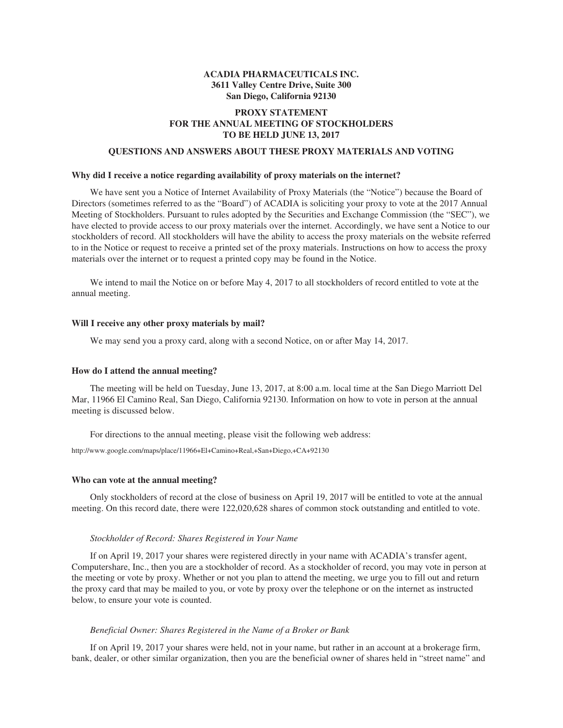# **ACADIA PHARMACEUTICALS INC. 3611 Valley Centre Drive, Suite 300 San Diego, California 92130**

# **PROXY STATEMENT FOR THE ANNUAL MEETING OF STOCKHOLDERS TO BE HELD JUNE 13, 2017**

## **QUESTIONS AND ANSWERS ABOUT THESE PROXY MATERIALS AND VOTING**

## **Why did I receive a notice regarding availability of proxy materials on the internet?**

We have sent you a Notice of Internet Availability of Proxy Materials (the "Notice") because the Board of Directors (sometimes referred to as the "Board") of ACADIA is soliciting your proxy to vote at the 2017 Annual Meeting of Stockholders. Pursuant to rules adopted by the Securities and Exchange Commission (the "SEC"), we have elected to provide access to our proxy materials over the internet. Accordingly, we have sent a Notice to our stockholders of record. All stockholders will have the ability to access the proxy materials on the website referred to in the Notice or request to receive a printed set of the proxy materials. Instructions on how to access the proxy materials over the internet or to request a printed copy may be found in the Notice.

We intend to mail the Notice on or before May 4, 2017 to all stockholders of record entitled to vote at the annual meeting.

## **Will I receive any other proxy materials by mail?**

We may send you a proxy card, along with a second Notice, on or after May 14, 2017.

## **How do I attend the annual meeting?**

The meeting will be held on Tuesday, June 13, 2017, at 8:00 a.m. local time at the San Diego Marriott Del Mar, 11966 El Camino Real, San Diego, California 92130. Information on how to vote in person at the annual meeting is discussed below.

For directions to the annual meeting, please visit the following web address:

http://www.google.com/maps/place/11966+El+Camino+Real,+San+Diego,+CA+92130

## **Who can vote at the annual meeting?**

Only stockholders of record at the close of business on April 19, 2017 will be entitled to vote at the annual meeting. On this record date, there were 122,020,628 shares of common stock outstanding and entitled to vote.

## *Stockholder of Record: Shares Registered in Your Name*

If on April 19, 2017 your shares were registered directly in your name with ACADIA's transfer agent, Computershare, Inc., then you are a stockholder of record. As a stockholder of record, you may vote in person at the meeting or vote by proxy. Whether or not you plan to attend the meeting, we urge you to fill out and return the proxy card that may be mailed to you, or vote by proxy over the telephone or on the internet as instructed below, to ensure your vote is counted.

#### *Beneficial Owner: Shares Registered in the Name of a Broker or Bank*

If on April 19, 2017 your shares were held, not in your name, but rather in an account at a brokerage firm, bank, dealer, or other similar organization, then you are the beneficial owner of shares held in "street name" and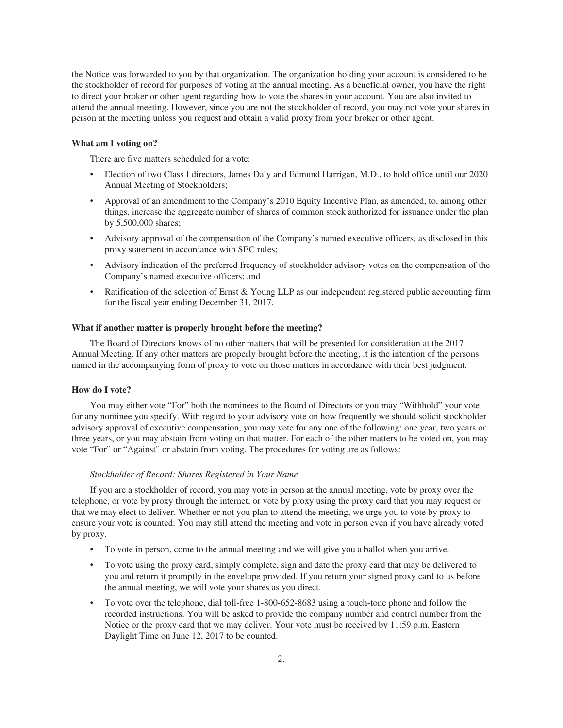the Notice was forwarded to you by that organization. The organization holding your account is considered to be the stockholder of record for purposes of voting at the annual meeting. As a beneficial owner, you have the right to direct your broker or other agent regarding how to vote the shares in your account. You are also invited to attend the annual meeting. However, since you are not the stockholder of record, you may not vote your shares in person at the meeting unless you request and obtain a valid proxy from your broker or other agent.

### **What am I voting on?**

There are five matters scheduled for a vote:

- Election of two Class I directors, James Daly and Edmund Harrigan, M.D., to hold office until our 2020 Annual Meeting of Stockholders;
- Approval of an amendment to the Company's 2010 Equity Incentive Plan, as amended, to, among other things, increase the aggregate number of shares of common stock authorized for issuance under the plan by 5,500,000 shares;
- Advisory approval of the compensation of the Company's named executive officers, as disclosed in this proxy statement in accordance with SEC rules;
- Advisory indication of the preferred frequency of stockholder advisory votes on the compensation of the Company's named executive officers; and
- Ratification of the selection of Ernst & Young LLP as our independent registered public accounting firm for the fiscal year ending December 31, 2017.

## **What if another matter is properly brought before the meeting?**

The Board of Directors knows of no other matters that will be presented for consideration at the 2017 Annual Meeting. If any other matters are properly brought before the meeting, it is the intention of the persons named in the accompanying form of proxy to vote on those matters in accordance with their best judgment.

## **How do I vote?**

You may either vote "For" both the nominees to the Board of Directors or you may "Withhold" your vote for any nominee you specify. With regard to your advisory vote on how frequently we should solicit stockholder advisory approval of executive compensation, you may vote for any one of the following: one year, two years or three years, or you may abstain from voting on that matter. For each of the other matters to be voted on, you may vote "For" or "Against" or abstain from voting. The procedures for voting are as follows:

## *Stockholder of Record: Shares Registered in Your Name*

If you are a stockholder of record, you may vote in person at the annual meeting, vote by proxy over the telephone, or vote by proxy through the internet, or vote by proxy using the proxy card that you may request or that we may elect to deliver. Whether or not you plan to attend the meeting, we urge you to vote by proxy to ensure your vote is counted. You may still attend the meeting and vote in person even if you have already voted by proxy.

- To vote in person, come to the annual meeting and we will give you a ballot when you arrive.
- To vote using the proxy card, simply complete, sign and date the proxy card that may be delivered to you and return it promptly in the envelope provided. If you return your signed proxy card to us before the annual meeting, we will vote your shares as you direct.
- To vote over the telephone, dial toll-free 1-800-652-8683 using a touch-tone phone and follow the recorded instructions. You will be asked to provide the company number and control number from the Notice or the proxy card that we may deliver. Your vote must be received by 11:59 p.m. Eastern Daylight Time on June 12, 2017 to be counted.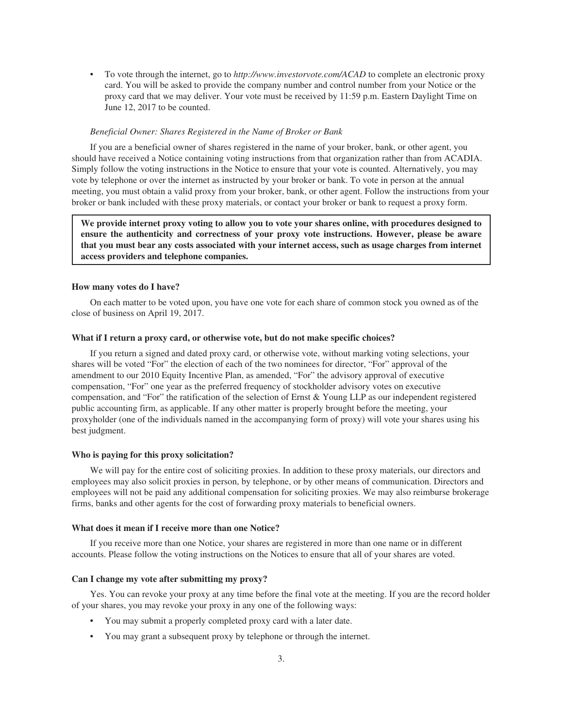• To vote through the internet, go to *http://www.investorvote.com/ACAD* to complete an electronic proxy card. You will be asked to provide the company number and control number from your Notice or the proxy card that we may deliver. Your vote must be received by 11:59 p.m. Eastern Daylight Time on June 12, 2017 to be counted.

## *Beneficial Owner: Shares Registered in the Name of Broker or Bank*

If you are a beneficial owner of shares registered in the name of your broker, bank, or other agent, you should have received a Notice containing voting instructions from that organization rather than from ACADIA. Simply follow the voting instructions in the Notice to ensure that your vote is counted. Alternatively, you may vote by telephone or over the internet as instructed by your broker or bank. To vote in person at the annual meeting, you must obtain a valid proxy from your broker, bank, or other agent. Follow the instructions from your broker or bank included with these proxy materials, or contact your broker or bank to request a proxy form.

**We provide internet proxy voting to allow you to vote your shares online, with procedures designed to ensure the authenticity and correctness of your proxy vote instructions. However, please be aware that you must bear any costs associated with your internet access, such as usage charges from internet access providers and telephone companies.**

## **How many votes do I have?**

On each matter to be voted upon, you have one vote for each share of common stock you owned as of the close of business on April 19, 2017.

## **What if I return a proxy card, or otherwise vote, but do not make specific choices?**

If you return a signed and dated proxy card, or otherwise vote, without marking voting selections, your shares will be voted "For" the election of each of the two nominees for director, "For" approval of the amendment to our 2010 Equity Incentive Plan, as amended, "For" the advisory approval of executive compensation, "For" one year as the preferred frequency of stockholder advisory votes on executive compensation, and "For" the ratification of the selection of Ernst & Young LLP as our independent registered public accounting firm, as applicable. If any other matter is properly brought before the meeting, your proxyholder (one of the individuals named in the accompanying form of proxy) will vote your shares using his best judgment.

## **Who is paying for this proxy solicitation?**

We will pay for the entire cost of soliciting proxies. In addition to these proxy materials, our directors and employees may also solicit proxies in person, by telephone, or by other means of communication. Directors and employees will not be paid any additional compensation for soliciting proxies. We may also reimburse brokerage firms, banks and other agents for the cost of forwarding proxy materials to beneficial owners.

## **What does it mean if I receive more than one Notice?**

If you receive more than one Notice, your shares are registered in more than one name or in different accounts. Please follow the voting instructions on the Notices to ensure that all of your shares are voted.

## **Can I change my vote after submitting my proxy?**

Yes. You can revoke your proxy at any time before the final vote at the meeting. If you are the record holder of your shares, you may revoke your proxy in any one of the following ways:

- You may submit a properly completed proxy card with a later date.
- You may grant a subsequent proxy by telephone or through the internet.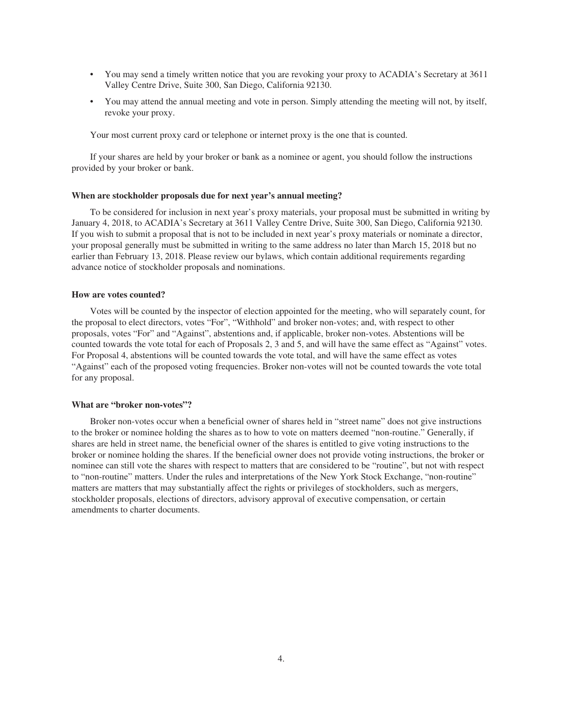- You may send a timely written notice that you are revoking your proxy to ACADIA's Secretary at 3611 Valley Centre Drive, Suite 300, San Diego, California 92130.
- You may attend the annual meeting and vote in person. Simply attending the meeting will not, by itself, revoke your proxy.

Your most current proxy card or telephone or internet proxy is the one that is counted.

If your shares are held by your broker or bank as a nominee or agent, you should follow the instructions provided by your broker or bank.

## **When are stockholder proposals due for next year's annual meeting?**

To be considered for inclusion in next year's proxy materials, your proposal must be submitted in writing by January 4, 2018, to ACADIA's Secretary at 3611 Valley Centre Drive, Suite 300, San Diego, California 92130. If you wish to submit a proposal that is not to be included in next year's proxy materials or nominate a director, your proposal generally must be submitted in writing to the same address no later than March 15, 2018 but no earlier than February 13, 2018. Please review our bylaws, which contain additional requirements regarding advance notice of stockholder proposals and nominations.

## **How are votes counted?**

Votes will be counted by the inspector of election appointed for the meeting, who will separately count, for the proposal to elect directors, votes "For", "Withhold" and broker non-votes; and, with respect to other proposals, votes "For" and "Against", abstentions and, if applicable, broker non-votes. Abstentions will be counted towards the vote total for each of Proposals 2, 3 and 5, and will have the same effect as "Against" votes. For Proposal 4, abstentions will be counted towards the vote total, and will have the same effect as votes "Against" each of the proposed voting frequencies. Broker non-votes will not be counted towards the vote total for any proposal.

#### **What are "broker non-votes"?**

Broker non-votes occur when a beneficial owner of shares held in "street name" does not give instructions to the broker or nominee holding the shares as to how to vote on matters deemed "non-routine." Generally, if shares are held in street name, the beneficial owner of the shares is entitled to give voting instructions to the broker or nominee holding the shares. If the beneficial owner does not provide voting instructions, the broker or nominee can still vote the shares with respect to matters that are considered to be "routine", but not with respect to "non-routine" matters. Under the rules and interpretations of the New York Stock Exchange, "non-routine" matters are matters that may substantially affect the rights or privileges of stockholders, such as mergers, stockholder proposals, elections of directors, advisory approval of executive compensation, or certain amendments to charter documents.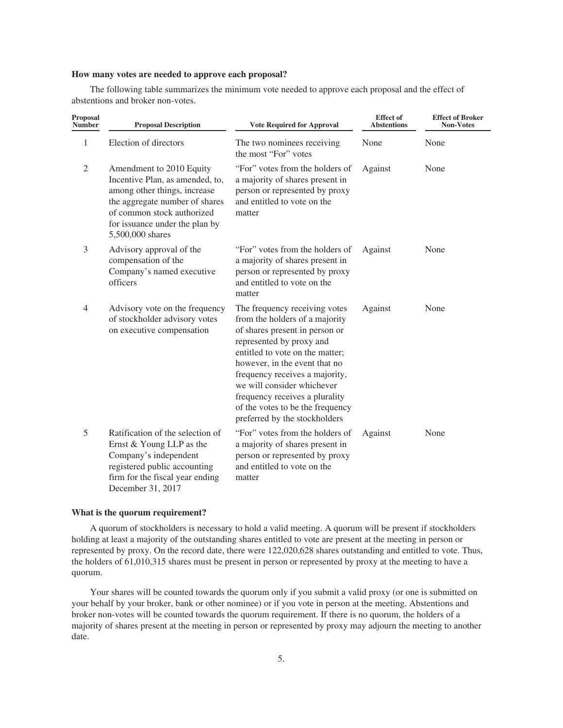## **How many votes are needed to approve each proposal?**

The following table summarizes the minimum vote needed to approve each proposal and the effect of abstentions and broker non-votes.

| Proposal<br><b>Number</b> | <b>Proposal Description</b>                                                                                                                                                                                       | <b>Vote Required for Approval</b>                                                                                                                                                                                                                                                                                                                                        | <b>Effect</b> of<br><b>Abstentions</b> | <b>Effect of Broker</b><br><b>Non-Votes</b> |
|---------------------------|-------------------------------------------------------------------------------------------------------------------------------------------------------------------------------------------------------------------|--------------------------------------------------------------------------------------------------------------------------------------------------------------------------------------------------------------------------------------------------------------------------------------------------------------------------------------------------------------------------|----------------------------------------|---------------------------------------------|
| 1                         | Election of directors                                                                                                                                                                                             | The two nominees receiving<br>the most "For" votes                                                                                                                                                                                                                                                                                                                       | None                                   | None                                        |
| $\sqrt{2}$                | Amendment to 2010 Equity<br>Incentive Plan, as amended, to,<br>among other things, increase<br>the aggregate number of shares<br>of common stock authorized<br>for issuance under the plan by<br>5,500,000 shares | "For" votes from the holders of<br>a majority of shares present in<br>person or represented by proxy<br>and entitled to vote on the<br>matter                                                                                                                                                                                                                            | Against                                | None                                        |
| 3                         | Advisory approval of the<br>compensation of the<br>Company's named executive<br>officers                                                                                                                          | "For" votes from the holders of<br>a majority of shares present in<br>person or represented by proxy<br>and entitled to vote on the<br>matter                                                                                                                                                                                                                            | Against                                | None                                        |
| $\overline{4}$            | Advisory vote on the frequency<br>of stockholder advisory votes<br>on executive compensation                                                                                                                      | The frequency receiving votes<br>from the holders of a majority<br>of shares present in person or<br>represented by proxy and<br>entitled to vote on the matter;<br>however, in the event that no<br>frequency receives a majority,<br>we will consider whichever<br>frequency receives a plurality<br>of the votes to be the frequency<br>preferred by the stockholders | Against                                | None                                        |
| 5                         | Ratification of the selection of<br>Ernst & Young LLP as the<br>Company's independent<br>registered public accounting<br>firm for the fiscal year ending<br>December 31, 2017                                     | "For" votes from the holders of<br>a majority of shares present in<br>person or represented by proxy<br>and entitled to vote on the<br>matter                                                                                                                                                                                                                            | Against                                | None                                        |

### **What is the quorum requirement?**

A quorum of stockholders is necessary to hold a valid meeting. A quorum will be present if stockholders holding at least a majority of the outstanding shares entitled to vote are present at the meeting in person or represented by proxy. On the record date, there were 122,020,628 shares outstanding and entitled to vote. Thus, the holders of 61,010,315 shares must be present in person or represented by proxy at the meeting to have a quorum.

Your shares will be counted towards the quorum only if you submit a valid proxy (or one is submitted on your behalf by your broker, bank or other nominee) or if you vote in person at the meeting. Abstentions and broker non-votes will be counted towards the quorum requirement. If there is no quorum, the holders of a majority of shares present at the meeting in person or represented by proxy may adjourn the meeting to another date.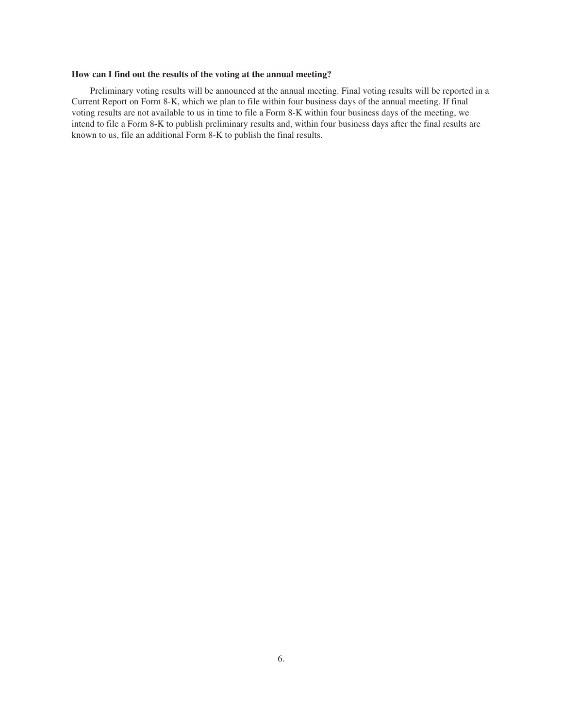# **How can I find out the results of the voting at the annual meeting?**

Preliminary voting results will be announced at the annual meeting. Final voting results will be reported in a Current Report on Form 8-K, which we plan to file within four business days of the annual meeting. If final voting results are not available to us in time to file a Form 8-K within four business days of the meeting, we intend to file a Form 8-K to publish preliminary results and, within four business days after the final results are known to us, file an additional Form 8-K to publish the final results.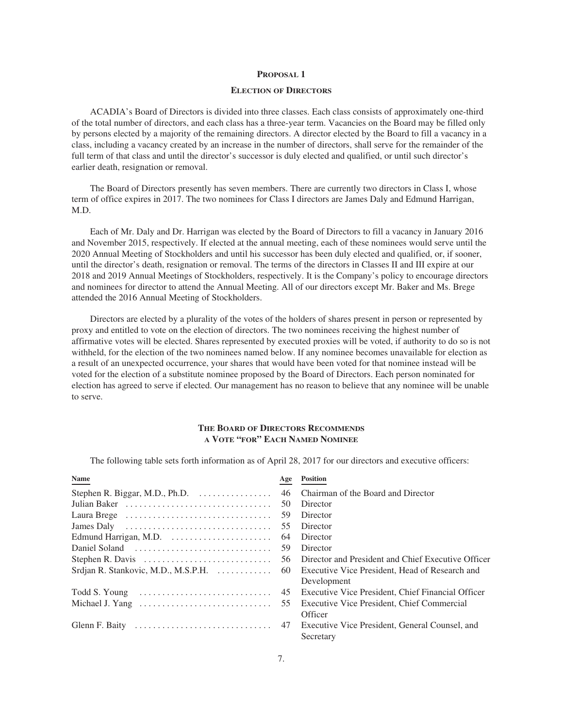## **ELECTION OF DIRECTORS**

ACADIA's Board of Directors is divided into three classes. Each class consists of approximately one-third of the total number of directors, and each class has a three-year term. Vacancies on the Board may be filled only by persons elected by a majority of the remaining directors. A director elected by the Board to fill a vacancy in a class, including a vacancy created by an increase in the number of directors, shall serve for the remainder of the full term of that class and until the director's successor is duly elected and qualified, or until such director's earlier death, resignation or removal.

The Board of Directors presently has seven members. There are currently two directors in Class I, whose term of office expires in 2017. The two nominees for Class I directors are James Daly and Edmund Harrigan, M.D.

Each of Mr. Daly and Dr. Harrigan was elected by the Board of Directors to fill a vacancy in January 2016 and November 2015, respectively. If elected at the annual meeting, each of these nominees would serve until the 2020 Annual Meeting of Stockholders and until his successor has been duly elected and qualified, or, if sooner, until the director's death, resignation or removal. The terms of the directors in Classes II and III expire at our 2018 and 2019 Annual Meetings of Stockholders, respectively. It is the Company's policy to encourage directors and nominees for director to attend the Annual Meeting. All of our directors except Mr. Baker and Ms. Brege attended the 2016 Annual Meeting of Stockholders.

Directors are elected by a plurality of the votes of the holders of shares present in person or represented by proxy and entitled to vote on the election of directors. The two nominees receiving the highest number of affirmative votes will be elected. Shares represented by executed proxies will be voted, if authority to do so is not withheld, for the election of the two nominees named below. If any nominee becomes unavailable for election as a result of an unexpected occurrence, your shares that would have been voted for that nominee instead will be voted for the election of a substitute nominee proposed by the Board of Directors. Each person nominated for election has agreed to serve if elected. Our management has no reason to believe that any nominee will be unable to serve.

# **THE BOARD OF DIRECTORS RECOMMENDS A VOTE "FOR" EACH NAMED NOMINEE**

The following table sets forth information as of April 28, 2017 for our directors and executive officers:

| Age                                                                             | <b>Position</b>                                    |
|---------------------------------------------------------------------------------|----------------------------------------------------|
| Stephen R. Biggar, M.D., Ph.D. $\ldots \ldots \ldots \ldots$<br>46              | Chairman of the Board and Director                 |
| 50                                                                              | Director                                           |
| 59                                                                              | Director                                           |
| James Daly $\dots\dots\dots\dots\dots\dots\dots\dots\dots\dots\dots\dots$<br>55 | Director                                           |
| 64                                                                              | Director                                           |
| 59                                                                              | Director                                           |
| Stephen R. Davis $\dots \dots \dots \dots \dots \dots \dots \dots \dots$<br>56  | Director and President and Chief Executive Officer |
| Srdjan R. Stankovic, M.D., M.S.P.H.<br>-60                                      | Executive Vice President, Head of Research and     |
|                                                                                 | Development                                        |
| 45                                                                              | Executive Vice President, Chief Financial Officer  |
| Michael J. Yang $\dots\dots\dots\dots\dots\dots\dots\dots\dots\dots\dots$<br>55 | Executive Vice President, Chief Commercial         |
|                                                                                 | Officer                                            |
|                                                                                 | Executive Vice President, General Counsel, and     |
|                                                                                 | Secretary                                          |
|                                                                                 |                                                    |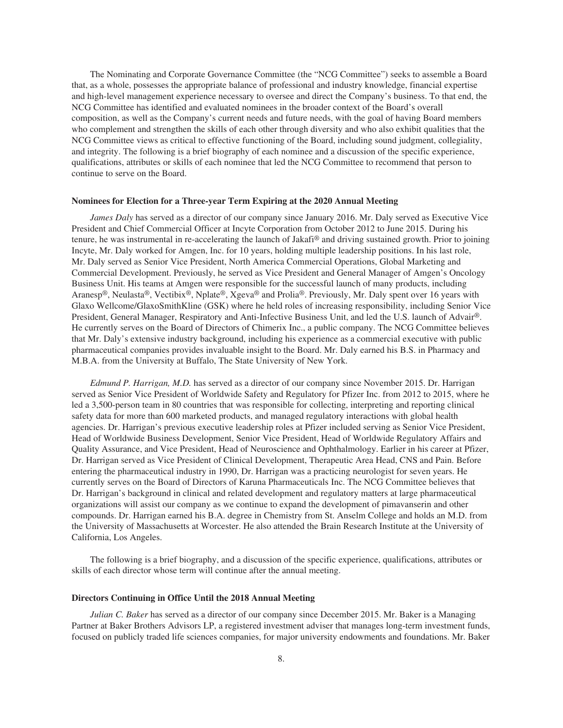The Nominating and Corporate Governance Committee (the "NCG Committee") seeks to assemble a Board that, as a whole, possesses the appropriate balance of professional and industry knowledge, financial expertise and high-level management experience necessary to oversee and direct the Company's business. To that end, the NCG Committee has identified and evaluated nominees in the broader context of the Board's overall composition, as well as the Company's current needs and future needs, with the goal of having Board members who complement and strengthen the skills of each other through diversity and who also exhibit qualities that the NCG Committee views as critical to effective functioning of the Board, including sound judgment, collegiality, and integrity. The following is a brief biography of each nominee and a discussion of the specific experience, qualifications, attributes or skills of each nominee that led the NCG Committee to recommend that person to continue to serve on the Board.

#### **Nominees for Election for a Three-year Term Expiring at the 2020 Annual Meeting**

*James Daly* has served as a director of our company since January 2016. Mr. Daly served as Executive Vice President and Chief Commercial Officer at Incyte Corporation from October 2012 to June 2015. During his tenure, he was instrumental in re-accelerating the launch of Jakafi® and driving sustained growth. Prior to joining Incyte, Mr. Daly worked for Amgen, Inc. for 10 years, holding multiple leadership positions. In his last role, Mr. Daly served as Senior Vice President, North America Commercial Operations, Global Marketing and Commercial Development. Previously, he served as Vice President and General Manager of Amgen's Oncology Business Unit. His teams at Amgen were responsible for the successful launch of many products, including Aranesp®, Neulasta®, Vectibix®, Nplate®, Xgeva® and Prolia®. Previously, Mr. Daly spent over 16 years with Glaxo Wellcome/GlaxoSmithKline (GSK) where he held roles of increasing responsibility, including Senior Vice President, General Manager, Respiratory and Anti-Infective Business Unit, and led the U.S. launch of Advair®. He currently serves on the Board of Directors of Chimerix Inc., a public company. The NCG Committee believes that Mr. Daly's extensive industry background, including his experience as a commercial executive with public pharmaceutical companies provides invaluable insight to the Board. Mr. Daly earned his B.S. in Pharmacy and M.B.A. from the University at Buffalo, The State University of New York.

*Edmund P. Harrigan, M.D.* has served as a director of our company since November 2015. Dr. Harrigan served as Senior Vice President of Worldwide Safety and Regulatory for Pfizer Inc. from 2012 to 2015, where he led a 3,500-person team in 80 countries that was responsible for collecting, interpreting and reporting clinical safety data for more than 600 marketed products, and managed regulatory interactions with global health agencies. Dr. Harrigan's previous executive leadership roles at Pfizer included serving as Senior Vice President, Head of Worldwide Business Development, Senior Vice President, Head of Worldwide Regulatory Affairs and Quality Assurance, and Vice President, Head of Neuroscience and Ophthalmology. Earlier in his career at Pfizer, Dr. Harrigan served as Vice President of Clinical Development, Therapeutic Area Head, CNS and Pain. Before entering the pharmaceutical industry in 1990, Dr. Harrigan was a practicing neurologist for seven years. He currently serves on the Board of Directors of Karuna Pharmaceuticals Inc. The NCG Committee believes that Dr. Harrigan's background in clinical and related development and regulatory matters at large pharmaceutical organizations will assist our company as we continue to expand the development of pimavanserin and other compounds. Dr. Harrigan earned his B.A. degree in Chemistry from St. Anselm College and holds an M.D. from the University of Massachusetts at Worcester. He also attended the Brain Research Institute at the University of California, Los Angeles.

The following is a brief biography, and a discussion of the specific experience, qualifications, attributes or skills of each director whose term will continue after the annual meeting.

## **Directors Continuing in Office Until the 2018 Annual Meeting**

*Julian C. Baker* has served as a director of our company since December 2015. Mr. Baker is a Managing Partner at Baker Brothers Advisors LP, a registered investment adviser that manages long-term investment funds, focused on publicly traded life sciences companies, for major university endowments and foundations. Mr. Baker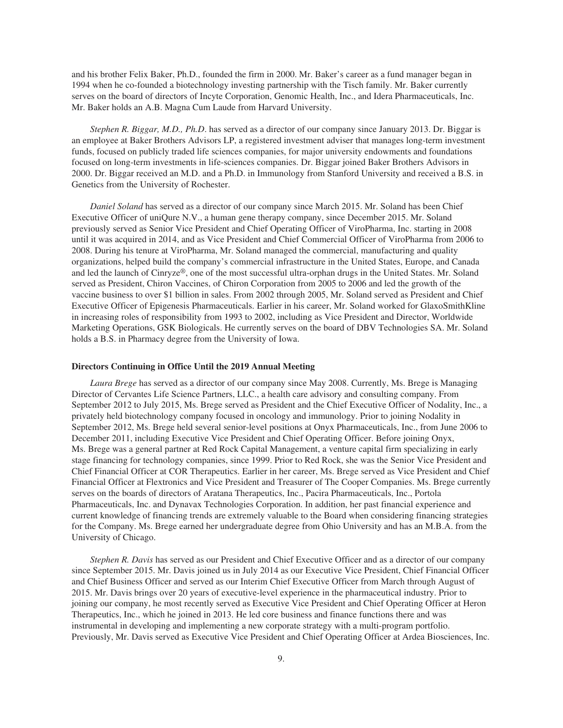and his brother Felix Baker, Ph.D., founded the firm in 2000. Mr. Baker's career as a fund manager began in 1994 when he co-founded a biotechnology investing partnership with the Tisch family. Mr. Baker currently serves on the board of directors of Incyte Corporation, Genomic Health, Inc., and Idera Pharmaceuticals, Inc. Mr. Baker holds an A.B. Magna Cum Laude from Harvard University.

*Stephen R. Biggar, M.D., Ph.D*. has served as a director of our company since January 2013. Dr. Biggar is an employee at Baker Brothers Advisors LP, a registered investment adviser that manages long-term investment funds, focused on publicly traded life sciences companies, for major university endowments and foundations focused on long-term investments in life-sciences companies. Dr. Biggar joined Baker Brothers Advisors in 2000. Dr. Biggar received an M.D. and a Ph.D. in Immunology from Stanford University and received a B.S. in Genetics from the University of Rochester.

*Daniel Soland* has served as a director of our company since March 2015. Mr. Soland has been Chief Executive Officer of uniQure N.V., a human gene therapy company, since December 2015. Mr. Soland previously served as Senior Vice President and Chief Operating Officer of ViroPharma, Inc. starting in 2008 until it was acquired in 2014, and as Vice President and Chief Commercial Officer of ViroPharma from 2006 to 2008. During his tenure at ViroPharma, Mr. Soland managed the commercial, manufacturing and quality organizations, helped build the company's commercial infrastructure in the United States, Europe, and Canada and led the launch of Cinryze®, one of the most successful ultra-orphan drugs in the United States. Mr. Soland served as President, Chiron Vaccines, of Chiron Corporation from 2005 to 2006 and led the growth of the vaccine business to over \$1 billion in sales. From 2002 through 2005, Mr. Soland served as President and Chief Executive Officer of Epigenesis Pharmaceuticals. Earlier in his career, Mr. Soland worked for GlaxoSmithKline in increasing roles of responsibility from 1993 to 2002, including as Vice President and Director, Worldwide Marketing Operations, GSK Biologicals. He currently serves on the board of DBV Technologies SA. Mr. Soland holds a B.S. in Pharmacy degree from the University of Iowa.

## **Directors Continuing in Office Until the 2019 Annual Meeting**

*Laura Brege* has served as a director of our company since May 2008. Currently, Ms. Brege is Managing Director of Cervantes Life Science Partners, LLC., a health care advisory and consulting company. From September 2012 to July 2015, Ms. Brege served as President and the Chief Executive Officer of Nodality, Inc., a privately held biotechnology company focused in oncology and immunology. Prior to joining Nodality in September 2012, Ms. Brege held several senior-level positions at Onyx Pharmaceuticals, Inc., from June 2006 to December 2011, including Executive Vice President and Chief Operating Officer. Before joining Onyx, Ms. Brege was a general partner at Red Rock Capital Management, a venture capital firm specializing in early stage financing for technology companies, since 1999. Prior to Red Rock, she was the Senior Vice President and Chief Financial Officer at COR Therapeutics. Earlier in her career, Ms. Brege served as Vice President and Chief Financial Officer at Flextronics and Vice President and Treasurer of The Cooper Companies. Ms. Brege currently serves on the boards of directors of Aratana Therapeutics, Inc., Pacira Pharmaceuticals, Inc., Portola Pharmaceuticals, Inc. and Dynavax Technologies Corporation. In addition, her past financial experience and current knowledge of financing trends are extremely valuable to the Board when considering financing strategies for the Company. Ms. Brege earned her undergraduate degree from Ohio University and has an M.B.A. from the University of Chicago.

*Stephen R. Davis* has served as our President and Chief Executive Officer and as a director of our company since September 2015. Mr. Davis joined us in July 2014 as our Executive Vice President, Chief Financial Officer and Chief Business Officer and served as our Interim Chief Executive Officer from March through August of 2015. Mr. Davis brings over 20 years of executive-level experience in the pharmaceutical industry. Prior to joining our company, he most recently served as Executive Vice President and Chief Operating Officer at Heron Therapeutics, Inc., which he joined in 2013. He led core business and finance functions there and was instrumental in developing and implementing a new corporate strategy with a multi-program portfolio. Previously, Mr. Davis served as Executive Vice President and Chief Operating Officer at Ardea Biosciences, Inc.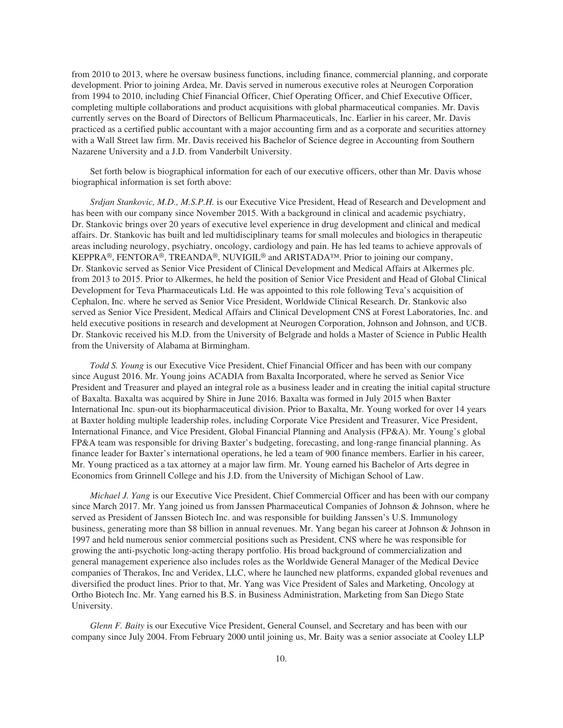from 2010 to 2013, where he oversaw business functions, including finance, commercial planning, and corporate development. Prior to joining Ardea, Mr. Davis served in numerous executive roles at Neurogen Corporation from 1994 to 2010, including Chief Financial Officer, Chief Operating Officer, and Chief Executive Officer, completing multiple collaborations and product acquisitions with global pharmaceutical companies. Mr. Davis currently serves on the Board of Directors of Bellicum Pharmaceuticals, Inc. Earlier in his career, Mr. Davis practiced as a certified public accountant with a major accounting firm and as a corporate and securities attorney with a Wall Street law firm. Mr. Davis received his Bachelor of Science degree in Accounting from Southern Nazarene University and a J.D. from Vanderbilt University.

Set forth below is biographical information for each of our executive officers, other than Mr. Davis whose biographical information is set forth above:

*Srdjan Stankovic, M.D., M.S.P.H.* is our Executive Vice President, Head of Research and Development and has been with our company since November 2015. With a background in clinical and academic psychiatry, Dr. Stankovic brings over 20 years of executive level experience in drug development and clinical and medical affairs. Dr. Stankovic has built and led multidisciplinary teams for small molecules and biologics in therapeutic areas including neurology, psychiatry, oncology, cardiology and pain. He has led teams to achieve approvals of KEPPRA®, FENTORA®, TREANDA®, NUVIGIL® and ARISTADA™. Prior to joining our company, Dr. Stankovic served as Senior Vice President of Clinical Development and Medical Affairs at Alkermes plc. from 2013 to 2015. Prior to Alkermes, he held the position of Senior Vice President and Head of Global Clinical Development for Teva Pharmaceuticals Ltd. He was appointed to this role following Teva's acquisition of Cephalon, Inc. where he served as Senior Vice President, Worldwide Clinical Research. Dr. Stankovic also served as Senior Vice President, Medical Affairs and Clinical Development CNS at Forest Laboratories, Inc. and held executive positions in research and development at Neurogen Corporation, Johnson and Johnson, and UCB. Dr. Stankovic received his M.D. from the University of Belgrade and holds a Master of Science in Public Health from the University of Alabama at Birmingham.

*Todd S. Young* is our Executive Vice President, Chief Financial Officer and has been with our company since August 2016. Mr. Young joins ACADIA from Baxalta Incorporated, where he served as Senior Vice President and Treasurer and played an integral role as a business leader and in creating the initial capital structure of Baxalta. Baxalta was acquired by Shire in June 2016. Baxalta was formed in July 2015 when Baxter International Inc. spun-out its biopharmaceutical division. Prior to Baxalta, Mr. Young worked for over 14 years at Baxter holding multiple leadership roles, including Corporate Vice President and Treasurer, Vice President, International Finance, and Vice President, Global Financial Planning and Analysis (FP&A). Mr. Young's global FP&A team was responsible for driving Baxter's budgeting, forecasting, and long-range financial planning. As finance leader for Baxter's international operations, he led a team of 900 finance members. Earlier in his career, Mr. Young practiced as a tax attorney at a major law firm. Mr. Young earned his Bachelor of Arts degree in Economics from Grinnell College and his J.D. from the University of Michigan School of Law.

*Michael J. Yang* is our Executive Vice President, Chief Commercial Officer and has been with our company since March 2017. Mr. Yang joined us from Janssen Pharmaceutical Companies of Johnson & Johnson, where he served as President of Janssen Biotech Inc. and was responsible for building Janssen's U.S. Immunology business, generating more than \$8 billion in annual revenues. Mr. Yang began his career at Johnson & Johnson in 1997 and held numerous senior commercial positions such as President, CNS where he was responsible for growing the anti-psychotic long-acting therapy portfolio. His broad background of commercialization and general management experience also includes roles as the Worldwide General Manager of the Medical Device companies of Therakos, Inc and Veridex, LLC, where he launched new platforms, expanded global revenues and diversified the product lines. Prior to that, Mr. Yang was Vice President of Sales and Marketing, Oncology at Ortho Biotech Inc. Mr. Yang earned his B.S. in Business Administration, Marketing from San Diego State University.

*Glenn F. Baity* is our Executive Vice President, General Counsel, and Secretary and has been with our company since July 2004. From February 2000 until joining us, Mr. Baity was a senior associate at Cooley LLP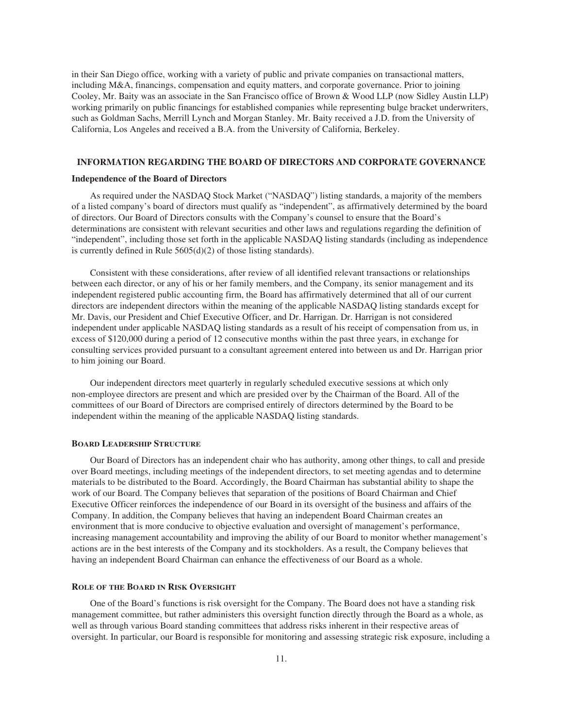in their San Diego office, working with a variety of public and private companies on transactional matters, including M&A, financings, compensation and equity matters, and corporate governance. Prior to joining Cooley, Mr. Baity was an associate in the San Francisco office of Brown & Wood LLP (now Sidley Austin LLP) working primarily on public financings for established companies while representing bulge bracket underwriters, such as Goldman Sachs, Merrill Lynch and Morgan Stanley. Mr. Baity received a J.D. from the University of California, Los Angeles and received a B.A. from the University of California, Berkeley.

## **INFORMATION REGARDING THE BOARD OF DIRECTORS AND CORPORATE GOVERNANCE**

#### **Independence of the Board of Directors**

As required under the NASDAQ Stock Market ("NASDAQ") listing standards, a majority of the members of a listed company's board of directors must qualify as "independent", as affirmatively determined by the board of directors. Our Board of Directors consults with the Company's counsel to ensure that the Board's determinations are consistent with relevant securities and other laws and regulations regarding the definition of "independent", including those set forth in the applicable NASDAQ listing standards (including as independence is currently defined in Rule 5605(d)(2) of those listing standards).

Consistent with these considerations, after review of all identified relevant transactions or relationships between each director, or any of his or her family members, and the Company, its senior management and its independent registered public accounting firm, the Board has affirmatively determined that all of our current directors are independent directors within the meaning of the applicable NASDAQ listing standards except for Mr. Davis, our President and Chief Executive Officer, and Dr. Harrigan. Dr. Harrigan is not considered independent under applicable NASDAQ listing standards as a result of his receipt of compensation from us, in excess of \$120,000 during a period of 12 consecutive months within the past three years, in exchange for consulting services provided pursuant to a consultant agreement entered into between us and Dr. Harrigan prior to him joining our Board.

Our independent directors meet quarterly in regularly scheduled executive sessions at which only non-employee directors are present and which are presided over by the Chairman of the Board. All of the committees of our Board of Directors are comprised entirely of directors determined by the Board to be independent within the meaning of the applicable NASDAQ listing standards.

## **BOARD LEADERSHIP STRUCTURE**

Our Board of Directors has an independent chair who has authority, among other things, to call and preside over Board meetings, including meetings of the independent directors, to set meeting agendas and to determine materials to be distributed to the Board. Accordingly, the Board Chairman has substantial ability to shape the work of our Board. The Company believes that separation of the positions of Board Chairman and Chief Executive Officer reinforces the independence of our Board in its oversight of the business and affairs of the Company. In addition, the Company believes that having an independent Board Chairman creates an environment that is more conducive to objective evaluation and oversight of management's performance, increasing management accountability and improving the ability of our Board to monitor whether management's actions are in the best interests of the Company and its stockholders. As a result, the Company believes that having an independent Board Chairman can enhance the effectiveness of our Board as a whole.

#### **ROLE OF THE BOARD IN RISK OVERSIGHT**

One of the Board's functions is risk oversight for the Company. The Board does not have a standing risk management committee, but rather administers this oversight function directly through the Board as a whole, as well as through various Board standing committees that address risks inherent in their respective areas of oversight. In particular, our Board is responsible for monitoring and assessing strategic risk exposure, including a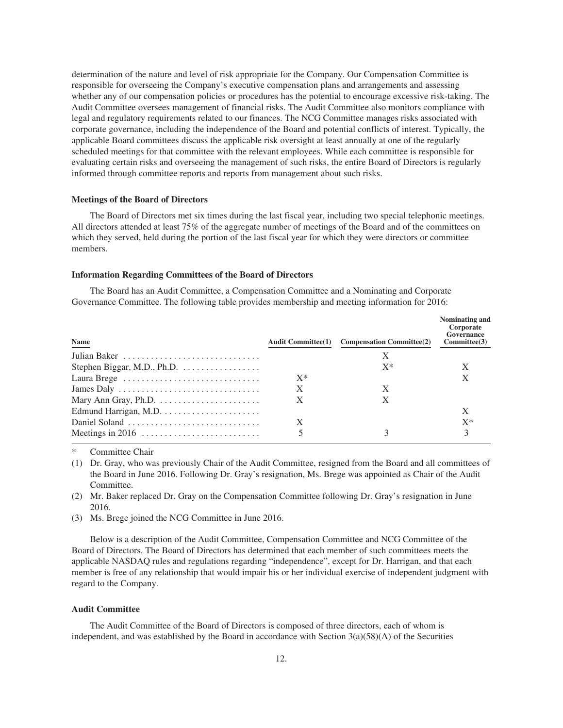determination of the nature and level of risk appropriate for the Company. Our Compensation Committee is responsible for overseeing the Company's executive compensation plans and arrangements and assessing whether any of our compensation policies or procedures has the potential to encourage excessive risk-taking. The Audit Committee oversees management of financial risks. The Audit Committee also monitors compliance with legal and regulatory requirements related to our finances. The NCG Committee manages risks associated with corporate governance, including the independence of the Board and potential conflicts of interest. Typically, the applicable Board committees discuss the applicable risk oversight at least annually at one of the regularly scheduled meetings for that committee with the relevant employees. While each committee is responsible for evaluating certain risks and overseeing the management of such risks, the entire Board of Directors is regularly informed through committee reports and reports from management about such risks.

## **Meetings of the Board of Directors**

The Board of Directors met six times during the last fiscal year, including two special telephonic meetings. All directors attended at least 75% of the aggregate number of meetings of the Board and of the committees on which they served, held during the portion of the last fiscal year for which they were directors or committee members.

#### **Information Regarding Committees of the Board of Directors**

The Board has an Audit Committee, a Compensation Committee and a Nominating and Corporate Governance Committee. The following table provides membership and meeting information for 2016:

| <b>Name</b>                                                              | <b>Audit Committee(1)</b> | <b>Compensation Committee(2)</b> | Nominating and<br>Corporate<br>Governance<br>Commitee(3) |
|--------------------------------------------------------------------------|---------------------------|----------------------------------|----------------------------------------------------------|
|                                                                          |                           | X                                |                                                          |
|                                                                          |                           | $X^*$                            |                                                          |
| Laura Brege                                                              | $X^*$                     |                                  |                                                          |
| James Daly $\dots \dots \dots \dots \dots \dots \dots \dots \dots \dots$ | X                         | X                                |                                                          |
| Mary Ann Gray, Ph.D. $\dots \dots \dots \dots \dots \dots \dots$         | X                         | X                                |                                                          |
|                                                                          |                           |                                  | X                                                        |
| Daniel Soland                                                            | Х                         |                                  | $X^*$                                                    |
| Meetings in 2016 $\dots \dots \dots \dots \dots \dots \dots \dots$       |                           |                                  |                                                          |

Committee Chair

(1) Dr. Gray, who was previously Chair of the Audit Committee, resigned from the Board and all committees of the Board in June 2016. Following Dr. Gray's resignation, Ms. Brege was appointed as Chair of the Audit Committee.

- (2) Mr. Baker replaced Dr. Gray on the Compensation Committee following Dr. Gray's resignation in June 2016.
- (3) Ms. Brege joined the NCG Committee in June 2016.

Below is a description of the Audit Committee, Compensation Committee and NCG Committee of the Board of Directors. The Board of Directors has determined that each member of such committees meets the applicable NASDAQ rules and regulations regarding "independence", except for Dr. Harrigan, and that each member is free of any relationship that would impair his or her individual exercise of independent judgment with regard to the Company.

#### **Audit Committee**

The Audit Committee of the Board of Directors is composed of three directors, each of whom is independent, and was established by the Board in accordance with Section  $3(a)(58)(A)$  of the Securities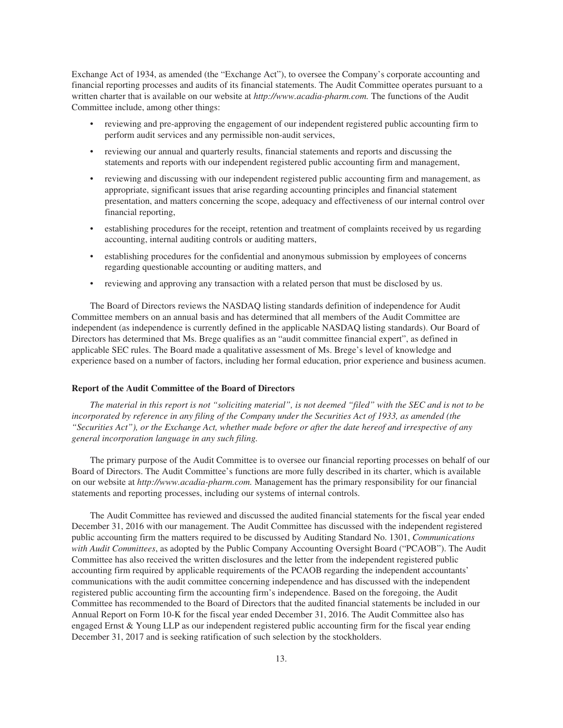Exchange Act of 1934, as amended (the "Exchange Act"), to oversee the Company's corporate accounting and financial reporting processes and audits of its financial statements. The Audit Committee operates pursuant to a written charter that is available on our website at *http://www.acadia-pharm.com.* The functions of the Audit Committee include, among other things:

- reviewing and pre-approving the engagement of our independent registered public accounting firm to perform audit services and any permissible non-audit services,
- reviewing our annual and quarterly results, financial statements and reports and discussing the statements and reports with our independent registered public accounting firm and management,
- reviewing and discussing with our independent registered public accounting firm and management, as appropriate, significant issues that arise regarding accounting principles and financial statement presentation, and matters concerning the scope, adequacy and effectiveness of our internal control over financial reporting,
- establishing procedures for the receipt, retention and treatment of complaints received by us regarding accounting, internal auditing controls or auditing matters,
- establishing procedures for the confidential and anonymous submission by employees of concerns regarding questionable accounting or auditing matters, and
- reviewing and approving any transaction with a related person that must be disclosed by us.

The Board of Directors reviews the NASDAQ listing standards definition of independence for Audit Committee members on an annual basis and has determined that all members of the Audit Committee are independent (as independence is currently defined in the applicable NASDAQ listing standards). Our Board of Directors has determined that Ms. Brege qualifies as an "audit committee financial expert", as defined in applicable SEC rules. The Board made a qualitative assessment of Ms. Brege's level of knowledge and experience based on a number of factors, including her formal education, prior experience and business acumen.

## **Report of the Audit Committee of the Board of Directors**

*The material in this report is not "soliciting material", is not deemed "filed" with the SEC and is not to be incorporated by reference in any filing of the Company under the Securities Act of 1933, as amended (the "Securities Act"), or the Exchange Act, whether made before or after the date hereof and irrespective of any general incorporation language in any such filing.*

The primary purpose of the Audit Committee is to oversee our financial reporting processes on behalf of our Board of Directors. The Audit Committee's functions are more fully described in its charter, which is available on our website at *http://www.acadia-pharm.com.* Management has the primary responsibility for our financial statements and reporting processes, including our systems of internal controls.

The Audit Committee has reviewed and discussed the audited financial statements for the fiscal year ended December 31, 2016 with our management. The Audit Committee has discussed with the independent registered public accounting firm the matters required to be discussed by Auditing Standard No. 1301, *Communications with Audit Committees*, as adopted by the Public Company Accounting Oversight Board ("PCAOB"). The Audit Committee has also received the written disclosures and the letter from the independent registered public accounting firm required by applicable requirements of the PCAOB regarding the independent accountants' communications with the audit committee concerning independence and has discussed with the independent registered public accounting firm the accounting firm's independence. Based on the foregoing, the Audit Committee has recommended to the Board of Directors that the audited financial statements be included in our Annual Report on Form 10-K for the fiscal year ended December 31, 2016. The Audit Committee also has engaged Ernst & Young LLP as our independent registered public accounting firm for the fiscal year ending December 31, 2017 and is seeking ratification of such selection by the stockholders.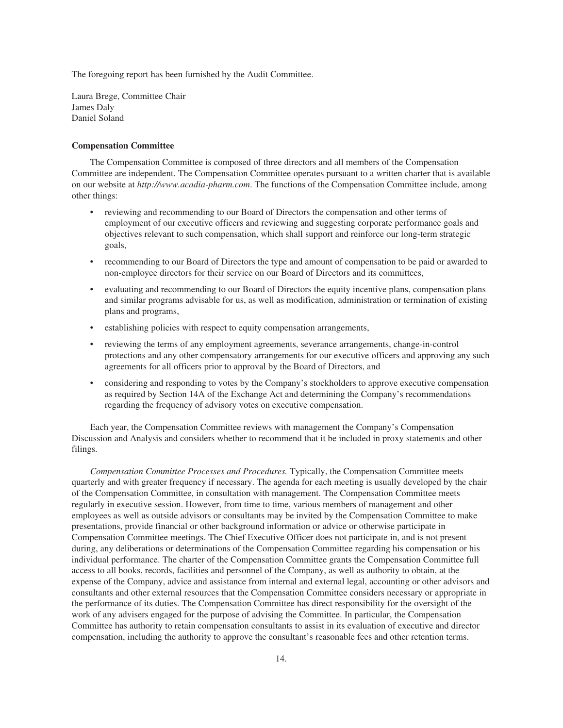The foregoing report has been furnished by the Audit Committee.

Laura Brege, Committee Chair James Daly Daniel Soland

## **Compensation Committee**

The Compensation Committee is composed of three directors and all members of the Compensation Committee are independent. The Compensation Committee operates pursuant to a written charter that is available on our website at *http://www.acadia-pharm.com*. The functions of the Compensation Committee include, among other things:

- reviewing and recommending to our Board of Directors the compensation and other terms of employment of our executive officers and reviewing and suggesting corporate performance goals and objectives relevant to such compensation, which shall support and reinforce our long-term strategic goals,
- recommending to our Board of Directors the type and amount of compensation to be paid or awarded to non-employee directors for their service on our Board of Directors and its committees,
- evaluating and recommending to our Board of Directors the equity incentive plans, compensation plans and similar programs advisable for us, as well as modification, administration or termination of existing plans and programs,
- establishing policies with respect to equity compensation arrangements,
- reviewing the terms of any employment agreements, severance arrangements, change-in-control protections and any other compensatory arrangements for our executive officers and approving any such agreements for all officers prior to approval by the Board of Directors, and
- considering and responding to votes by the Company's stockholders to approve executive compensation as required by Section 14A of the Exchange Act and determining the Company's recommendations regarding the frequency of advisory votes on executive compensation.

Each year, the Compensation Committee reviews with management the Company's Compensation Discussion and Analysis and considers whether to recommend that it be included in proxy statements and other filings.

*Compensation Committee Processes and Procedures.* Typically, the Compensation Committee meets quarterly and with greater frequency if necessary. The agenda for each meeting is usually developed by the chair of the Compensation Committee, in consultation with management. The Compensation Committee meets regularly in executive session. However, from time to time, various members of management and other employees as well as outside advisors or consultants may be invited by the Compensation Committee to make presentations, provide financial or other background information or advice or otherwise participate in Compensation Committee meetings. The Chief Executive Officer does not participate in, and is not present during, any deliberations or determinations of the Compensation Committee regarding his compensation or his individual performance. The charter of the Compensation Committee grants the Compensation Committee full access to all books, records, facilities and personnel of the Company, as well as authority to obtain, at the expense of the Company, advice and assistance from internal and external legal, accounting or other advisors and consultants and other external resources that the Compensation Committee considers necessary or appropriate in the performance of its duties. The Compensation Committee has direct responsibility for the oversight of the work of any advisers engaged for the purpose of advising the Committee. In particular, the Compensation Committee has authority to retain compensation consultants to assist in its evaluation of executive and director compensation, including the authority to approve the consultant's reasonable fees and other retention terms.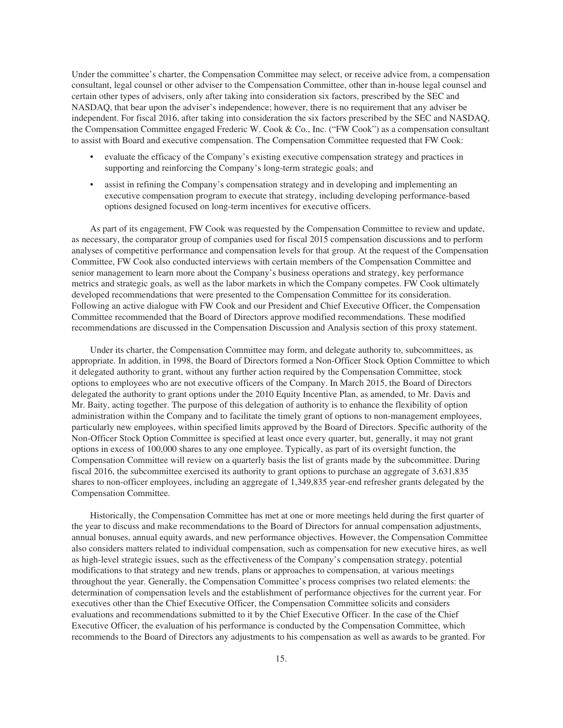Under the committee's charter, the Compensation Committee may select, or receive advice from, a compensation consultant, legal counsel or other adviser to the Compensation Committee, other than in-house legal counsel and certain other types of advisers, only after taking into consideration six factors, prescribed by the SEC and NASDAQ, that bear upon the adviser's independence; however, there is no requirement that any adviser be independent. For fiscal 2016, after taking into consideration the six factors prescribed by the SEC and NASDAQ, the Compensation Committee engaged Frederic W. Cook & Co., Inc. ("FW Cook") as a compensation consultant to assist with Board and executive compensation. The Compensation Committee requested that FW Cook:

- evaluate the efficacy of the Company's existing executive compensation strategy and practices in supporting and reinforcing the Company's long-term strategic goals; and
- assist in refining the Company's compensation strategy and in developing and implementing an executive compensation program to execute that strategy, including developing performance-based options designed focused on long-term incentives for executive officers.

As part of its engagement, FW Cook was requested by the Compensation Committee to review and update, as necessary, the comparator group of companies used for fiscal 2015 compensation discussions and to perform analyses of competitive performance and compensation levels for that group. At the request of the Compensation Committee, FW Cook also conducted interviews with certain members of the Compensation Committee and senior management to learn more about the Company's business operations and strategy, key performance metrics and strategic goals, as well as the labor markets in which the Company competes. FW Cook ultimately developed recommendations that were presented to the Compensation Committee for its consideration. Following an active dialogue with FW Cook and our President and Chief Executive Officer, the Compensation Committee recommended that the Board of Directors approve modified recommendations. These modified recommendations are discussed in the Compensation Discussion and Analysis section of this proxy statement.

Under its charter, the Compensation Committee may form, and delegate authority to, subcommittees, as appropriate. In addition, in 1998, the Board of Directors formed a Non-Officer Stock Option Committee to which it delegated authority to grant, without any further action required by the Compensation Committee, stock options to employees who are not executive officers of the Company. In March 2015, the Board of Directors delegated the authority to grant options under the 2010 Equity Incentive Plan, as amended, to Mr. Davis and Mr. Baity, acting together. The purpose of this delegation of authority is to enhance the flexibility of option administration within the Company and to facilitate the timely grant of options to non-management employees, particularly new employees, within specified limits approved by the Board of Directors. Specific authority of the Non-Officer Stock Option Committee is specified at least once every quarter, but, generally, it may not grant options in excess of 100,000 shares to any one employee. Typically, as part of its oversight function, the Compensation Committee will review on a quarterly basis the list of grants made by the subcommittee. During fiscal 2016, the subcommittee exercised its authority to grant options to purchase an aggregate of 3,631,835 shares to non-officer employees, including an aggregate of 1,349,835 year-end refresher grants delegated by the Compensation Committee.

Historically, the Compensation Committee has met at one or more meetings held during the first quarter of the year to discuss and make recommendations to the Board of Directors for annual compensation adjustments, annual bonuses, annual equity awards, and new performance objectives. However, the Compensation Committee also considers matters related to individual compensation, such as compensation for new executive hires, as well as high-level strategic issues, such as the effectiveness of the Company's compensation strategy, potential modifications to that strategy and new trends, plans or approaches to compensation, at various meetings throughout the year. Generally, the Compensation Committee's process comprises two related elements: the determination of compensation levels and the establishment of performance objectives for the current year. For executives other than the Chief Executive Officer, the Compensation Committee solicits and considers evaluations and recommendations submitted to it by the Chief Executive Officer. In the case of the Chief Executive Officer, the evaluation of his performance is conducted by the Compensation Committee, which recommends to the Board of Directors any adjustments to his compensation as well as awards to be granted. For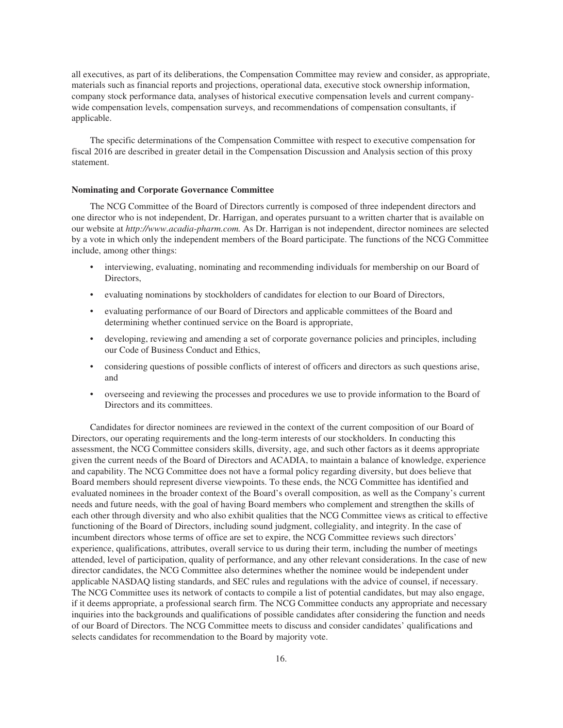all executives, as part of its deliberations, the Compensation Committee may review and consider, as appropriate, materials such as financial reports and projections, operational data, executive stock ownership information, company stock performance data, analyses of historical executive compensation levels and current companywide compensation levels, compensation surveys, and recommendations of compensation consultants, if applicable.

The specific determinations of the Compensation Committee with respect to executive compensation for fiscal 2016 are described in greater detail in the Compensation Discussion and Analysis section of this proxy statement.

## **Nominating and Corporate Governance Committee**

The NCG Committee of the Board of Directors currently is composed of three independent directors and one director who is not independent, Dr. Harrigan, and operates pursuant to a written charter that is available on our website at *http://www.acadia-pharm.com.* As Dr. Harrigan is not independent, director nominees are selected by a vote in which only the independent members of the Board participate. The functions of the NCG Committee include, among other things:

- interviewing, evaluating, nominating and recommending individuals for membership on our Board of Directors,
- evaluating nominations by stockholders of candidates for election to our Board of Directors,
- evaluating performance of our Board of Directors and applicable committees of the Board and determining whether continued service on the Board is appropriate,
- developing, reviewing and amending a set of corporate governance policies and principles, including our Code of Business Conduct and Ethics,
- considering questions of possible conflicts of interest of officers and directors as such questions arise, and
- overseeing and reviewing the processes and procedures we use to provide information to the Board of Directors and its committees.

Candidates for director nominees are reviewed in the context of the current composition of our Board of Directors, our operating requirements and the long-term interests of our stockholders. In conducting this assessment, the NCG Committee considers skills, diversity, age, and such other factors as it deems appropriate given the current needs of the Board of Directors and ACADIA, to maintain a balance of knowledge, experience and capability. The NCG Committee does not have a formal policy regarding diversity, but does believe that Board members should represent diverse viewpoints. To these ends, the NCG Committee has identified and evaluated nominees in the broader context of the Board's overall composition, as well as the Company's current needs and future needs, with the goal of having Board members who complement and strengthen the skills of each other through diversity and who also exhibit qualities that the NCG Committee views as critical to effective functioning of the Board of Directors, including sound judgment, collegiality, and integrity. In the case of incumbent directors whose terms of office are set to expire, the NCG Committee reviews such directors' experience, qualifications, attributes, overall service to us during their term, including the number of meetings attended, level of participation, quality of performance, and any other relevant considerations. In the case of new director candidates, the NCG Committee also determines whether the nominee would be independent under applicable NASDAQ listing standards, and SEC rules and regulations with the advice of counsel, if necessary. The NCG Committee uses its network of contacts to compile a list of potential candidates, but may also engage, if it deems appropriate, a professional search firm. The NCG Committee conducts any appropriate and necessary inquiries into the backgrounds and qualifications of possible candidates after considering the function and needs of our Board of Directors. The NCG Committee meets to discuss and consider candidates' qualifications and selects candidates for recommendation to the Board by majority vote.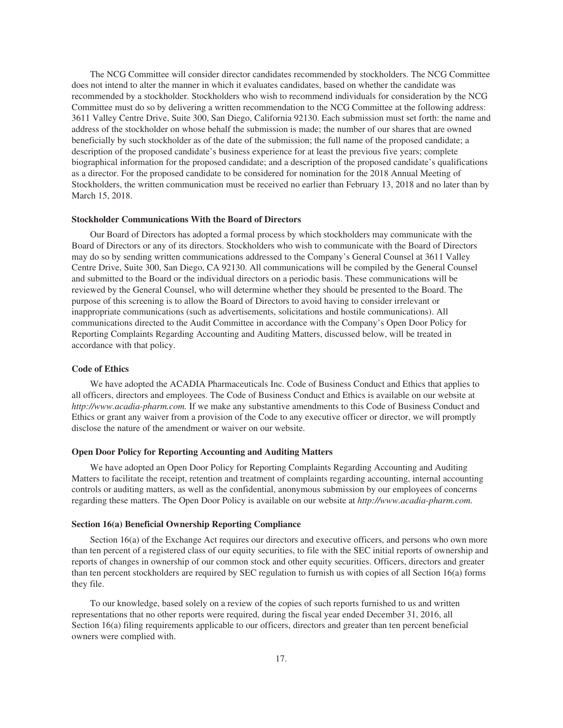The NCG Committee will consider director candidates recommended by stockholders. The NCG Committee does not intend to alter the manner in which it evaluates candidates, based on whether the candidate was recommended by a stockholder. Stockholders who wish to recommend individuals for consideration by the NCG Committee must do so by delivering a written recommendation to the NCG Committee at the following address: 3611 Valley Centre Drive, Suite 300, San Diego, California 92130. Each submission must set forth: the name and address of the stockholder on whose behalf the submission is made; the number of our shares that are owned beneficially by such stockholder as of the date of the submission; the full name of the proposed candidate; a description of the proposed candidate's business experience for at least the previous five years; complete biographical information for the proposed candidate; and a description of the proposed candidate's qualifications as a director. For the proposed candidate to be considered for nomination for the 2018 Annual Meeting of Stockholders, the written communication must be received no earlier than February 13, 2018 and no later than by March 15, 2018.

### **Stockholder Communications With the Board of Directors**

Our Board of Directors has adopted a formal process by which stockholders may communicate with the Board of Directors or any of its directors. Stockholders who wish to communicate with the Board of Directors may do so by sending written communications addressed to the Company's General Counsel at 3611 Valley Centre Drive, Suite 300, San Diego, CA 92130. All communications will be compiled by the General Counsel and submitted to the Board or the individual directors on a periodic basis. These communications will be reviewed by the General Counsel, who will determine whether they should be presented to the Board. The purpose of this screening is to allow the Board of Directors to avoid having to consider irrelevant or inappropriate communications (such as advertisements, solicitations and hostile communications). All communications directed to the Audit Committee in accordance with the Company's Open Door Policy for Reporting Complaints Regarding Accounting and Auditing Matters, discussed below, will be treated in accordance with that policy.

## **Code of Ethics**

We have adopted the ACADIA Pharmaceuticals Inc. Code of Business Conduct and Ethics that applies to all officers, directors and employees. The Code of Business Conduct and Ethics is available on our website at *http://www.acadia-pharm.com.* If we make any substantive amendments to this Code of Business Conduct and Ethics or grant any waiver from a provision of the Code to any executive officer or director, we will promptly disclose the nature of the amendment or waiver on our website.

## **Open Door Policy for Reporting Accounting and Auditing Matters**

We have adopted an Open Door Policy for Reporting Complaints Regarding Accounting and Auditing Matters to facilitate the receipt, retention and treatment of complaints regarding accounting, internal accounting controls or auditing matters, as well as the confidential, anonymous submission by our employees of concerns regarding these matters. The Open Door Policy is available on our website at *http://www.acadia-pharm.com.*

## **Section 16(a) Beneficial Ownership Reporting Compliance**

Section 16(a) of the Exchange Act requires our directors and executive officers, and persons who own more than ten percent of a registered class of our equity securities, to file with the SEC initial reports of ownership and reports of changes in ownership of our common stock and other equity securities. Officers, directors and greater than ten percent stockholders are required by SEC regulation to furnish us with copies of all Section 16(a) forms they file.

To our knowledge, based solely on a review of the copies of such reports furnished to us and written representations that no other reports were required, during the fiscal year ended December 31, 2016, all Section 16(a) filing requirements applicable to our officers, directors and greater than ten percent beneficial owners were complied with.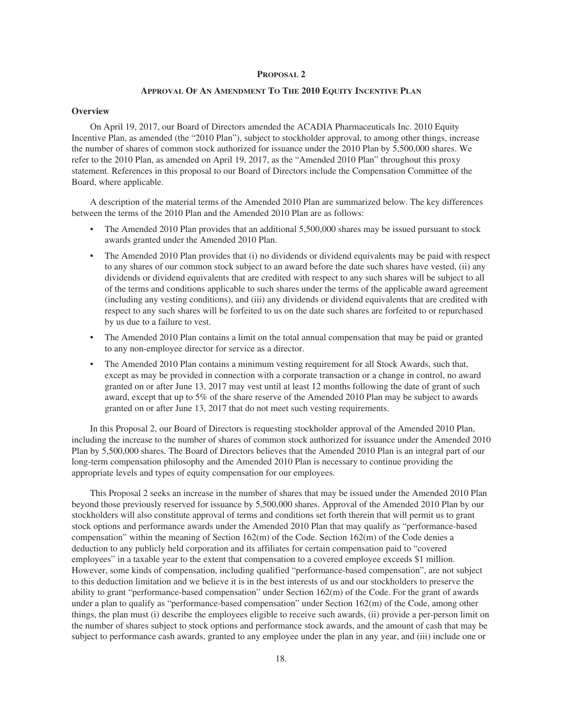## **APPROVAL OF AN AMENDMENT TO THE 2010 EQUITY INCENTIVE PLAN**

## **Overview**

On April 19, 2017, our Board of Directors amended the ACADIA Pharmaceuticals Inc. 2010 Equity Incentive Plan, as amended (the "2010 Plan"), subject to stockholder approval, to among other things, increase the number of shares of common stock authorized for issuance under the 2010 Plan by 5,500,000 shares. We refer to the 2010 Plan, as amended on April 19, 2017, as the "Amended 2010 Plan" throughout this proxy statement. References in this proposal to our Board of Directors include the Compensation Committee of the Board, where applicable.

A description of the material terms of the Amended 2010 Plan are summarized below. The key differences between the terms of the 2010 Plan and the Amended 2010 Plan are as follows:

- The Amended 2010 Plan provides that an additional 5,500,000 shares may be issued pursuant to stock awards granted under the Amended 2010 Plan.
- The Amended 2010 Plan provides that (i) no dividends or dividend equivalents may be paid with respect to any shares of our common stock subject to an award before the date such shares have vested, (ii) any dividends or dividend equivalents that are credited with respect to any such shares will be subject to all of the terms and conditions applicable to such shares under the terms of the applicable award agreement (including any vesting conditions), and (iii) any dividends or dividend equivalents that are credited with respect to any such shares will be forfeited to us on the date such shares are forfeited to or repurchased by us due to a failure to vest.
- The Amended 2010 Plan contains a limit on the total annual compensation that may be paid or granted to any non-employee director for service as a director.
- The Amended 2010 Plan contains a minimum vesting requirement for all Stock Awards, such that, except as may be provided in connection with a corporate transaction or a change in control, no award granted on or after June 13, 2017 may vest until at least 12 months following the date of grant of such award, except that up to 5% of the share reserve of the Amended 2010 Plan may be subject to awards granted on or after June 13, 2017 that do not meet such vesting requirements.

In this Proposal 2, our Board of Directors is requesting stockholder approval of the Amended 2010 Plan, including the increase to the number of shares of common stock authorized for issuance under the Amended 2010 Plan by 5,500,000 shares. The Board of Directors believes that the Amended 2010 Plan is an integral part of our long-term compensation philosophy and the Amended 2010 Plan is necessary to continue providing the appropriate levels and types of equity compensation for our employees.

This Proposal 2 seeks an increase in the number of shares that may be issued under the Amended 2010 Plan beyond those previously reserved for issuance by 5,500,000 shares. Approval of the Amended 2010 Plan by our stockholders will also constitute approval of terms and conditions set forth therein that will permit us to grant stock options and performance awards under the Amended 2010 Plan that may qualify as "performance-based compensation" within the meaning of Section 162(m) of the Code. Section 162(m) of the Code denies a deduction to any publicly held corporation and its affiliates for certain compensation paid to "covered employees" in a taxable year to the extent that compensation to a covered employee exceeds \$1 million. However, some kinds of compensation, including qualified "performance-based compensation", are not subject to this deduction limitation and we believe it is in the best interests of us and our stockholders to preserve the ability to grant "performance-based compensation" under Section 162(m) of the Code. For the grant of awards under a plan to qualify as "performance-based compensation" under Section 162(m) of the Code, among other things, the plan must (i) describe the employees eligible to receive such awards, (ii) provide a per-person limit on the number of shares subject to stock options and performance stock awards, and the amount of cash that may be subject to performance cash awards, granted to any employee under the plan in any year, and (iii) include one or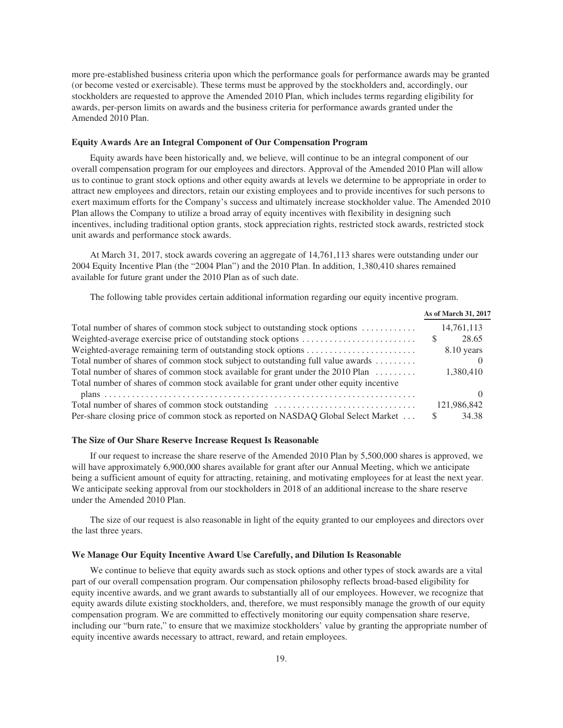more pre-established business criteria upon which the performance goals for performance awards may be granted (or become vested or exercisable). These terms must be approved by the stockholders and, accordingly, our stockholders are requested to approve the Amended 2010 Plan, which includes terms regarding eligibility for awards, per-person limits on awards and the business criteria for performance awards granted under the Amended 2010 Plan.

#### **Equity Awards Are an Integral Component of Our Compensation Program**

Equity awards have been historically and, we believe, will continue to be an integral component of our overall compensation program for our employees and directors. Approval of the Amended 2010 Plan will allow us to continue to grant stock options and other equity awards at levels we determine to be appropriate in order to attract new employees and directors, retain our existing employees and to provide incentives for such persons to exert maximum efforts for the Company's success and ultimately increase stockholder value. The Amended 2010 Plan allows the Company to utilize a broad array of equity incentives with flexibility in designing such incentives, including traditional option grants, stock appreciation rights, restricted stock awards, restricted stock unit awards and performance stock awards.

At March 31, 2017, stock awards covering an aggregate of 14,761,113 shares were outstanding under our 2004 Equity Incentive Plan (the "2004 Plan") and the 2010 Plan. In addition, 1,380,410 shares remained available for future grant under the 2010 Plan as of such date.

The following table provides certain additional information regarding our equity incentive program.

|                                                                                         | As of March 31, 2017  |
|-----------------------------------------------------------------------------------------|-----------------------|
| Total number of shares of common stock subject to outstanding stock options             | 14,761,113            |
|                                                                                         | 28.65<br><sup>S</sup> |
|                                                                                         | 8.10 years            |
| Total number of shares of common stock subject to outstanding full value awards         |                       |
| Total number of shares of common stock available for grant under the 2010 Plan          | 1.380.410             |
| Total number of shares of common stock available for grant under other equity incentive |                       |
|                                                                                         |                       |
| Total number of shares of common stock outstanding                                      | 121,986,842           |
| Per-share closing price of common stock as reported on NASDAQ Global Select Market      | 34.38<br>S            |

#### **The Size of Our Share Reserve Increase Request Is Reasonable**

If our request to increase the share reserve of the Amended 2010 Plan by 5,500,000 shares is approved, we will have approximately 6,900,000 shares available for grant after our Annual Meeting, which we anticipate being a sufficient amount of equity for attracting, retaining, and motivating employees for at least the next year. We anticipate seeking approval from our stockholders in 2018 of an additional increase to the share reserve under the Amended 2010 Plan.

The size of our request is also reasonable in light of the equity granted to our employees and directors over the last three years.

#### **We Manage Our Equity Incentive Award Use Carefully, and Dilution Is Reasonable**

We continue to believe that equity awards such as stock options and other types of stock awards are a vital part of our overall compensation program. Our compensation philosophy reflects broad-based eligibility for equity incentive awards, and we grant awards to substantially all of our employees. However, we recognize that equity awards dilute existing stockholders, and, therefore, we must responsibly manage the growth of our equity compensation program. We are committed to effectively monitoring our equity compensation share reserve, including our "burn rate," to ensure that we maximize stockholders' value by granting the appropriate number of equity incentive awards necessary to attract, reward, and retain employees.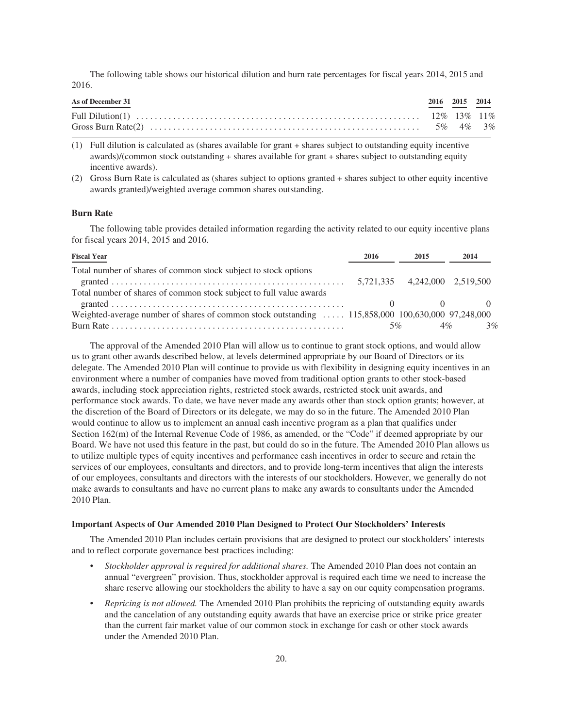The following table shows our historical dilution and burn rate percentages for fiscal years 2014, 2015 and 2016.

| As of December 31 | 2016 2015 2014 |  |
|-------------------|----------------|--|
|                   |                |  |
|                   |                |  |

(1) Full dilution is calculated as (shares available for grant + shares subject to outstanding equity incentive awards)/(common stock outstanding + shares available for grant + shares subject to outstanding equity incentive awards).

(2) Gross Burn Rate is calculated as (shares subject to options granted + shares subject to other equity incentive awards granted)/weighted average common shares outstanding.

## **Burn Rate**

The following table provides detailed information regarding the activity related to our equity incentive plans for fiscal years 2014, 2015 and 2016.

| <b>Fiscal Year</b>                                                                                | 2016 | 2015                          | 2014 |
|---------------------------------------------------------------------------------------------------|------|-------------------------------|------|
| Total number of shares of common stock subject to stock options                                   |      | 5,721,335 4,242,000 2,519,500 |      |
| Total number of shares of common stock subject to full value awards                               |      |                               |      |
| Weighted-average number of shares of common stock outstanding  115,858,000 100,630,000 97,248,000 |      |                               |      |
|                                                                                                   |      | $5\%$<br>$4\%$                | 3%   |

The approval of the Amended 2010 Plan will allow us to continue to grant stock options, and would allow us to grant other awards described below, at levels determined appropriate by our Board of Directors or its delegate. The Amended 2010 Plan will continue to provide us with flexibility in designing equity incentives in an environment where a number of companies have moved from traditional option grants to other stock-based awards, including stock appreciation rights, restricted stock awards, restricted stock unit awards, and performance stock awards. To date, we have never made any awards other than stock option grants; however, at the discretion of the Board of Directors or its delegate, we may do so in the future. The Amended 2010 Plan would continue to allow us to implement an annual cash incentive program as a plan that qualifies under Section 162(m) of the Internal Revenue Code of 1986, as amended, or the "Code" if deemed appropriate by our Board. We have not used this feature in the past, but could do so in the future. The Amended 2010 Plan allows us to utilize multiple types of equity incentives and performance cash incentives in order to secure and retain the services of our employees, consultants and directors, and to provide long-term incentives that align the interests of our employees, consultants and directors with the interests of our stockholders. However, we generally do not make awards to consultants and have no current plans to make any awards to consultants under the Amended 2010 Plan.

### **Important Aspects of Our Amended 2010 Plan Designed to Protect Our Stockholders' Interests**

The Amended 2010 Plan includes certain provisions that are designed to protect our stockholders' interests and to reflect corporate governance best practices including:

- *Stockholder approval is required for additional shares.* The Amended 2010 Plan does not contain an annual "evergreen" provision. Thus, stockholder approval is required each time we need to increase the share reserve allowing our stockholders the ability to have a say on our equity compensation programs.
- *Repricing is not allowed.* The Amended 2010 Plan prohibits the repricing of outstanding equity awards and the cancelation of any outstanding equity awards that have an exercise price or strike price greater than the current fair market value of our common stock in exchange for cash or other stock awards under the Amended 2010 Plan.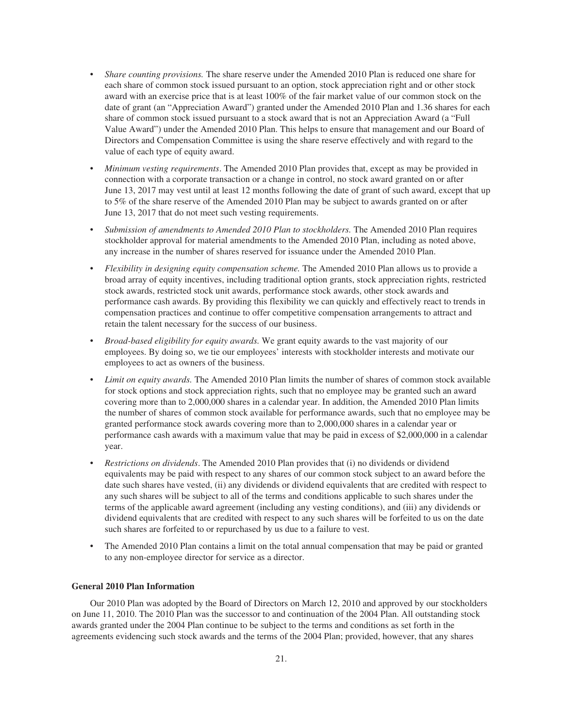- *Share counting provisions.* The share reserve under the Amended 2010 Plan is reduced one share for each share of common stock issued pursuant to an option, stock appreciation right and or other stock award with an exercise price that is at least 100% of the fair market value of our common stock on the date of grant (an "Appreciation Award") granted under the Amended 2010 Plan and 1.36 shares for each share of common stock issued pursuant to a stock award that is not an Appreciation Award (a "Full Value Award") under the Amended 2010 Plan. This helps to ensure that management and our Board of Directors and Compensation Committee is using the share reserve effectively and with regard to the value of each type of equity award.
- *Minimum vesting requirements*. The Amended 2010 Plan provides that, except as may be provided in connection with a corporate transaction or a change in control, no stock award granted on or after June 13, 2017 may vest until at least 12 months following the date of grant of such award, except that up to 5% of the share reserve of the Amended 2010 Plan may be subject to awards granted on or after June 13, 2017 that do not meet such vesting requirements.
- *Submission of amendments to Amended 2010 Plan to stockholders.* The Amended 2010 Plan requires stockholder approval for material amendments to the Amended 2010 Plan, including as noted above, any increase in the number of shares reserved for issuance under the Amended 2010 Plan.
- *Flexibility in designing equity compensation scheme.* The Amended 2010 Plan allows us to provide a broad array of equity incentives, including traditional option grants, stock appreciation rights, restricted stock awards, restricted stock unit awards, performance stock awards, other stock awards and performance cash awards. By providing this flexibility we can quickly and effectively react to trends in compensation practices and continue to offer competitive compensation arrangements to attract and retain the talent necessary for the success of our business.
- *Broad-based eligibility for equity awards.* We grant equity awards to the vast majority of our employees. By doing so, we tie our employees' interests with stockholder interests and motivate our employees to act as owners of the business.
- *Limit on equity awards.* The Amended 2010 Plan limits the number of shares of common stock available for stock options and stock appreciation rights, such that no employee may be granted such an award covering more than to 2,000,000 shares in a calendar year. In addition, the Amended 2010 Plan limits the number of shares of common stock available for performance awards, such that no employee may be granted performance stock awards covering more than to 2,000,000 shares in a calendar year or performance cash awards with a maximum value that may be paid in excess of \$2,000,000 in a calendar year.
- *Restrictions on dividends*. The Amended 2010 Plan provides that (i) no dividends or dividend equivalents may be paid with respect to any shares of our common stock subject to an award before the date such shares have vested, (ii) any dividends or dividend equivalents that are credited with respect to any such shares will be subject to all of the terms and conditions applicable to such shares under the terms of the applicable award agreement (including any vesting conditions), and (iii) any dividends or dividend equivalents that are credited with respect to any such shares will be forfeited to us on the date such shares are forfeited to or repurchased by us due to a failure to vest.
- The Amended 2010 Plan contains a limit on the total annual compensation that may be paid or granted to any non-employee director for service as a director.

# **General 2010 Plan Information**

Our 2010 Plan was adopted by the Board of Directors on March 12, 2010 and approved by our stockholders on June 11, 2010. The 2010 Plan was the successor to and continuation of the 2004 Plan. All outstanding stock awards granted under the 2004 Plan continue to be subject to the terms and conditions as set forth in the agreements evidencing such stock awards and the terms of the 2004 Plan; provided, however, that any shares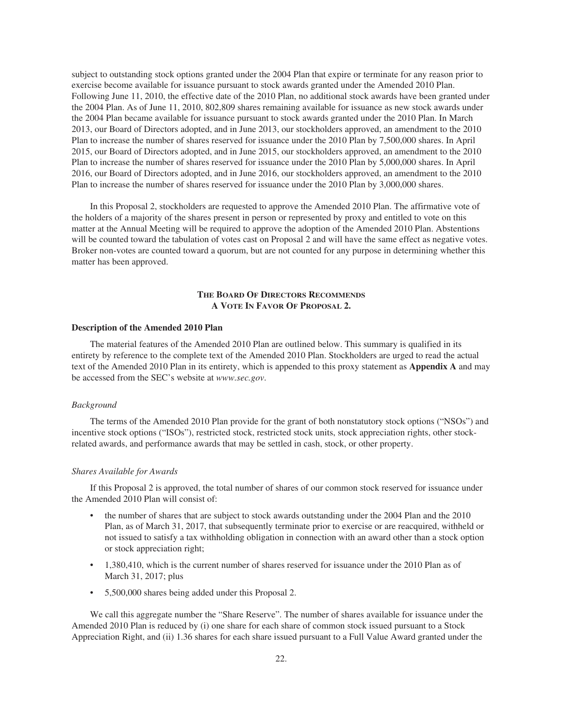subject to outstanding stock options granted under the 2004 Plan that expire or terminate for any reason prior to exercise become available for issuance pursuant to stock awards granted under the Amended 2010 Plan. Following June 11, 2010, the effective date of the 2010 Plan, no additional stock awards have been granted under the 2004 Plan. As of June 11, 2010, 802,809 shares remaining available for issuance as new stock awards under the 2004 Plan became available for issuance pursuant to stock awards granted under the 2010 Plan. In March 2013, our Board of Directors adopted, and in June 2013, our stockholders approved, an amendment to the 2010 Plan to increase the number of shares reserved for issuance under the 2010 Plan by 7,500,000 shares. In April 2015, our Board of Directors adopted, and in June 2015, our stockholders approved, an amendment to the 2010 Plan to increase the number of shares reserved for issuance under the 2010 Plan by 5,000,000 shares. In April 2016, our Board of Directors adopted, and in June 2016, our stockholders approved, an amendment to the 2010 Plan to increase the number of shares reserved for issuance under the 2010 Plan by 3,000,000 shares.

In this Proposal 2, stockholders are requested to approve the Amended 2010 Plan. The affirmative vote of the holders of a majority of the shares present in person or represented by proxy and entitled to vote on this matter at the Annual Meeting will be required to approve the adoption of the Amended 2010 Plan. Abstentions will be counted toward the tabulation of votes cast on Proposal 2 and will have the same effect as negative votes. Broker non-votes are counted toward a quorum, but are not counted for any purpose in determining whether this matter has been approved.

## **THE BOARD OF DIRECTORS RECOMMENDS A VOTE IN FAVOR OF PROPOSAL 2.**

## **Description of the Amended 2010 Plan**

The material features of the Amended 2010 Plan are outlined below. This summary is qualified in its entirety by reference to the complete text of the Amended 2010 Plan. Stockholders are urged to read the actual text of the Amended 2010 Plan in its entirety, which is appended to this proxy statement as **Appendix A** and may be accessed from the SEC's website at *www.sec.gov*.

## *Background*

The terms of the Amended 2010 Plan provide for the grant of both nonstatutory stock options ("NSOs") and incentive stock options ("ISOs"), restricted stock, restricted stock units, stock appreciation rights, other stockrelated awards, and performance awards that may be settled in cash, stock, or other property.

## *Shares Available for Awards*

If this Proposal 2 is approved, the total number of shares of our common stock reserved for issuance under the Amended 2010 Plan will consist of:

- the number of shares that are subject to stock awards outstanding under the 2004 Plan and the 2010 Plan, as of March 31, 2017, that subsequently terminate prior to exercise or are reacquired, withheld or not issued to satisfy a tax withholding obligation in connection with an award other than a stock option or stock appreciation right;
- 1,380,410, which is the current number of shares reserved for issuance under the 2010 Plan as of March 31, 2017; plus
- 5,500,000 shares being added under this Proposal 2.

We call this aggregate number the "Share Reserve". The number of shares available for issuance under the Amended 2010 Plan is reduced by (i) one share for each share of common stock issued pursuant to a Stock Appreciation Right, and (ii) 1.36 shares for each share issued pursuant to a Full Value Award granted under the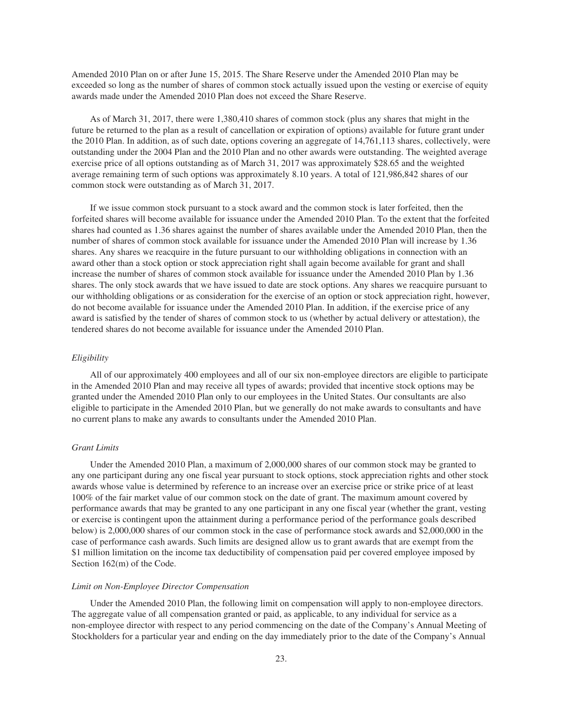Amended 2010 Plan on or after June 15, 2015. The Share Reserve under the Amended 2010 Plan may be exceeded so long as the number of shares of common stock actually issued upon the vesting or exercise of equity awards made under the Amended 2010 Plan does not exceed the Share Reserve.

As of March 31, 2017, there were 1,380,410 shares of common stock (plus any shares that might in the future be returned to the plan as a result of cancellation or expiration of options) available for future grant under the 2010 Plan. In addition, as of such date, options covering an aggregate of 14,761,113 shares, collectively, were outstanding under the 2004 Plan and the 2010 Plan and no other awards were outstanding. The weighted average exercise price of all options outstanding as of March 31, 2017 was approximately \$28.65 and the weighted average remaining term of such options was approximately 8.10 years. A total of 121,986,842 shares of our common stock were outstanding as of March 31, 2017.

If we issue common stock pursuant to a stock award and the common stock is later forfeited, then the forfeited shares will become available for issuance under the Amended 2010 Plan. To the extent that the forfeited shares had counted as 1.36 shares against the number of shares available under the Amended 2010 Plan, then the number of shares of common stock available for issuance under the Amended 2010 Plan will increase by 1.36 shares. Any shares we reacquire in the future pursuant to our withholding obligations in connection with an award other than a stock option or stock appreciation right shall again become available for grant and shall increase the number of shares of common stock available for issuance under the Amended 2010 Plan by 1.36 shares. The only stock awards that we have issued to date are stock options. Any shares we reacquire pursuant to our withholding obligations or as consideration for the exercise of an option or stock appreciation right, however, do not become available for issuance under the Amended 2010 Plan. In addition, if the exercise price of any award is satisfied by the tender of shares of common stock to us (whether by actual delivery or attestation), the tendered shares do not become available for issuance under the Amended 2010 Plan.

### *Eligibility*

All of our approximately 400 employees and all of our six non-employee directors are eligible to participate in the Amended 2010 Plan and may receive all types of awards; provided that incentive stock options may be granted under the Amended 2010 Plan only to our employees in the United States. Our consultants are also eligible to participate in the Amended 2010 Plan, but we generally do not make awards to consultants and have no current plans to make any awards to consultants under the Amended 2010 Plan.

## *Grant Limits*

Under the Amended 2010 Plan, a maximum of 2,000,000 shares of our common stock may be granted to any one participant during any one fiscal year pursuant to stock options, stock appreciation rights and other stock awards whose value is determined by reference to an increase over an exercise price or strike price of at least 100% of the fair market value of our common stock on the date of grant. The maximum amount covered by performance awards that may be granted to any one participant in any one fiscal year (whether the grant, vesting or exercise is contingent upon the attainment during a performance period of the performance goals described below) is 2,000,000 shares of our common stock in the case of performance stock awards and \$2,000,000 in the case of performance cash awards. Such limits are designed allow us to grant awards that are exempt from the \$1 million limitation on the income tax deductibility of compensation paid per covered employee imposed by Section 162(m) of the Code.

#### *Limit on Non-Employee Director Compensation*

Under the Amended 2010 Plan, the following limit on compensation will apply to non-employee directors. The aggregate value of all compensation granted or paid, as applicable, to any individual for service as a non-employee director with respect to any period commencing on the date of the Company's Annual Meeting of Stockholders for a particular year and ending on the day immediately prior to the date of the Company's Annual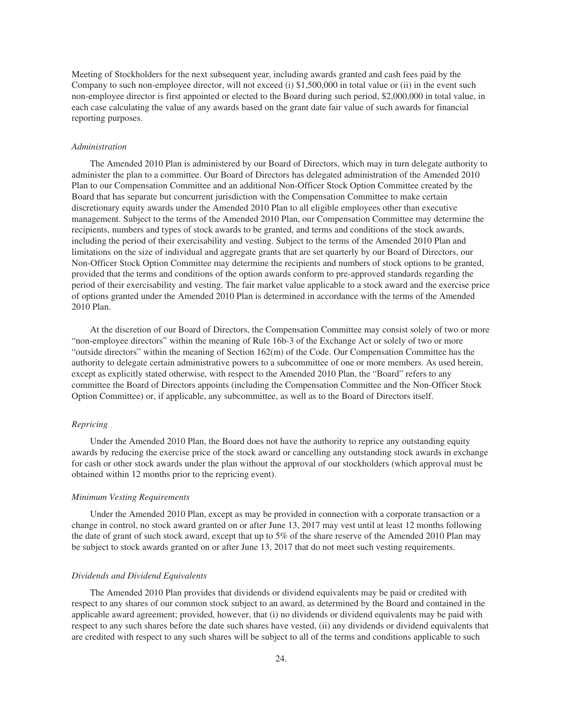Meeting of Stockholders for the next subsequent year, including awards granted and cash fees paid by the Company to such non-employee director, will not exceed (i) \$1,500,000 in total value or (ii) in the event such non-employee director is first appointed or elected to the Board during such period, \$2,000,000 in total value, in each case calculating the value of any awards based on the grant date fair value of such awards for financial reporting purposes.

## *Administration*

The Amended 2010 Plan is administered by our Board of Directors, which may in turn delegate authority to administer the plan to a committee. Our Board of Directors has delegated administration of the Amended 2010 Plan to our Compensation Committee and an additional Non-Officer Stock Option Committee created by the Board that has separate but concurrent jurisdiction with the Compensation Committee to make certain discretionary equity awards under the Amended 2010 Plan to all eligible employees other than executive management. Subject to the terms of the Amended 2010 Plan, our Compensation Committee may determine the recipients, numbers and types of stock awards to be granted, and terms and conditions of the stock awards, including the period of their exercisability and vesting. Subject to the terms of the Amended 2010 Plan and limitations on the size of individual and aggregate grants that are set quarterly by our Board of Directors, our Non-Officer Stock Option Committee may determine the recipients and numbers of stock options to be granted, provided that the terms and conditions of the option awards conform to pre-approved standards regarding the period of their exercisability and vesting. The fair market value applicable to a stock award and the exercise price of options granted under the Amended 2010 Plan is determined in accordance with the terms of the Amended 2010 Plan.

At the discretion of our Board of Directors, the Compensation Committee may consist solely of two or more "non-employee directors" within the meaning of Rule 16b-3 of the Exchange Act or solely of two or more "outside directors" within the meaning of Section 162(m) of the Code. Our Compensation Committee has the authority to delegate certain administrative powers to a subcommittee of one or more members. As used herein, except as explicitly stated otherwise, with respect to the Amended 2010 Plan, the "Board" refers to any committee the Board of Directors appoints (including the Compensation Committee and the Non-Officer Stock Option Committee) or, if applicable, any subcommittee, as well as to the Board of Directors itself.

## *Repricing*

Under the Amended 2010 Plan, the Board does not have the authority to reprice any outstanding equity awards by reducing the exercise price of the stock award or cancelling any outstanding stock awards in exchange for cash or other stock awards under the plan without the approval of our stockholders (which approval must be obtained within 12 months prior to the repricing event).

## *Minimum Vesting Requirements*

Under the Amended 2010 Plan, except as may be provided in connection with a corporate transaction or a change in control, no stock award granted on or after June 13, 2017 may vest until at least 12 months following the date of grant of such stock award, except that up to 5% of the share reserve of the Amended 2010 Plan may be subject to stock awards granted on or after June 13, 2017 that do not meet such vesting requirements.

## *Dividends and Dividend Equivalents*

The Amended 2010 Plan provides that dividends or dividend equivalents may be paid or credited with respect to any shares of our common stock subject to an award, as determined by the Board and contained in the applicable award agreement; provided, however, that (i) no dividends or dividend equivalents may be paid with respect to any such shares before the date such shares have vested, (ii) any dividends or dividend equivalents that are credited with respect to any such shares will be subject to all of the terms and conditions applicable to such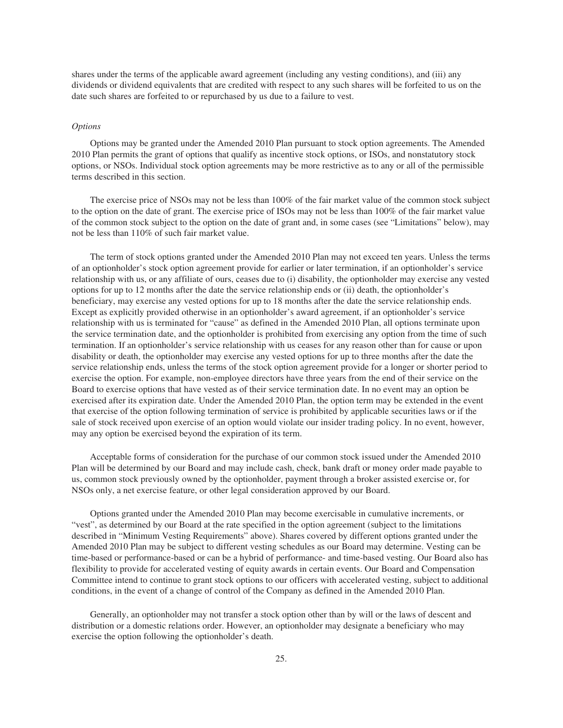shares under the terms of the applicable award agreement (including any vesting conditions), and (iii) any dividends or dividend equivalents that are credited with respect to any such shares will be forfeited to us on the date such shares are forfeited to or repurchased by us due to a failure to vest.

## *Options*

Options may be granted under the Amended 2010 Plan pursuant to stock option agreements. The Amended 2010 Plan permits the grant of options that qualify as incentive stock options, or ISOs, and nonstatutory stock options, or NSOs. Individual stock option agreements may be more restrictive as to any or all of the permissible terms described in this section.

The exercise price of NSOs may not be less than 100% of the fair market value of the common stock subject to the option on the date of grant. The exercise price of ISOs may not be less than 100% of the fair market value of the common stock subject to the option on the date of grant and, in some cases (see "Limitations" below), may not be less than 110% of such fair market value.

The term of stock options granted under the Amended 2010 Plan may not exceed ten years. Unless the terms of an optionholder's stock option agreement provide for earlier or later termination, if an optionholder's service relationship with us, or any affiliate of ours, ceases due to (i) disability, the optionholder may exercise any vested options for up to 12 months after the date the service relationship ends or (ii) death, the optionholder's beneficiary, may exercise any vested options for up to 18 months after the date the service relationship ends. Except as explicitly provided otherwise in an optionholder's award agreement, if an optionholder's service relationship with us is terminated for "cause" as defined in the Amended 2010 Plan, all options terminate upon the service termination date, and the optionholder is prohibited from exercising any option from the time of such termination. If an optionholder's service relationship with us ceases for any reason other than for cause or upon disability or death, the optionholder may exercise any vested options for up to three months after the date the service relationship ends, unless the terms of the stock option agreement provide for a longer or shorter period to exercise the option. For example, non-employee directors have three years from the end of their service on the Board to exercise options that have vested as of their service termination date. In no event may an option be exercised after its expiration date. Under the Amended 2010 Plan, the option term may be extended in the event that exercise of the option following termination of service is prohibited by applicable securities laws or if the sale of stock received upon exercise of an option would violate our insider trading policy. In no event, however, may any option be exercised beyond the expiration of its term.

Acceptable forms of consideration for the purchase of our common stock issued under the Amended 2010 Plan will be determined by our Board and may include cash, check, bank draft or money order made payable to us, common stock previously owned by the optionholder, payment through a broker assisted exercise or, for NSOs only, a net exercise feature, or other legal consideration approved by our Board.

Options granted under the Amended 2010 Plan may become exercisable in cumulative increments, or "vest", as determined by our Board at the rate specified in the option agreement (subject to the limitations described in "Minimum Vesting Requirements" above). Shares covered by different options granted under the Amended 2010 Plan may be subject to different vesting schedules as our Board may determine. Vesting can be time-based or performance-based or can be a hybrid of performance- and time-based vesting. Our Board also has flexibility to provide for accelerated vesting of equity awards in certain events. Our Board and Compensation Committee intend to continue to grant stock options to our officers with accelerated vesting, subject to additional conditions, in the event of a change of control of the Company as defined in the Amended 2010 Plan.

Generally, an optionholder may not transfer a stock option other than by will or the laws of descent and distribution or a domestic relations order. However, an optionholder may designate a beneficiary who may exercise the option following the optionholder's death.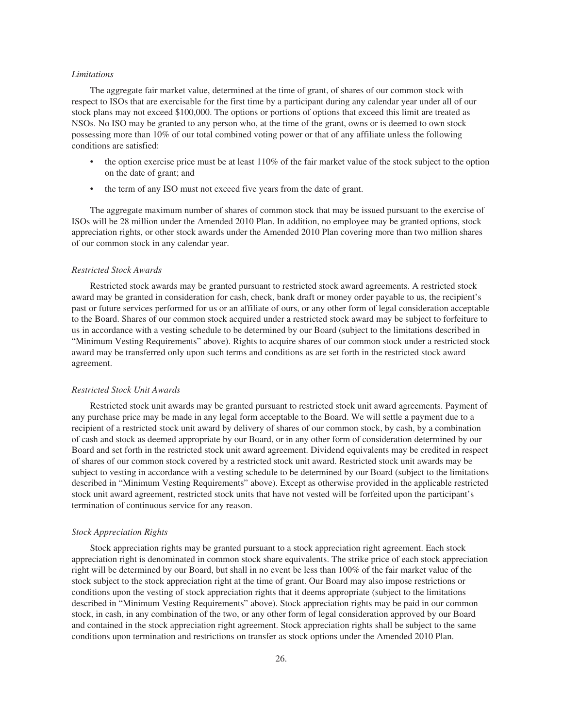### *Limitations*

The aggregate fair market value, determined at the time of grant, of shares of our common stock with respect to ISOs that are exercisable for the first time by a participant during any calendar year under all of our stock plans may not exceed \$100,000. The options or portions of options that exceed this limit are treated as NSOs. No ISO may be granted to any person who, at the time of the grant, owns or is deemed to own stock possessing more than 10% of our total combined voting power or that of any affiliate unless the following conditions are satisfied:

- the option exercise price must be at least  $110\%$  of the fair market value of the stock subject to the option on the date of grant; and
- the term of any ISO must not exceed five years from the date of grant.

The aggregate maximum number of shares of common stock that may be issued pursuant to the exercise of ISOs will be 28 million under the Amended 2010 Plan. In addition, no employee may be granted options, stock appreciation rights, or other stock awards under the Amended 2010 Plan covering more than two million shares of our common stock in any calendar year.

## *Restricted Stock Awards*

Restricted stock awards may be granted pursuant to restricted stock award agreements. A restricted stock award may be granted in consideration for cash, check, bank draft or money order payable to us, the recipient's past or future services performed for us or an affiliate of ours, or any other form of legal consideration acceptable to the Board. Shares of our common stock acquired under a restricted stock award may be subject to forfeiture to us in accordance with a vesting schedule to be determined by our Board (subject to the limitations described in "Minimum Vesting Requirements" above). Rights to acquire shares of our common stock under a restricted stock award may be transferred only upon such terms and conditions as are set forth in the restricted stock award agreement.

## *Restricted Stock Unit Awards*

Restricted stock unit awards may be granted pursuant to restricted stock unit award agreements. Payment of any purchase price may be made in any legal form acceptable to the Board. We will settle a payment due to a recipient of a restricted stock unit award by delivery of shares of our common stock, by cash, by a combination of cash and stock as deemed appropriate by our Board, or in any other form of consideration determined by our Board and set forth in the restricted stock unit award agreement. Dividend equivalents may be credited in respect of shares of our common stock covered by a restricted stock unit award. Restricted stock unit awards may be subject to vesting in accordance with a vesting schedule to be determined by our Board (subject to the limitations described in "Minimum Vesting Requirements" above). Except as otherwise provided in the applicable restricted stock unit award agreement, restricted stock units that have not vested will be forfeited upon the participant's termination of continuous service for any reason.

#### *Stock Appreciation Rights*

Stock appreciation rights may be granted pursuant to a stock appreciation right agreement. Each stock appreciation right is denominated in common stock share equivalents. The strike price of each stock appreciation right will be determined by our Board, but shall in no event be less than 100% of the fair market value of the stock subject to the stock appreciation right at the time of grant. Our Board may also impose restrictions or conditions upon the vesting of stock appreciation rights that it deems appropriate (subject to the limitations described in "Minimum Vesting Requirements" above). Stock appreciation rights may be paid in our common stock, in cash, in any combination of the two, or any other form of legal consideration approved by our Board and contained in the stock appreciation right agreement. Stock appreciation rights shall be subject to the same conditions upon termination and restrictions on transfer as stock options under the Amended 2010 Plan.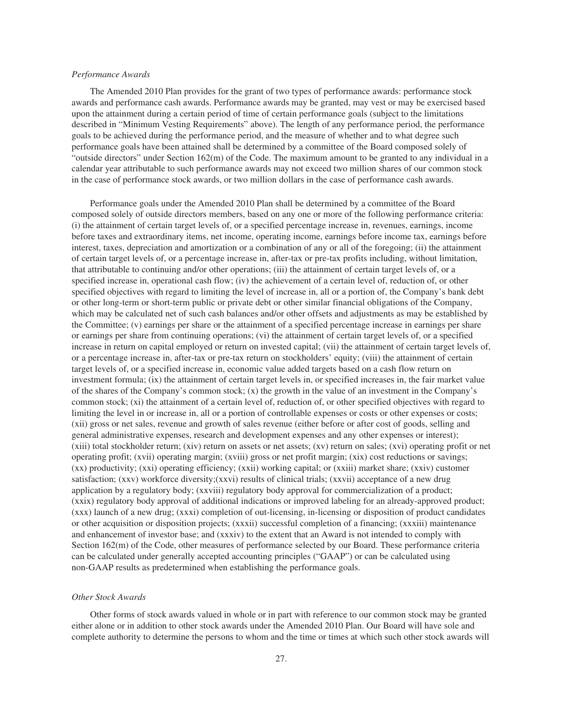## *Performance Awards*

The Amended 2010 Plan provides for the grant of two types of performance awards: performance stock awards and performance cash awards. Performance awards may be granted, may vest or may be exercised based upon the attainment during a certain period of time of certain performance goals (subject to the limitations described in "Minimum Vesting Requirements" above). The length of any performance period, the performance goals to be achieved during the performance period, and the measure of whether and to what degree such performance goals have been attained shall be determined by a committee of the Board composed solely of "outside directors" under Section 162(m) of the Code. The maximum amount to be granted to any individual in a calendar year attributable to such performance awards may not exceed two million shares of our common stock in the case of performance stock awards, or two million dollars in the case of performance cash awards.

Performance goals under the Amended 2010 Plan shall be determined by a committee of the Board composed solely of outside directors members, based on any one or more of the following performance criteria: (i) the attainment of certain target levels of, or a specified percentage increase in, revenues, earnings, income before taxes and extraordinary items, net income, operating income, earnings before income tax, earnings before interest, taxes, depreciation and amortization or a combination of any or all of the foregoing; (ii) the attainment of certain target levels of, or a percentage increase in, after-tax or pre-tax profits including, without limitation, that attributable to continuing and/or other operations; (iii) the attainment of certain target levels of, or a specified increase in, operational cash flow; (iv) the achievement of a certain level of, reduction of, or other specified objectives with regard to limiting the level of increase in, all or a portion of, the Company's bank debt or other long-term or short-term public or private debt or other similar financial obligations of the Company, which may be calculated net of such cash balances and/or other offsets and adjustments as may be established by the Committee; (v) earnings per share or the attainment of a specified percentage increase in earnings per share or earnings per share from continuing operations; (vi) the attainment of certain target levels of, or a specified increase in return on capital employed or return on invested capital; (vii) the attainment of certain target levels of, or a percentage increase in, after-tax or pre-tax return on stockholders' equity; (viii) the attainment of certain target levels of, or a specified increase in, economic value added targets based on a cash flow return on investment formula; (ix) the attainment of certain target levels in, or specified increases in, the fair market value of the shares of the Company's common stock;  $(x)$  the growth in the value of an investment in the Company's common stock; (xi) the attainment of a certain level of, reduction of, or other specified objectives with regard to limiting the level in or increase in, all or a portion of controllable expenses or costs or other expenses or costs; (xii) gross or net sales, revenue and growth of sales revenue (either before or after cost of goods, selling and general administrative expenses, research and development expenses and any other expenses or interest); (xiii) total stockholder return; (xiv) return on assets or net assets; (xv) return on sales; (xvi) operating profit or net operating profit; (xvii) operating margin; (xviii) gross or net profit margin; (xix) cost reductions or savings; (xx) productivity; (xxi) operating efficiency; (xxii) working capital; or (xxiii) market share; (xxiv) customer satisfaction; (xxv) workforce diversity;(xxvi) results of clinical trials; (xxvii) acceptance of a new drug application by a regulatory body; (xxviii) regulatory body approval for commercialization of a product; (xxix) regulatory body approval of additional indications or improved labeling for an already-approved product; (xxx) launch of a new drug; (xxxi) completion of out-licensing, in-licensing or disposition of product candidates or other acquisition or disposition projects; (xxxii) successful completion of a financing; (xxxiii) maintenance and enhancement of investor base; and (xxxiv) to the extent that an Award is not intended to comply with Section 162(m) of the Code, other measures of performance selected by our Board. These performance criteria can be calculated under generally accepted accounting principles ("GAAP") or can be calculated using non-GAAP results as predetermined when establishing the performance goals.

## *Other Stock Awards*

Other forms of stock awards valued in whole or in part with reference to our common stock may be granted either alone or in addition to other stock awards under the Amended 2010 Plan. Our Board will have sole and complete authority to determine the persons to whom and the time or times at which such other stock awards will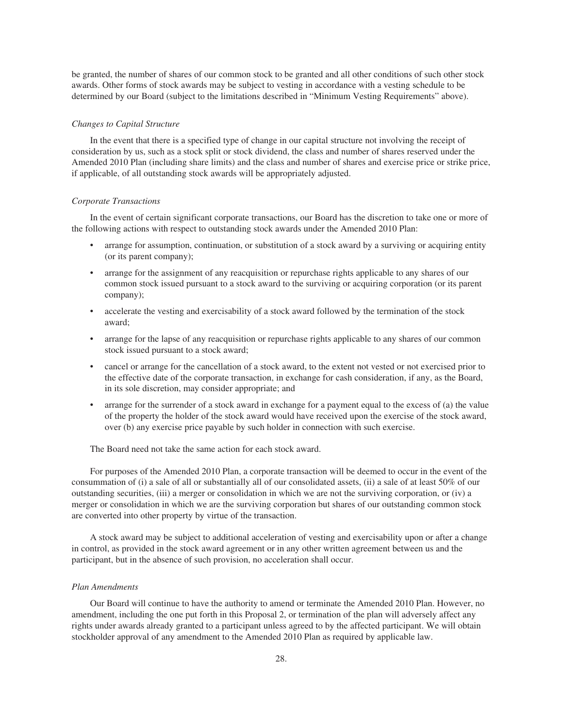be granted, the number of shares of our common stock to be granted and all other conditions of such other stock awards. Other forms of stock awards may be subject to vesting in accordance with a vesting schedule to be determined by our Board (subject to the limitations described in "Minimum Vesting Requirements" above).

## *Changes to Capital Structure*

In the event that there is a specified type of change in our capital structure not involving the receipt of consideration by us, such as a stock split or stock dividend, the class and number of shares reserved under the Amended 2010 Plan (including share limits) and the class and number of shares and exercise price or strike price, if applicable, of all outstanding stock awards will be appropriately adjusted.

## *Corporate Transactions*

In the event of certain significant corporate transactions, our Board has the discretion to take one or more of the following actions with respect to outstanding stock awards under the Amended 2010 Plan:

- arrange for assumption, continuation, or substitution of a stock award by a surviving or acquiring entity (or its parent company);
- arrange for the assignment of any reacquisition or repurchase rights applicable to any shares of our common stock issued pursuant to a stock award to the surviving or acquiring corporation (or its parent company);
- accelerate the vesting and exercisability of a stock award followed by the termination of the stock award;
- arrange for the lapse of any reacquisition or repurchase rights applicable to any shares of our common stock issued pursuant to a stock award;
- cancel or arrange for the cancellation of a stock award, to the extent not vested or not exercised prior to the effective date of the corporate transaction, in exchange for cash consideration, if any, as the Board, in its sole discretion, may consider appropriate; and
- arrange for the surrender of a stock award in exchange for a payment equal to the excess of (a) the value of the property the holder of the stock award would have received upon the exercise of the stock award, over (b) any exercise price payable by such holder in connection with such exercise.

The Board need not take the same action for each stock award.

For purposes of the Amended 2010 Plan, a corporate transaction will be deemed to occur in the event of the consummation of (i) a sale of all or substantially all of our consolidated assets, (ii) a sale of at least 50% of our outstanding securities, (iii) a merger or consolidation in which we are not the surviving corporation, or (iv) a merger or consolidation in which we are the surviving corporation but shares of our outstanding common stock are converted into other property by virtue of the transaction.

A stock award may be subject to additional acceleration of vesting and exercisability upon or after a change in control, as provided in the stock award agreement or in any other written agreement between us and the participant, but in the absence of such provision, no acceleration shall occur.

## *Plan Amendments*

Our Board will continue to have the authority to amend or terminate the Amended 2010 Plan. However, no amendment, including the one put forth in this Proposal 2, or termination of the plan will adversely affect any rights under awards already granted to a participant unless agreed to by the affected participant. We will obtain stockholder approval of any amendment to the Amended 2010 Plan as required by applicable law.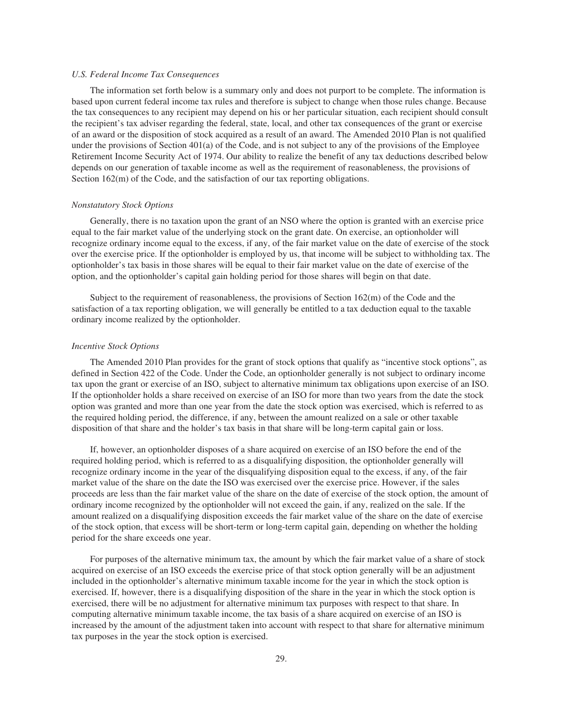## *U.S. Federal Income Tax Consequences*

The information set forth below is a summary only and does not purport to be complete. The information is based upon current federal income tax rules and therefore is subject to change when those rules change. Because the tax consequences to any recipient may depend on his or her particular situation, each recipient should consult the recipient's tax adviser regarding the federal, state, local, and other tax consequences of the grant or exercise of an award or the disposition of stock acquired as a result of an award. The Amended 2010 Plan is not qualified under the provisions of Section 401(a) of the Code, and is not subject to any of the provisions of the Employee Retirement Income Security Act of 1974. Our ability to realize the benefit of any tax deductions described below depends on our generation of taxable income as well as the requirement of reasonableness, the provisions of Section 162(m) of the Code, and the satisfaction of our tax reporting obligations.

#### *Nonstatutory Stock Options*

Generally, there is no taxation upon the grant of an NSO where the option is granted with an exercise price equal to the fair market value of the underlying stock on the grant date. On exercise, an optionholder will recognize ordinary income equal to the excess, if any, of the fair market value on the date of exercise of the stock over the exercise price. If the optionholder is employed by us, that income will be subject to withholding tax. The optionholder's tax basis in those shares will be equal to their fair market value on the date of exercise of the option, and the optionholder's capital gain holding period for those shares will begin on that date.

Subject to the requirement of reasonableness, the provisions of Section 162(m) of the Code and the satisfaction of a tax reporting obligation, we will generally be entitled to a tax deduction equal to the taxable ordinary income realized by the optionholder.

#### *Incentive Stock Options*

The Amended 2010 Plan provides for the grant of stock options that qualify as "incentive stock options", as defined in Section 422 of the Code. Under the Code, an optionholder generally is not subject to ordinary income tax upon the grant or exercise of an ISO, subject to alternative minimum tax obligations upon exercise of an ISO. If the optionholder holds a share received on exercise of an ISO for more than two years from the date the stock option was granted and more than one year from the date the stock option was exercised, which is referred to as the required holding period, the difference, if any, between the amount realized on a sale or other taxable disposition of that share and the holder's tax basis in that share will be long-term capital gain or loss.

If, however, an optionholder disposes of a share acquired on exercise of an ISO before the end of the required holding period, which is referred to as a disqualifying disposition, the optionholder generally will recognize ordinary income in the year of the disqualifying disposition equal to the excess, if any, of the fair market value of the share on the date the ISO was exercised over the exercise price. However, if the sales proceeds are less than the fair market value of the share on the date of exercise of the stock option, the amount of ordinary income recognized by the optionholder will not exceed the gain, if any, realized on the sale. If the amount realized on a disqualifying disposition exceeds the fair market value of the share on the date of exercise of the stock option, that excess will be short-term or long-term capital gain, depending on whether the holding period for the share exceeds one year.

For purposes of the alternative minimum tax, the amount by which the fair market value of a share of stock acquired on exercise of an ISO exceeds the exercise price of that stock option generally will be an adjustment included in the optionholder's alternative minimum taxable income for the year in which the stock option is exercised. If, however, there is a disqualifying disposition of the share in the year in which the stock option is exercised, there will be no adjustment for alternative minimum tax purposes with respect to that share. In computing alternative minimum taxable income, the tax basis of a share acquired on exercise of an ISO is increased by the amount of the adjustment taken into account with respect to that share for alternative minimum tax purposes in the year the stock option is exercised.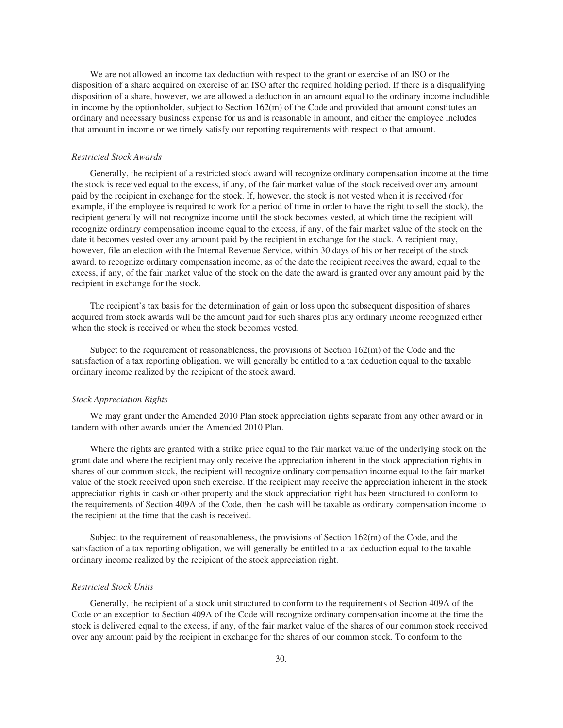We are not allowed an income tax deduction with respect to the grant or exercise of an ISO or the disposition of a share acquired on exercise of an ISO after the required holding period. If there is a disqualifying disposition of a share, however, we are allowed a deduction in an amount equal to the ordinary income includible in income by the optionholder, subject to Section 162(m) of the Code and provided that amount constitutes an ordinary and necessary business expense for us and is reasonable in amount, and either the employee includes that amount in income or we timely satisfy our reporting requirements with respect to that amount.

#### *Restricted Stock Awards*

Generally, the recipient of a restricted stock award will recognize ordinary compensation income at the time the stock is received equal to the excess, if any, of the fair market value of the stock received over any amount paid by the recipient in exchange for the stock. If, however, the stock is not vested when it is received (for example, if the employee is required to work for a period of time in order to have the right to sell the stock), the recipient generally will not recognize income until the stock becomes vested, at which time the recipient will recognize ordinary compensation income equal to the excess, if any, of the fair market value of the stock on the date it becomes vested over any amount paid by the recipient in exchange for the stock. A recipient may, however, file an election with the Internal Revenue Service, within 30 days of his or her receipt of the stock award, to recognize ordinary compensation income, as of the date the recipient receives the award, equal to the excess, if any, of the fair market value of the stock on the date the award is granted over any amount paid by the recipient in exchange for the stock.

The recipient's tax basis for the determination of gain or loss upon the subsequent disposition of shares acquired from stock awards will be the amount paid for such shares plus any ordinary income recognized either when the stock is received or when the stock becomes vested.

Subject to the requirement of reasonableness, the provisions of Section 162(m) of the Code and the satisfaction of a tax reporting obligation, we will generally be entitled to a tax deduction equal to the taxable ordinary income realized by the recipient of the stock award.

#### *Stock Appreciation Rights*

We may grant under the Amended 2010 Plan stock appreciation rights separate from any other award or in tandem with other awards under the Amended 2010 Plan.

Where the rights are granted with a strike price equal to the fair market value of the underlying stock on the grant date and where the recipient may only receive the appreciation inherent in the stock appreciation rights in shares of our common stock, the recipient will recognize ordinary compensation income equal to the fair market value of the stock received upon such exercise. If the recipient may receive the appreciation inherent in the stock appreciation rights in cash or other property and the stock appreciation right has been structured to conform to the requirements of Section 409A of the Code, then the cash will be taxable as ordinary compensation income to the recipient at the time that the cash is received.

Subject to the requirement of reasonableness, the provisions of Section 162(m) of the Code, and the satisfaction of a tax reporting obligation, we will generally be entitled to a tax deduction equal to the taxable ordinary income realized by the recipient of the stock appreciation right.

## *Restricted Stock Units*

Generally, the recipient of a stock unit structured to conform to the requirements of Section 409A of the Code or an exception to Section 409A of the Code will recognize ordinary compensation income at the time the stock is delivered equal to the excess, if any, of the fair market value of the shares of our common stock received over any amount paid by the recipient in exchange for the shares of our common stock. To conform to the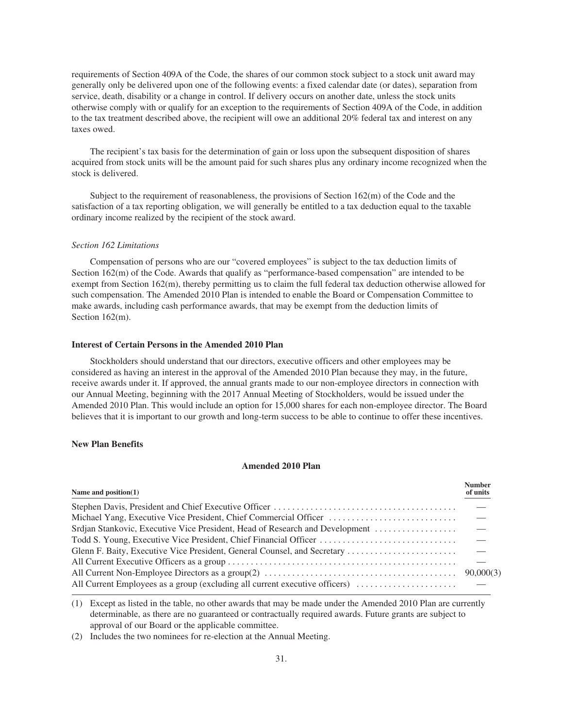requirements of Section 409A of the Code, the shares of our common stock subject to a stock unit award may generally only be delivered upon one of the following events: a fixed calendar date (or dates), separation from service, death, disability or a change in control. If delivery occurs on another date, unless the stock units otherwise comply with or qualify for an exception to the requirements of Section 409A of the Code, in addition to the tax treatment described above, the recipient will owe an additional 20% federal tax and interest on any taxes owed.

The recipient's tax basis for the determination of gain or loss upon the subsequent disposition of shares acquired from stock units will be the amount paid for such shares plus any ordinary income recognized when the stock is delivered.

Subject to the requirement of reasonableness, the provisions of Section 162(m) of the Code and the satisfaction of a tax reporting obligation, we will generally be entitled to a tax deduction equal to the taxable ordinary income realized by the recipient of the stock award.

## *Section 162 Limitations*

Compensation of persons who are our "covered employees" is subject to the tax deduction limits of Section 162(m) of the Code. Awards that qualify as "performance-based compensation" are intended to be exempt from Section 162(m), thereby permitting us to claim the full federal tax deduction otherwise allowed for such compensation. The Amended 2010 Plan is intended to enable the Board or Compensation Committee to make awards, including cash performance awards, that may be exempt from the deduction limits of Section 162(m).

## **Interest of Certain Persons in the Amended 2010 Plan**

Stockholders should understand that our directors, executive officers and other employees may be considered as having an interest in the approval of the Amended 2010 Plan because they may, in the future, receive awards under it. If approved, the annual grants made to our non-employee directors in connection with our Annual Meeting, beginning with the 2017 Annual Meeting of Stockholders, would be issued under the Amended 2010 Plan. This would include an option for 15,000 shares for each non-employee director. The Board believes that it is important to our growth and long-term success to be able to continue to offer these incentives.

## **New Plan Benefits**

## **Amended 2010 Plan**

| Name and $position(1)$                                                       | <b>Number</b><br>of units       |
|------------------------------------------------------------------------------|---------------------------------|
|                                                                              |                                 |
| Michael Yang, Executive Vice President, Chief Commercial Officer             |                                 |
| Srdjan Stankovic, Executive Vice President, Head of Research and Development | $\overline{\phantom{a}}$        |
| Todd S. Young, Executive Vice President, Chief Financial Officer             | $\overline{\phantom{m}}$        |
| Glenn F. Baity, Executive Vice President, General Counsel, and Secretary     | $\hspace{0.1mm}-\hspace{0.1mm}$ |
|                                                                              |                                 |
|                                                                              |                                 |
|                                                                              |                                 |

(1) Except as listed in the table, no other awards that may be made under the Amended 2010 Plan are currently determinable, as there are no guaranteed or contractually required awards. Future grants are subject to approval of our Board or the applicable committee.

(2) Includes the two nominees for re-election at the Annual Meeting.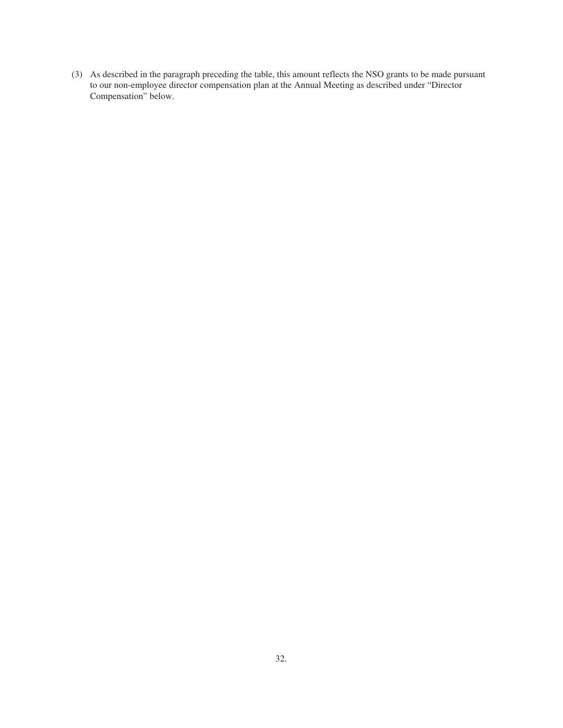(3) As described in the paragraph preceding the table, this amount reflects the NSO grants to be made pursuant to our non-employee director compensation plan at the Annual Meeting as described under "Director Compensation" below.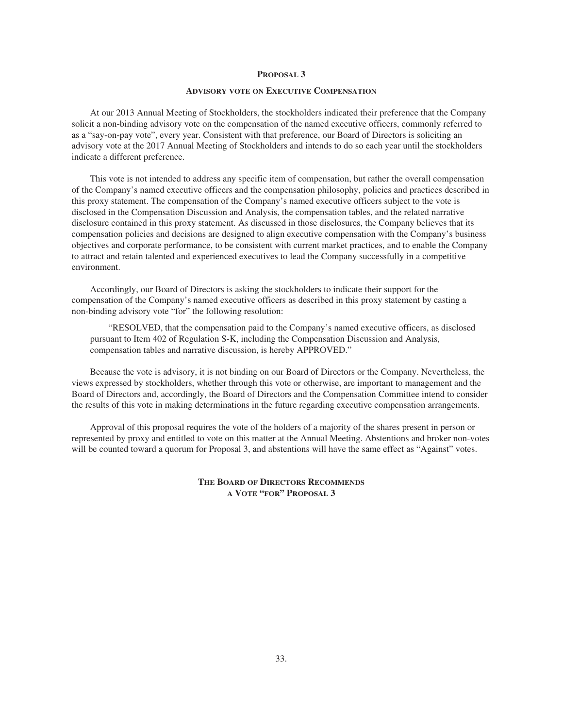## **ADVISORY VOTE ON EXECUTIVE COMPENSATION**

At our 2013 Annual Meeting of Stockholders, the stockholders indicated their preference that the Company solicit a non-binding advisory vote on the compensation of the named executive officers, commonly referred to as a "say-on-pay vote", every year. Consistent with that preference, our Board of Directors is soliciting an advisory vote at the 2017 Annual Meeting of Stockholders and intends to do so each year until the stockholders indicate a different preference.

This vote is not intended to address any specific item of compensation, but rather the overall compensation of the Company's named executive officers and the compensation philosophy, policies and practices described in this proxy statement. The compensation of the Company's named executive officers subject to the vote is disclosed in the Compensation Discussion and Analysis, the compensation tables, and the related narrative disclosure contained in this proxy statement. As discussed in those disclosures, the Company believes that its compensation policies and decisions are designed to align executive compensation with the Company's business objectives and corporate performance, to be consistent with current market practices, and to enable the Company to attract and retain talented and experienced executives to lead the Company successfully in a competitive environment.

Accordingly, our Board of Directors is asking the stockholders to indicate their support for the compensation of the Company's named executive officers as described in this proxy statement by casting a non-binding advisory vote "for" the following resolution:

"RESOLVED, that the compensation paid to the Company's named executive officers, as disclosed pursuant to Item 402 of Regulation S-K, including the Compensation Discussion and Analysis, compensation tables and narrative discussion, is hereby APPROVED."

Because the vote is advisory, it is not binding on our Board of Directors or the Company. Nevertheless, the views expressed by stockholders, whether through this vote or otherwise, are important to management and the Board of Directors and, accordingly, the Board of Directors and the Compensation Committee intend to consider the results of this vote in making determinations in the future regarding executive compensation arrangements.

Approval of this proposal requires the vote of the holders of a majority of the shares present in person or represented by proxy and entitled to vote on this matter at the Annual Meeting. Abstentions and broker non-votes will be counted toward a quorum for Proposal 3, and abstentions will have the same effect as "Against" votes.

> **THE BOARD OF DIRECTORS RECOMMENDS A VOTE "FOR" PROPOSAL 3**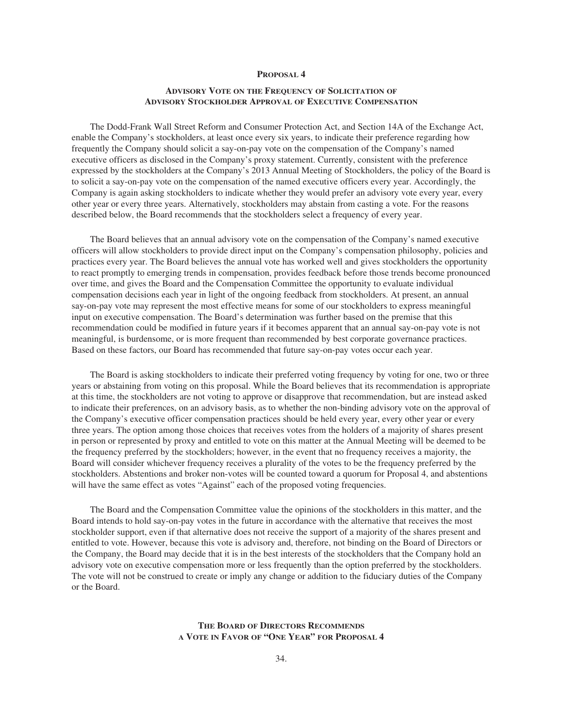# **ADVISORY VOTE ON THE FREQUENCY OF SOLICITATION OF ADVISORY STOCKHOLDER APPROVAL OF EXECUTIVE COMPENSATION**

The Dodd-Frank Wall Street Reform and Consumer Protection Act, and Section 14A of the Exchange Act, enable the Company's stockholders, at least once every six years, to indicate their preference regarding how frequently the Company should solicit a say-on-pay vote on the compensation of the Company's named executive officers as disclosed in the Company's proxy statement. Currently, consistent with the preference expressed by the stockholders at the Company's 2013 Annual Meeting of Stockholders, the policy of the Board is to solicit a say-on-pay vote on the compensation of the named executive officers every year. Accordingly, the Company is again asking stockholders to indicate whether they would prefer an advisory vote every year, every other year or every three years. Alternatively, stockholders may abstain from casting a vote. For the reasons described below, the Board recommends that the stockholders select a frequency of every year.

The Board believes that an annual advisory vote on the compensation of the Company's named executive officers will allow stockholders to provide direct input on the Company's compensation philosophy, policies and practices every year. The Board believes the annual vote has worked well and gives stockholders the opportunity to react promptly to emerging trends in compensation, provides feedback before those trends become pronounced over time, and gives the Board and the Compensation Committee the opportunity to evaluate individual compensation decisions each year in light of the ongoing feedback from stockholders. At present, an annual say-on-pay vote may represent the most effective means for some of our stockholders to express meaningful input on executive compensation. The Board's determination was further based on the premise that this recommendation could be modified in future years if it becomes apparent that an annual say-on-pay vote is not meaningful, is burdensome, or is more frequent than recommended by best corporate governance practices. Based on these factors, our Board has recommended that future say-on-pay votes occur each year.

The Board is asking stockholders to indicate their preferred voting frequency by voting for one, two or three years or abstaining from voting on this proposal. While the Board believes that its recommendation is appropriate at this time, the stockholders are not voting to approve or disapprove that recommendation, but are instead asked to indicate their preferences, on an advisory basis, as to whether the non-binding advisory vote on the approval of the Company's executive officer compensation practices should be held every year, every other year or every three years. The option among those choices that receives votes from the holders of a majority of shares present in person or represented by proxy and entitled to vote on this matter at the Annual Meeting will be deemed to be the frequency preferred by the stockholders; however, in the event that no frequency receives a majority, the Board will consider whichever frequency receives a plurality of the votes to be the frequency preferred by the stockholders. Abstentions and broker non-votes will be counted toward a quorum for Proposal 4, and abstentions will have the same effect as votes "Against" each of the proposed voting frequencies.

The Board and the Compensation Committee value the opinions of the stockholders in this matter, and the Board intends to hold say-on-pay votes in the future in accordance with the alternative that receives the most stockholder support, even if that alternative does not receive the support of a majority of the shares present and entitled to vote. However, because this vote is advisory and, therefore, not binding on the Board of Directors or the Company, the Board may decide that it is in the best interests of the stockholders that the Company hold an advisory vote on executive compensation more or less frequently than the option preferred by the stockholders. The vote will not be construed to create or imply any change or addition to the fiduciary duties of the Company or the Board.

## **THE BOARD OF DIRECTORS RECOMMENDS A VOTE IN FAVOR OF "ONE YEAR" FOR PROPOSAL 4**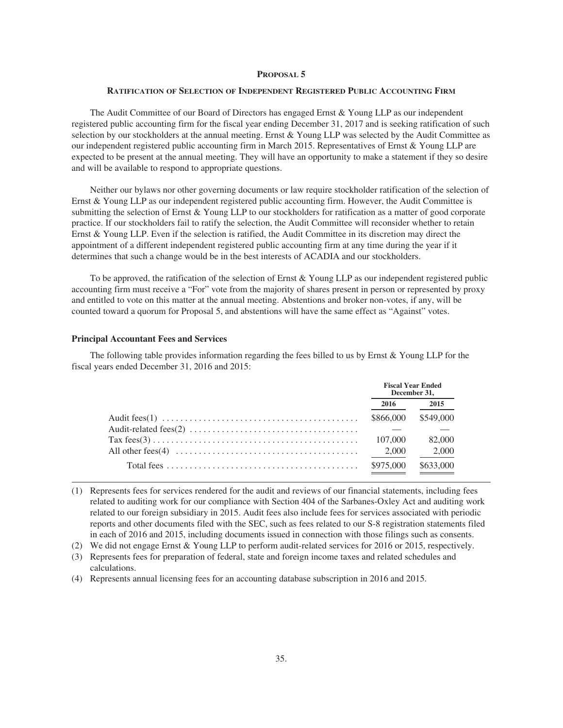## **RATIFICATION OF SELECTION OF INDEPENDENT REGISTERED PUBLIC ACCOUNTING FIRM**

The Audit Committee of our Board of Directors has engaged Ernst & Young LLP as our independent registered public accounting firm for the fiscal year ending December 31, 2017 and is seeking ratification of such selection by our stockholders at the annual meeting. Ernst & Young LLP was selected by the Audit Committee as our independent registered public accounting firm in March 2015. Representatives of Ernst & Young LLP are expected to be present at the annual meeting. They will have an opportunity to make a statement if they so desire and will be available to respond to appropriate questions.

Neither our bylaws nor other governing documents or law require stockholder ratification of the selection of Ernst & Young LLP as our independent registered public accounting firm. However, the Audit Committee is submitting the selection of Ernst & Young LLP to our stockholders for ratification as a matter of good corporate practice. If our stockholders fail to ratify the selection, the Audit Committee will reconsider whether to retain Ernst & Young LLP. Even if the selection is ratified, the Audit Committee in its discretion may direct the appointment of a different independent registered public accounting firm at any time during the year if it determines that such a change would be in the best interests of ACADIA and our stockholders.

To be approved, the ratification of the selection of Ernst & Young LLP as our independent registered public accounting firm must receive a "For" vote from the majority of shares present in person or represented by proxy and entitled to vote on this matter at the annual meeting. Abstentions and broker non-votes, if any, will be counted toward a quorum for Proposal 5, and abstentions will have the same effect as "Against" votes.

## **Principal Accountant Fees and Services**

The following table provides information regarding the fees billed to us by Ernst & Young LLP for the fiscal years ended December 31, 2016 and 2015:

|                                                                                                                | <b>Fiscal Year Ended</b><br>December 31, |           |
|----------------------------------------------------------------------------------------------------------------|------------------------------------------|-----------|
|                                                                                                                | 2016                                     | 2015      |
|                                                                                                                | \$866,000                                | \$549,000 |
|                                                                                                                |                                          |           |
| $\text{Tax fees}(3) \dots \dots \dots \dots \dots \dots \dots \dots \dots \dots \dots \dots \dots \dots \dots$ | 107,000                                  | 82,000    |
| All other fees(4) $\dots \dots \dots \dots \dots \dots \dots \dots \dots \dots \dots \dots \dots$              | 2.000                                    | 2,000     |
|                                                                                                                | \$975,000                                | \$633,000 |

(1) Represents fees for services rendered for the audit and reviews of our financial statements, including fees related to auditing work for our compliance with Section 404 of the Sarbanes-Oxley Act and auditing work related to our foreign subsidiary in 2015. Audit fees also include fees for services associated with periodic reports and other documents filed with the SEC, such as fees related to our S-8 registration statements filed in each of 2016 and 2015, including documents issued in connection with those filings such as consents.

(2) We did not engage Ernst & Young LLP to perform audit-related services for 2016 or 2015, respectively.

(3) Represents fees for preparation of federal, state and foreign income taxes and related schedules and calculations.

(4) Represents annual licensing fees for an accounting database subscription in 2016 and 2015.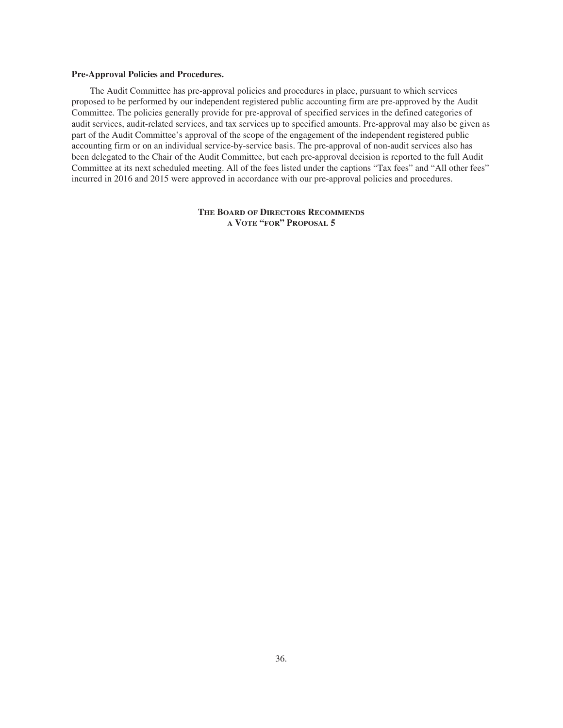## **Pre-Approval Policies and Procedures.**

The Audit Committee has pre-approval policies and procedures in place, pursuant to which services proposed to be performed by our independent registered public accounting firm are pre-approved by the Audit Committee. The policies generally provide for pre-approval of specified services in the defined categories of audit services, audit-related services, and tax services up to specified amounts. Pre-approval may also be given as part of the Audit Committee's approval of the scope of the engagement of the independent registered public accounting firm or on an individual service-by-service basis. The pre-approval of non-audit services also has been delegated to the Chair of the Audit Committee, but each pre-approval decision is reported to the full Audit Committee at its next scheduled meeting. All of the fees listed under the captions "Tax fees" and "All other fees" incurred in 2016 and 2015 were approved in accordance with our pre-approval policies and procedures.

> **THE BOARD OF DIRECTORS RECOMMENDS A VOTE "FOR" PROPOSAL 5**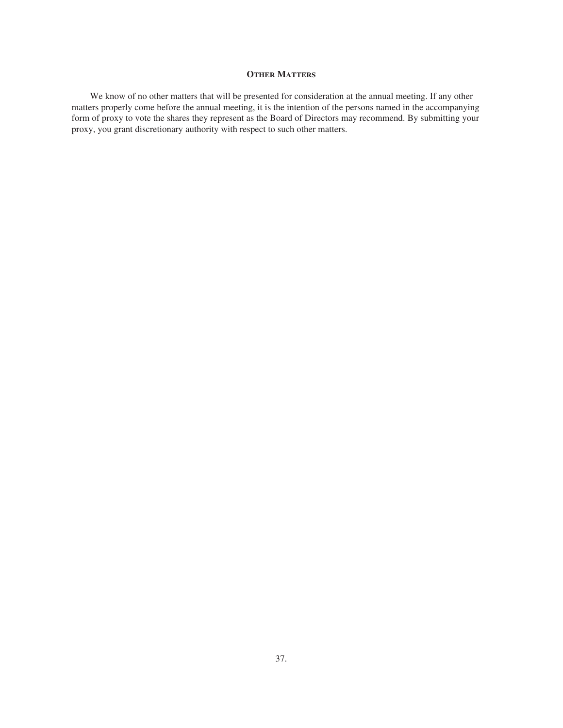# **OTHER MATTERS**

We know of no other matters that will be presented for consideration at the annual meeting. If any other matters properly come before the annual meeting, it is the intention of the persons named in the accompanying form of proxy to vote the shares they represent as the Board of Directors may recommend. By submitting your proxy, you grant discretionary authority with respect to such other matters.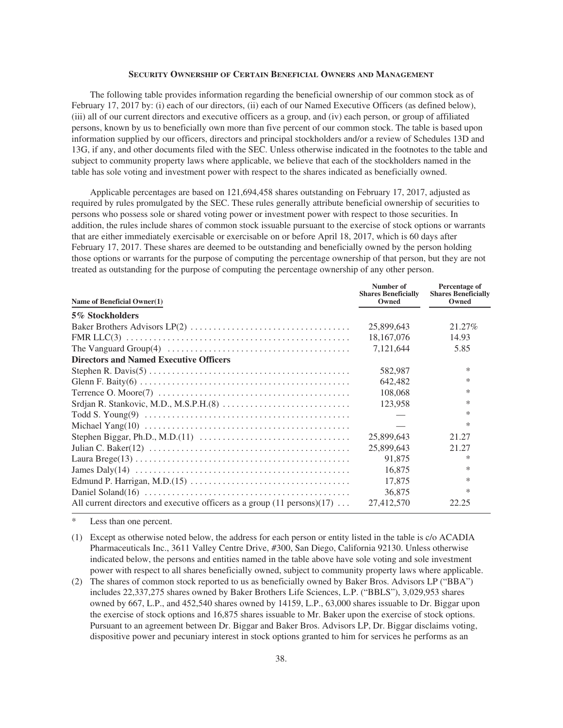## **SECURITY OWNERSHIP OF CERTAIN BENEFICIAL OWNERS AND MANAGEMENT**

The following table provides information regarding the beneficial ownership of our common stock as of February 17, 2017 by: (i) each of our directors, (ii) each of our Named Executive Officers (as defined below), (iii) all of our current directors and executive officers as a group, and (iv) each person, or group of affiliated persons, known by us to beneficially own more than five percent of our common stock. The table is based upon information supplied by our officers, directors and principal stockholders and/or a review of Schedules 13D and 13G, if any, and other documents filed with the SEC. Unless otherwise indicated in the footnotes to the table and subject to community property laws where applicable, we believe that each of the stockholders named in the table has sole voting and investment power with respect to the shares indicated as beneficially owned.

Applicable percentages are based on 121,694,458 shares outstanding on February 17, 2017, adjusted as required by rules promulgated by the SEC. These rules generally attribute beneficial ownership of securities to persons who possess sole or shared voting power or investment power with respect to those securities. In addition, the rules include shares of common stock issuable pursuant to the exercise of stock options or warrants that are either immediately exercisable or exercisable on or before April 18, 2017, which is 60 days after February 17, 2017. These shares are deemed to be outstanding and beneficially owned by the person holding those options or warrants for the purpose of computing the percentage ownership of that person, but they are not treated as outstanding for the purpose of computing the percentage ownership of any other person.

| Name of Beneficial Owner(1)                                                                                 | Number of<br><b>Shares Beneficially</b><br>Owned | Percentage of<br><b>Shares Beneficially</b><br>Owned |
|-------------------------------------------------------------------------------------------------------------|--------------------------------------------------|------------------------------------------------------|
| 5% Stockholders                                                                                             |                                                  |                                                      |
|                                                                                                             | 25,899,643                                       | 21.27\%                                              |
|                                                                                                             | 18, 167, 076                                     | 14.93                                                |
| The Vanguard Group(4) $\ldots \ldots \ldots \ldots \ldots \ldots \ldots \ldots \ldots \ldots \ldots \ldots$ | 7,121,644                                        | 5.85                                                 |
| <b>Directors and Named Executive Officers</b>                                                               |                                                  |                                                      |
|                                                                                                             | 582,987                                          | $\ast$                                               |
|                                                                                                             | 642,482                                          | $\ast$                                               |
|                                                                                                             | 108,068                                          | $\ast$                                               |
|                                                                                                             | 123.958                                          | $\ast$                                               |
|                                                                                                             |                                                  | *                                                    |
|                                                                                                             |                                                  | ∗                                                    |
|                                                                                                             | 25,899,643                                       | 21.27                                                |
|                                                                                                             | 25,899,643                                       | 21.27                                                |
|                                                                                                             | 91,875                                           | ∗                                                    |
|                                                                                                             | 16,875                                           | *                                                    |
|                                                                                                             | 17,875                                           | $\ast$                                               |
|                                                                                                             | 36,875                                           | ∗                                                    |
| All current directors and executive officers as a group $(11 \text{ persons})(17) \dots$                    | 27,412,570                                       | 22.25                                                |

Less than one percent.

- (1) Except as otherwise noted below, the address for each person or entity listed in the table is c/o ACADIA Pharmaceuticals Inc., 3611 Valley Centre Drive, #300, San Diego, California 92130. Unless otherwise indicated below, the persons and entities named in the table above have sole voting and sole investment power with respect to all shares beneficially owned, subject to community property laws where applicable.
- (2) The shares of common stock reported to us as beneficially owned by Baker Bros. Advisors LP ("BBA") includes 22,337,275 shares owned by Baker Brothers Life Sciences, L.P. ("BBLS"), 3,029,953 shares owned by 667, L.P., and 452,540 shares owned by 14159, L.P., 63,000 shares issuable to Dr. Biggar upon the exercise of stock options and 16,875 shares issuable to Mr. Baker upon the exercise of stock options. Pursuant to an agreement between Dr. Biggar and Baker Bros. Advisors LP, Dr. Biggar disclaims voting, dispositive power and pecuniary interest in stock options granted to him for services he performs as an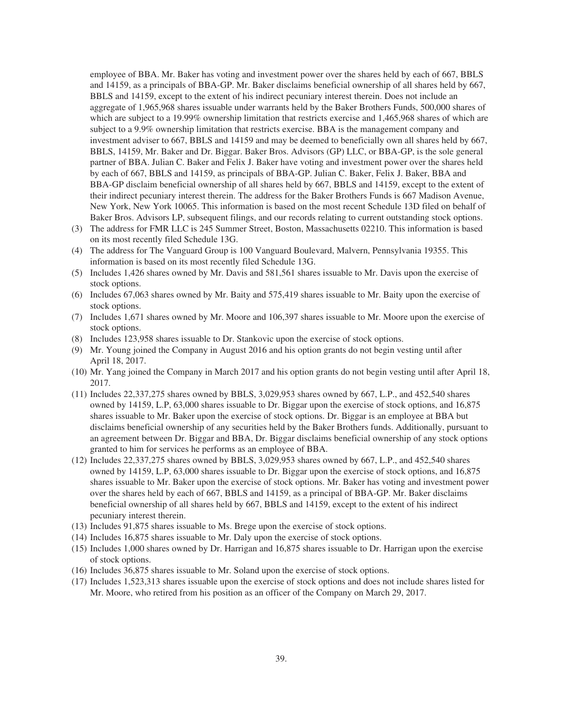employee of BBA. Mr. Baker has voting and investment power over the shares held by each of 667, BBLS and 14159, as a principals of BBA-GP. Mr. Baker disclaims beneficial ownership of all shares held by 667, BBLS and 14159, except to the extent of his indirect pecuniary interest therein. Does not include an aggregate of 1,965,968 shares issuable under warrants held by the Baker Brothers Funds, 500,000 shares of which are subject to a 19.99% ownership limitation that restricts exercise and 1,465,968 shares of which are subject to a 9.9% ownership limitation that restricts exercise. BBA is the management company and investment adviser to 667, BBLS and 14159 and may be deemed to beneficially own all shares held by 667, BBLS, 14159, Mr. Baker and Dr. Biggar. Baker Bros. Advisors (GP) LLC, or BBA-GP, is the sole general partner of BBA. Julian C. Baker and Felix J. Baker have voting and investment power over the shares held by each of 667, BBLS and 14159, as principals of BBA-GP. Julian C. Baker, Felix J. Baker, BBA and BBA-GP disclaim beneficial ownership of all shares held by 667, BBLS and 14159, except to the extent of their indirect pecuniary interest therein. The address for the Baker Brothers Funds is 667 Madison Avenue, New York, New York 10065. This information is based on the most recent Schedule 13D filed on behalf of Baker Bros. Advisors LP, subsequent filings, and our records relating to current outstanding stock options.

- (3) The address for FMR LLC is 245 Summer Street, Boston, Massachusetts 02210. This information is based on its most recently filed Schedule 13G.
- (4) The address for The Vanguard Group is 100 Vanguard Boulevard, Malvern, Pennsylvania 19355. This information is based on its most recently filed Schedule 13G.
- (5) Includes 1,426 shares owned by Mr. Davis and 581,561 shares issuable to Mr. Davis upon the exercise of stock options.
- (6) Includes 67,063 shares owned by Mr. Baity and 575,419 shares issuable to Mr. Baity upon the exercise of stock options.
- (7) Includes 1,671 shares owned by Mr. Moore and 106,397 shares issuable to Mr. Moore upon the exercise of stock options.
- (8) Includes 123,958 shares issuable to Dr. Stankovic upon the exercise of stock options.
- (9) Mr. Young joined the Company in August 2016 and his option grants do not begin vesting until after April 18, 2017.
- (10) Mr. Yang joined the Company in March 2017 and his option grants do not begin vesting until after April 18, 2017.
- (11) Includes 22,337,275 shares owned by BBLS, 3,029,953 shares owned by 667, L.P., and 452,540 shares owned by 14159, L.P, 63,000 shares issuable to Dr. Biggar upon the exercise of stock options, and 16,875 shares issuable to Mr. Baker upon the exercise of stock options. Dr. Biggar is an employee at BBA but disclaims beneficial ownership of any securities held by the Baker Brothers funds. Additionally, pursuant to an agreement between Dr. Biggar and BBA, Dr. Biggar disclaims beneficial ownership of any stock options granted to him for services he performs as an employee of BBA.
- (12) Includes 22,337,275 shares owned by BBLS, 3,029,953 shares owned by 667, L.P., and 452,540 shares owned by 14159, L.P, 63,000 shares issuable to Dr. Biggar upon the exercise of stock options, and 16,875 shares issuable to Mr. Baker upon the exercise of stock options. Mr. Baker has voting and investment power over the shares held by each of 667, BBLS and 14159, as a principal of BBA-GP. Mr. Baker disclaims beneficial ownership of all shares held by 667, BBLS and 14159, except to the extent of his indirect pecuniary interest therein.
- (13) Includes 91,875 shares issuable to Ms. Brege upon the exercise of stock options.
- (14) Includes 16,875 shares issuable to Mr. Daly upon the exercise of stock options.
- (15) Includes 1,000 shares owned by Dr. Harrigan and 16,875 shares issuable to Dr. Harrigan upon the exercise of stock options.
- (16) Includes 36,875 shares issuable to Mr. Soland upon the exercise of stock options.
- (17) Includes 1,523,313 shares issuable upon the exercise of stock options and does not include shares listed for Mr. Moore, who retired from his position as an officer of the Company on March 29, 2017.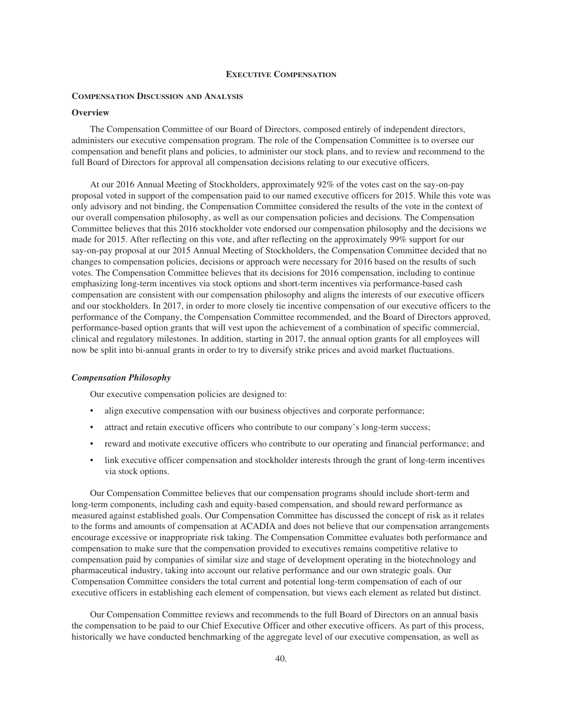#### **EXECUTIVE COMPENSATION**

### **COMPENSATION DISCUSSION AND ANALYSIS**

## **Overview**

The Compensation Committee of our Board of Directors, composed entirely of independent directors, administers our executive compensation program. The role of the Compensation Committee is to oversee our compensation and benefit plans and policies, to administer our stock plans, and to review and recommend to the full Board of Directors for approval all compensation decisions relating to our executive officers.

At our 2016 Annual Meeting of Stockholders, approximately 92% of the votes cast on the say-on-pay proposal voted in support of the compensation paid to our named executive officers for 2015. While this vote was only advisory and not binding, the Compensation Committee considered the results of the vote in the context of our overall compensation philosophy, as well as our compensation policies and decisions. The Compensation Committee believes that this 2016 stockholder vote endorsed our compensation philosophy and the decisions we made for 2015. After reflecting on this vote, and after reflecting on the approximately 99% support for our say-on-pay proposal at our 2015 Annual Meeting of Stockholders, the Compensation Committee decided that no changes to compensation policies, decisions or approach were necessary for 2016 based on the results of such votes. The Compensation Committee believes that its decisions for 2016 compensation, including to continue emphasizing long-term incentives via stock options and short-term incentives via performance-based cash compensation are consistent with our compensation philosophy and aligns the interests of our executive officers and our stockholders. In 2017, in order to more closely tie incentive compensation of our executive officers to the performance of the Company, the Compensation Committee recommended, and the Board of Directors approved, performance-based option grants that will vest upon the achievement of a combination of specific commercial, clinical and regulatory milestones. In addition, starting in 2017, the annual option grants for all employees will now be split into bi-annual grants in order to try to diversify strike prices and avoid market fluctuations.

### *Compensation Philosophy*

Our executive compensation policies are designed to:

- align executive compensation with our business objectives and corporate performance;
- attract and retain executive officers who contribute to our company's long-term success;
- reward and motivate executive officers who contribute to our operating and financial performance; and
- link executive officer compensation and stockholder interests through the grant of long-term incentives via stock options.

Our Compensation Committee believes that our compensation programs should include short-term and long-term components, including cash and equity-based compensation, and should reward performance as measured against established goals. Our Compensation Committee has discussed the concept of risk as it relates to the forms and amounts of compensation at ACADIA and does not believe that our compensation arrangements encourage excessive or inappropriate risk taking. The Compensation Committee evaluates both performance and compensation to make sure that the compensation provided to executives remains competitive relative to compensation paid by companies of similar size and stage of development operating in the biotechnology and pharmaceutical industry, taking into account our relative performance and our own strategic goals. Our Compensation Committee considers the total current and potential long-term compensation of each of our executive officers in establishing each element of compensation, but views each element as related but distinct.

Our Compensation Committee reviews and recommends to the full Board of Directors on an annual basis the compensation to be paid to our Chief Executive Officer and other executive officers. As part of this process, historically we have conducted benchmarking of the aggregate level of our executive compensation, as well as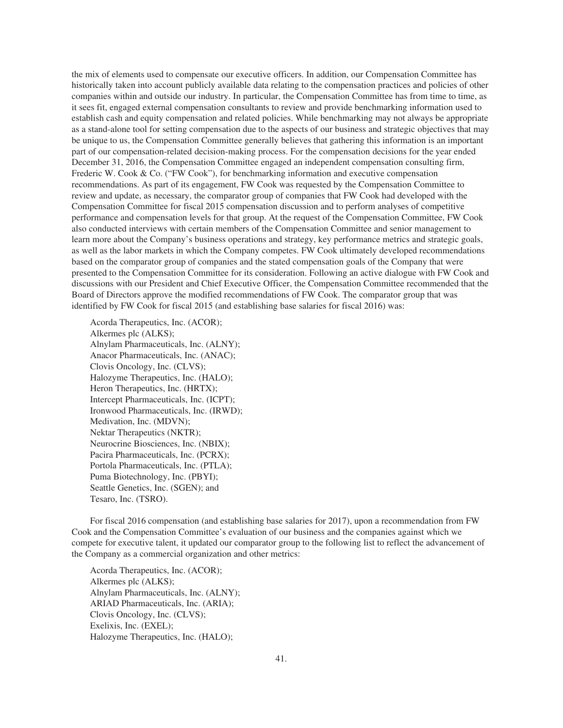the mix of elements used to compensate our executive officers. In addition, our Compensation Committee has historically taken into account publicly available data relating to the compensation practices and policies of other companies within and outside our industry. In particular, the Compensation Committee has from time to time, as it sees fit, engaged external compensation consultants to review and provide benchmarking information used to establish cash and equity compensation and related policies. While benchmarking may not always be appropriate as a stand-alone tool for setting compensation due to the aspects of our business and strategic objectives that may be unique to us, the Compensation Committee generally believes that gathering this information is an important part of our compensation-related decision-making process. For the compensation decisions for the year ended December 31, 2016, the Compensation Committee engaged an independent compensation consulting firm, Frederic W. Cook & Co. ("FW Cook"), for benchmarking information and executive compensation recommendations. As part of its engagement, FW Cook was requested by the Compensation Committee to review and update, as necessary, the comparator group of companies that FW Cook had developed with the Compensation Committee for fiscal 2015 compensation discussion and to perform analyses of competitive performance and compensation levels for that group. At the request of the Compensation Committee, FW Cook also conducted interviews with certain members of the Compensation Committee and senior management to learn more about the Company's business operations and strategy, key performance metrics and strategic goals, as well as the labor markets in which the Company competes. FW Cook ultimately developed recommendations based on the comparator group of companies and the stated compensation goals of the Company that were presented to the Compensation Committee for its consideration. Following an active dialogue with FW Cook and discussions with our President and Chief Executive Officer, the Compensation Committee recommended that the Board of Directors approve the modified recommendations of FW Cook. The comparator group that was identified by FW Cook for fiscal 2015 (and establishing base salaries for fiscal 2016) was:

Acorda Therapeutics, Inc. (ACOR); Alkermes plc (ALKS); Alnylam Pharmaceuticals, Inc. (ALNY); Anacor Pharmaceuticals, Inc. (ANAC); Clovis Oncology, Inc. (CLVS); Halozyme Therapeutics, Inc. (HALO); Heron Therapeutics, Inc. (HRTX); Intercept Pharmaceuticals, Inc. (ICPT); Ironwood Pharmaceuticals, Inc. (IRWD); Medivation, Inc. (MDVN); Nektar Therapeutics (NKTR); Neurocrine Biosciences, Inc. (NBIX); Pacira Pharmaceuticals, Inc. (PCRX); Portola Pharmaceuticals, Inc. (PTLA); Puma Biotechnology, Inc. (PBYI); Seattle Genetics, Inc. (SGEN); and Tesaro, Inc. (TSRO).

For fiscal 2016 compensation (and establishing base salaries for 2017), upon a recommendation from FW Cook and the Compensation Committee's evaluation of our business and the companies against which we compete for executive talent, it updated our comparator group to the following list to reflect the advancement of the Company as a commercial organization and other metrics:

Acorda Therapeutics, Inc. (ACOR); Alkermes plc (ALKS); Alnylam Pharmaceuticals, Inc. (ALNY); ARIAD Pharmaceuticals, Inc. (ARIA); Clovis Oncology, Inc. (CLVS); Exelixis, Inc. (EXEL); Halozyme Therapeutics, Inc. (HALO);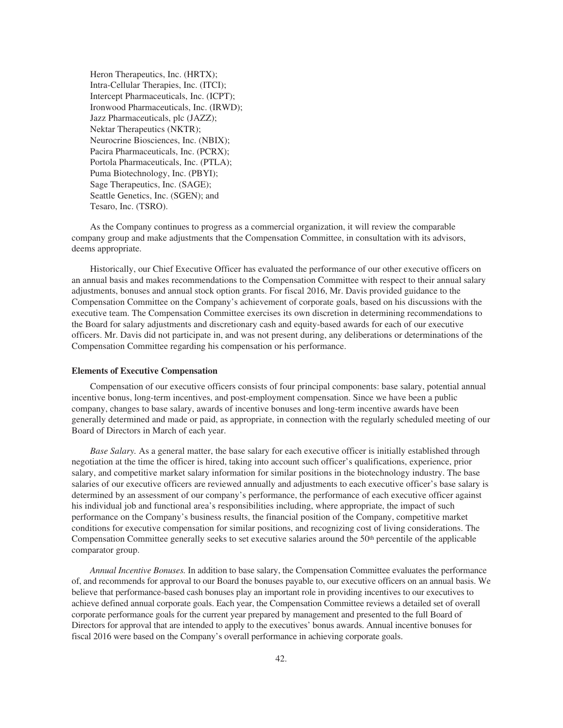Heron Therapeutics, Inc. (HRTX); Intra-Cellular Therapies, Inc. (ITCI); Intercept Pharmaceuticals, Inc. (ICPT); Ironwood Pharmaceuticals, Inc. (IRWD); Jazz Pharmaceuticals, plc (JAZZ); Nektar Therapeutics (NKTR); Neurocrine Biosciences, Inc. (NBIX); Pacira Pharmaceuticals, Inc. (PCRX); Portola Pharmaceuticals, Inc. (PTLA); Puma Biotechnology, Inc. (PBYI); Sage Therapeutics, Inc. (SAGE); Seattle Genetics, Inc. (SGEN); and Tesaro, Inc. (TSRO).

As the Company continues to progress as a commercial organization, it will review the comparable company group and make adjustments that the Compensation Committee, in consultation with its advisors, deems appropriate.

Historically, our Chief Executive Officer has evaluated the performance of our other executive officers on an annual basis and makes recommendations to the Compensation Committee with respect to their annual salary adjustments, bonuses and annual stock option grants. For fiscal 2016, Mr. Davis provided guidance to the Compensation Committee on the Company's achievement of corporate goals, based on his discussions with the executive team. The Compensation Committee exercises its own discretion in determining recommendations to the Board for salary adjustments and discretionary cash and equity-based awards for each of our executive officers. Mr. Davis did not participate in, and was not present during, any deliberations or determinations of the Compensation Committee regarding his compensation or his performance.

#### **Elements of Executive Compensation**

Compensation of our executive officers consists of four principal components: base salary, potential annual incentive bonus, long-term incentives, and post-employment compensation. Since we have been a public company, changes to base salary, awards of incentive bonuses and long-term incentive awards have been generally determined and made or paid, as appropriate, in connection with the regularly scheduled meeting of our Board of Directors in March of each year.

*Base Salary.* As a general matter, the base salary for each executive officer is initially established through negotiation at the time the officer is hired, taking into account such officer's qualifications, experience, prior salary, and competitive market salary information for similar positions in the biotechnology industry. The base salaries of our executive officers are reviewed annually and adjustments to each executive officer's base salary is determined by an assessment of our company's performance, the performance of each executive officer against his individual job and functional area's responsibilities including, where appropriate, the impact of such performance on the Company's business results, the financial position of the Company, competitive market conditions for executive compensation for similar positions, and recognizing cost of living considerations. The Compensation Committee generally seeks to set executive salaries around the  $50<sup>th</sup>$  percentile of the applicable comparator group.

*Annual Incentive Bonuses.* In addition to base salary, the Compensation Committee evaluates the performance of, and recommends for approval to our Board the bonuses payable to, our executive officers on an annual basis. We believe that performance-based cash bonuses play an important role in providing incentives to our executives to achieve defined annual corporate goals. Each year, the Compensation Committee reviews a detailed set of overall corporate performance goals for the current year prepared by management and presented to the full Board of Directors for approval that are intended to apply to the executives' bonus awards. Annual incentive bonuses for fiscal 2016 were based on the Company's overall performance in achieving corporate goals.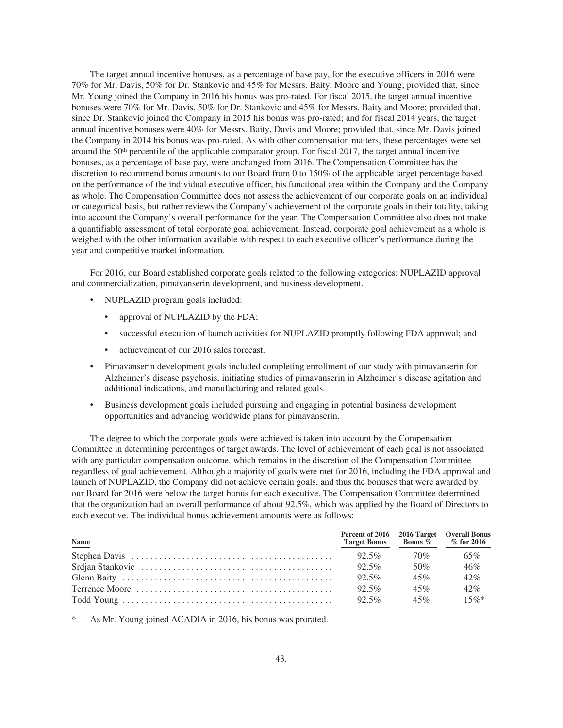The target annual incentive bonuses, as a percentage of base pay, for the executive officers in 2016 were 70% for Mr. Davis, 50% for Dr. Stankovic and 45% for Messrs. Baity, Moore and Young; provided that, since Mr. Young joined the Company in 2016 his bonus was pro-rated. For fiscal 2015, the target annual incentive bonuses were 70% for Mr. Davis, 50% for Dr. Stankovic and 45% for Messrs. Baity and Moore; provided that, since Dr. Stankovic joined the Company in 2015 his bonus was pro-rated; and for fiscal 2014 years, the target annual incentive bonuses were 40% for Messrs. Baity, Davis and Moore; provided that, since Mr. Davis joined the Company in 2014 his bonus was pro-rated. As with other compensation matters, these percentages were set around the 50th percentile of the applicable comparator group. For fiscal 2017, the target annual incentive bonuses, as a percentage of base pay, were unchanged from 2016. The Compensation Committee has the discretion to recommend bonus amounts to our Board from 0 to 150% of the applicable target percentage based on the performance of the individual executive officer, his functional area within the Company and the Company as whole. The Compensation Committee does not assess the achievement of our corporate goals on an individual or categorical basis, but rather reviews the Company's achievement of the corporate goals in their totality, taking into account the Company's overall performance for the year. The Compensation Committee also does not make a quantifiable assessment of total corporate goal achievement. Instead, corporate goal achievement as a whole is weighed with the other information available with respect to each executive officer's performance during the year and competitive market information.

For 2016, our Board established corporate goals related to the following categories: NUPLAZID approval and commercialization, pimavanserin development, and business development.

- NUPLAZID program goals included:
	- approval of NUPLAZID by the FDA;
	- successful execution of launch activities for NUPLAZID promptly following FDA approval; and
	- achievement of our 2016 sales forecast.
- Pimavanserin development goals included completing enrollment of our study with pimavanserin for Alzheimer's disease psychosis, initiating studies of pimavanserin in Alzheimer's disease agitation and additional indications, and manufacturing and related goals.
- Business development goals included pursuing and engaging in potential business development opportunities and advancing worldwide plans for pimavanserin.

The degree to which the corporate goals were achieved is taken into account by the Compensation Committee in determining percentages of target awards. The level of achievement of each goal is not associated with any particular compensation outcome, which remains in the discretion of the Compensation Committee regardless of goal achievement. Although a majority of goals were met for 2016, including the FDA approval and launch of NUPLAZID, the Company did not achieve certain goals, and thus the bonuses that were awarded by our Board for 2016 were below the target bonus for each executive. The Compensation Committee determined that the organization had an overall performance of about 92.5%, which was applied by the Board of Directors to each executive. The individual bonus achievement amounts were as follows:

| <b>Name</b> | Percent of 2016 2016 Target Overall Bonus<br>Target Bonus Bonus % % for 2016 |     |         |
|-------------|------------------------------------------------------------------------------|-----|---------|
|             | $92.5\%$                                                                     | 70% | 65%     |
|             | $92.5\%$                                                                     | 50% | 46%     |
|             | $92.5\%$                                                                     | 45% | 42%     |
|             | $92.5\%$                                                                     | 45% | 42%     |
|             | $92.5\%$                                                                     | 45% | $15\%*$ |

As Mr. Young joined ACADIA in 2016, his bonus was prorated.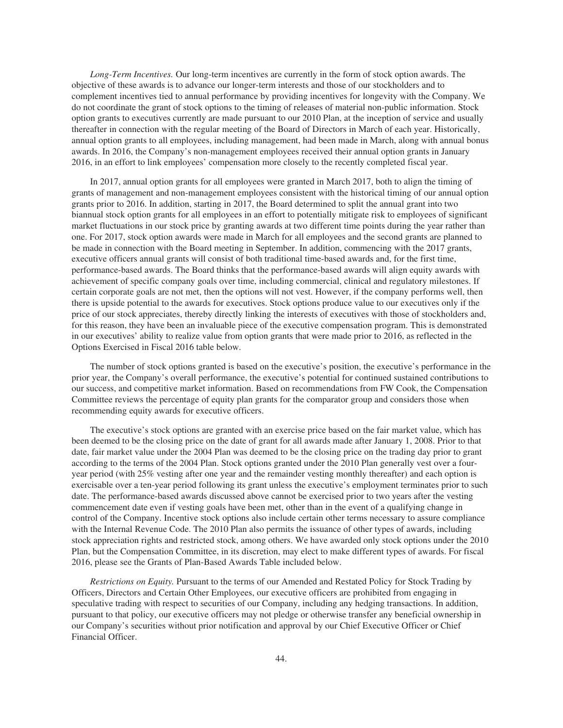*Long-Term Incentives.* Our long-term incentives are currently in the form of stock option awards. The objective of these awards is to advance our longer-term interests and those of our stockholders and to complement incentives tied to annual performance by providing incentives for longevity with the Company. We do not coordinate the grant of stock options to the timing of releases of material non-public information. Stock option grants to executives currently are made pursuant to our 2010 Plan, at the inception of service and usually thereafter in connection with the regular meeting of the Board of Directors in March of each year. Historically, annual option grants to all employees, including management, had been made in March, along with annual bonus awards. In 2016, the Company's non-management employees received their annual option grants in January 2016, in an effort to link employees' compensation more closely to the recently completed fiscal year.

In 2017, annual option grants for all employees were granted in March 2017, both to align the timing of grants of management and non-management employees consistent with the historical timing of our annual option grants prior to 2016. In addition, starting in 2017, the Board determined to split the annual grant into two biannual stock option grants for all employees in an effort to potentially mitigate risk to employees of significant market fluctuations in our stock price by granting awards at two different time points during the year rather than one. For 2017, stock option awards were made in March for all employees and the second grants are planned to be made in connection with the Board meeting in September. In addition, commencing with the 2017 grants, executive officers annual grants will consist of both traditional time-based awards and, for the first time, performance-based awards. The Board thinks that the performance-based awards will align equity awards with achievement of specific company goals over time, including commercial, clinical and regulatory milestones. If certain corporate goals are not met, then the options will not vest. However, if the company performs well, then there is upside potential to the awards for executives. Stock options produce value to our executives only if the price of our stock appreciates, thereby directly linking the interests of executives with those of stockholders and, for this reason, they have been an invaluable piece of the executive compensation program. This is demonstrated in our executives' ability to realize value from option grants that were made prior to 2016, as reflected in the Options Exercised in Fiscal 2016 table below.

The number of stock options granted is based on the executive's position, the executive's performance in the prior year, the Company's overall performance, the executive's potential for continued sustained contributions to our success, and competitive market information. Based on recommendations from FW Cook, the Compensation Committee reviews the percentage of equity plan grants for the comparator group and considers those when recommending equity awards for executive officers.

The executive's stock options are granted with an exercise price based on the fair market value, which has been deemed to be the closing price on the date of grant for all awards made after January 1, 2008. Prior to that date, fair market value under the 2004 Plan was deemed to be the closing price on the trading day prior to grant according to the terms of the 2004 Plan. Stock options granted under the 2010 Plan generally vest over a fouryear period (with 25% vesting after one year and the remainder vesting monthly thereafter) and each option is exercisable over a ten-year period following its grant unless the executive's employment terminates prior to such date. The performance-based awards discussed above cannot be exercised prior to two years after the vesting commencement date even if vesting goals have been met, other than in the event of a qualifying change in control of the Company. Incentive stock options also include certain other terms necessary to assure compliance with the Internal Revenue Code. The 2010 Plan also permits the issuance of other types of awards, including stock appreciation rights and restricted stock, among others. We have awarded only stock options under the 2010 Plan, but the Compensation Committee, in its discretion, may elect to make different types of awards. For fiscal 2016, please see the Grants of Plan-Based Awards Table included below.

*Restrictions on Equity.* Pursuant to the terms of our Amended and Restated Policy for Stock Trading by Officers, Directors and Certain Other Employees, our executive officers are prohibited from engaging in speculative trading with respect to securities of our Company, including any hedging transactions. In addition, pursuant to that policy, our executive officers may not pledge or otherwise transfer any beneficial ownership in our Company's securities without prior notification and approval by our Chief Executive Officer or Chief Financial Officer.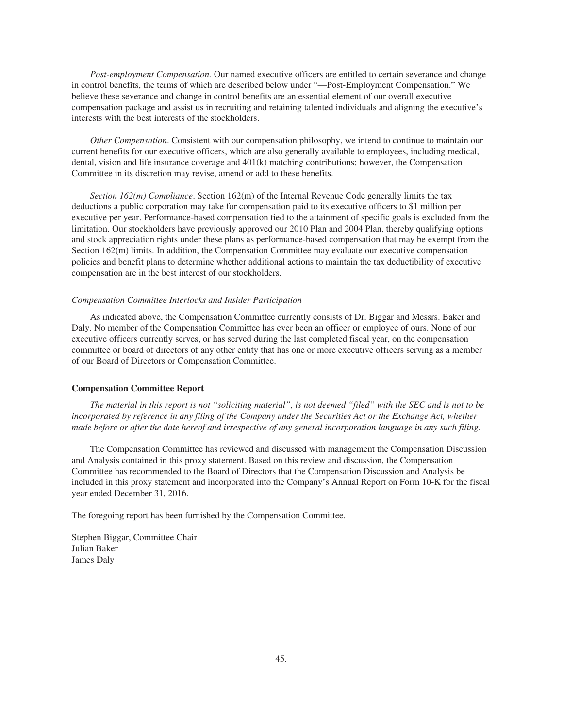*Post-employment Compensation.* Our named executive officers are entitled to certain severance and change in control benefits, the terms of which are described below under "—Post-Employment Compensation." We believe these severance and change in control benefits are an essential element of our overall executive compensation package and assist us in recruiting and retaining talented individuals and aligning the executive's interests with the best interests of the stockholders.

*Other Compensation*. Consistent with our compensation philosophy, we intend to continue to maintain our current benefits for our executive officers, which are also generally available to employees, including medical, dental, vision and life insurance coverage and 401(k) matching contributions; however, the Compensation Committee in its discretion may revise, amend or add to these benefits.

*Section 162(m) Compliance*. Section 162(m) of the Internal Revenue Code generally limits the tax deductions a public corporation may take for compensation paid to its executive officers to \$1 million per executive per year. Performance-based compensation tied to the attainment of specific goals is excluded from the limitation. Our stockholders have previously approved our 2010 Plan and 2004 Plan, thereby qualifying options and stock appreciation rights under these plans as performance-based compensation that may be exempt from the Section 162(m) limits. In addition, the Compensation Committee may evaluate our executive compensation policies and benefit plans to determine whether additional actions to maintain the tax deductibility of executive compensation are in the best interest of our stockholders.

#### *Compensation Committee Interlocks and Insider Participation*

As indicated above, the Compensation Committee currently consists of Dr. Biggar and Messrs. Baker and Daly. No member of the Compensation Committee has ever been an officer or employee of ours. None of our executive officers currently serves, or has served during the last completed fiscal year, on the compensation committee or board of directors of any other entity that has one or more executive officers serving as a member of our Board of Directors or Compensation Committee.

### **Compensation Committee Report**

*The material in this report is not "soliciting material", is not deemed "filed" with the SEC and is not to be incorporated by reference in any filing of the Company under the Securities Act or the Exchange Act, whether made before or after the date hereof and irrespective of any general incorporation language in any such filing.*

The Compensation Committee has reviewed and discussed with management the Compensation Discussion and Analysis contained in this proxy statement. Based on this review and discussion, the Compensation Committee has recommended to the Board of Directors that the Compensation Discussion and Analysis be included in this proxy statement and incorporated into the Company's Annual Report on Form 10-K for the fiscal year ended December 31, 2016.

The foregoing report has been furnished by the Compensation Committee.

Stephen Biggar, Committee Chair Julian Baker James Daly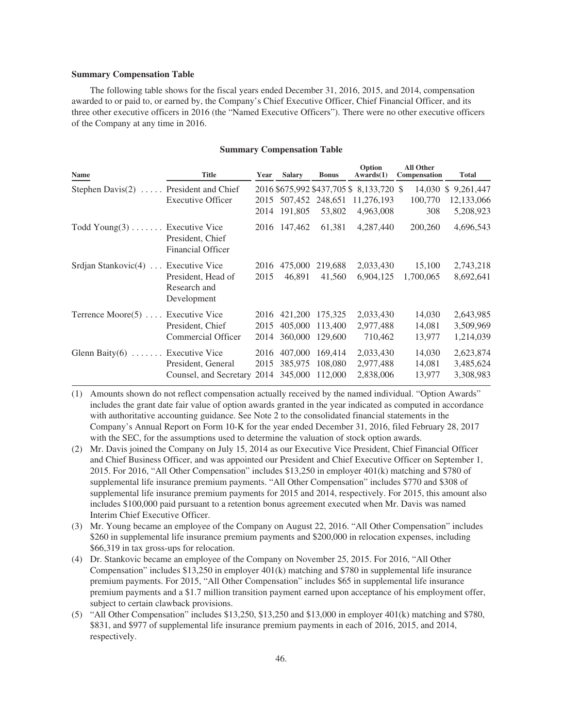## **Summary Compensation Table**

The following table shows for the fiscal years ended December 31, 2016, 2015, and 2014, compensation awarded to or paid to, or earned by, the Company's Chief Executive Officer, Chief Financial Officer, and its three other executive officers in 2016 (the "Named Executive Officers"). There were no other executive officers of the Company at any time in 2016.

## **Summary Compensation Table**

| <b>Name</b>                         | <b>Title</b>                                                          | Year                 | <b>Salary</b>                      | <b>Bonus</b>                  | Option<br>Awards(1)                                                | <b>All Other</b><br><b>Compensation</b> | <b>Total</b>                                         |
|-------------------------------------|-----------------------------------------------------------------------|----------------------|------------------------------------|-------------------------------|--------------------------------------------------------------------|-----------------------------------------|------------------------------------------------------|
| Stephen Davis $(2)$                 | President and Chief<br><b>Executive Officer</b>                       | 2015<br>2014         | 507,452 248,651<br>191,805         | 53,802                        | 2016 \$675,992 \$437,705 \$8,133,720 \$<br>11,276,193<br>4,963,008 | 14.030<br>100,770<br>308                | 9,261,447<br>$\mathbb{S}$<br>12,133,066<br>5,208,923 |
| Todd $Young(3)$                     | <b>Executive Vice</b><br>President, Chief<br><b>Financial Officer</b> |                      | 2016 147,462                       | 61,381                        | 4,287,440                                                          | 200,260                                 | 4,696,543                                            |
| Srdjan Stankovic(4)  Executive Vice | President, Head of<br>Research and<br>Development                     | 2016<br>2015         | 475,000<br>46,891                  | 219,688<br>41,560             | 2,033,430<br>6,904,125                                             | 15,100<br>1,700,065                     | 2,743,218<br>8,692,641                               |
| Terrence Moore(5)  Executive Vice   | President, Chief<br>Commercial Officer                                | 2015<br>2014         | 2016 421,200<br>405,000<br>360,000 | 175,325<br>113,400<br>129,600 | 2,033,430<br>2,977,488<br>710,462                                  | 14,030<br>14,081<br>13,977              | 2,643,985<br>3,509,969<br>1,214,039                  |
| Glenn Baity $(6)$ Executive Vice    | President, General<br>Counsel, and Secretary                          | 2016<br>2015<br>2014 | 407,000<br>385,975<br>345,000      | 169,414<br>108,080<br>112,000 | 2,033,430<br>2,977,488<br>2,838,006                                | 14,030<br>14,081<br>13,977              | 2,623,874<br>3,485,624<br>3,308,983                  |

(1) Amounts shown do not reflect compensation actually received by the named individual. "Option Awards" includes the grant date fair value of option awards granted in the year indicated as computed in accordance with authoritative accounting guidance. See Note 2 to the consolidated financial statements in the Company's Annual Report on Form 10-K for the year ended December 31, 2016, filed February 28, 2017 with the SEC, for the assumptions used to determine the valuation of stock option awards.

- (2) Mr. Davis joined the Company on July 15, 2014 as our Executive Vice President, Chief Financial Officer and Chief Business Officer, and was appointed our President and Chief Executive Officer on September 1, 2015. For 2016, "All Other Compensation" includes \$13,250 in employer 401(k) matching and \$780 of supplemental life insurance premium payments. "All Other Compensation" includes \$770 and \$308 of supplemental life insurance premium payments for 2015 and 2014, respectively. For 2015, this amount also includes \$100,000 paid pursuant to a retention bonus agreement executed when Mr. Davis was named Interim Chief Executive Officer.
- (3) Mr. Young became an employee of the Company on August 22, 2016. "All Other Compensation" includes \$260 in supplemental life insurance premium payments and \$200,000 in relocation expenses, including \$66,319 in tax gross-ups for relocation.
- (4) Dr. Stankovic became an employee of the Company on November 25, 2015. For 2016, "All Other Compensation" includes \$13,250 in employer 401(k) matching and \$780 in supplemental life insurance premium payments. For 2015, "All Other Compensation" includes \$65 in supplemental life insurance premium payments and a \$1.7 million transition payment earned upon acceptance of his employment offer, subject to certain clawback provisions.
- (5) "All Other Compensation" includes \$13,250, \$13,250 and \$13,000 in employer 401(k) matching and \$780, \$831, and \$977 of supplemental life insurance premium payments in each of 2016, 2015, and 2014, respectively.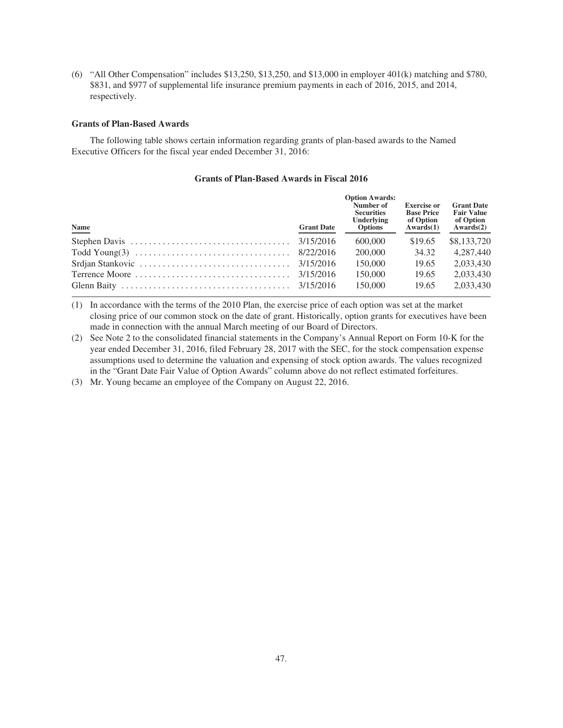(6) "All Other Compensation" includes \$13,250, \$13,250, and \$13,000 in employer 401(k) matching and \$780, \$831, and \$977 of supplemental life insurance premium payments in each of 2016, 2015, and 2014, respectively.

## **Grants of Plan-Based Awards**

The following table shows certain information regarding grants of plan-based awards to the Named Executive Officers for the fiscal year ended December 31, 2016:

## **Grants of Plan-Based Awards in Fiscal 2016**

| Name                                                                                               | <b>Grant Date</b> | <b>Option Awards:</b><br>Number of<br><b>Securities</b><br>Underlying<br><b>Options</b> | <b>Exercise or</b><br><b>Base Price</b><br>of Option<br>Awards(1) | <b>Grant Date</b><br><b>Fair Value</b><br>of Option<br>Awards(2) |
|----------------------------------------------------------------------------------------------------|-------------------|-----------------------------------------------------------------------------------------|-------------------------------------------------------------------|------------------------------------------------------------------|
|                                                                                                    |                   | 600,000                                                                                 | \$19.65                                                           | \$8,133,720                                                      |
|                                                                                                    |                   | 200,000                                                                                 | 34.32                                                             | 4.287.440                                                        |
| Srdjan Stankovic $\ldots \ldots \ldots \ldots \ldots \ldots \ldots \ldots \ldots \ldots$ 3/15/2016 |                   | 150,000                                                                                 | 19.65                                                             | 2.033.430                                                        |
|                                                                                                    |                   | 150,000                                                                                 | 19.65                                                             | 2,033,430                                                        |
|                                                                                                    |                   | 150,000                                                                                 | 19.65                                                             | 2,033,430                                                        |

(1) In accordance with the terms of the 2010 Plan, the exercise price of each option was set at the market closing price of our common stock on the date of grant. Historically, option grants for executives have been made in connection with the annual March meeting of our Board of Directors.

(2) See Note 2 to the consolidated financial statements in the Company's Annual Report on Form 10-K for the year ended December 31, 2016, filed February 28, 2017 with the SEC, for the stock compensation expense assumptions used to determine the valuation and expensing of stock option awards. The values recognized in the "Grant Date Fair Value of Option Awards" column above do not reflect estimated forfeitures.

(3) Mr. Young became an employee of the Company on August 22, 2016.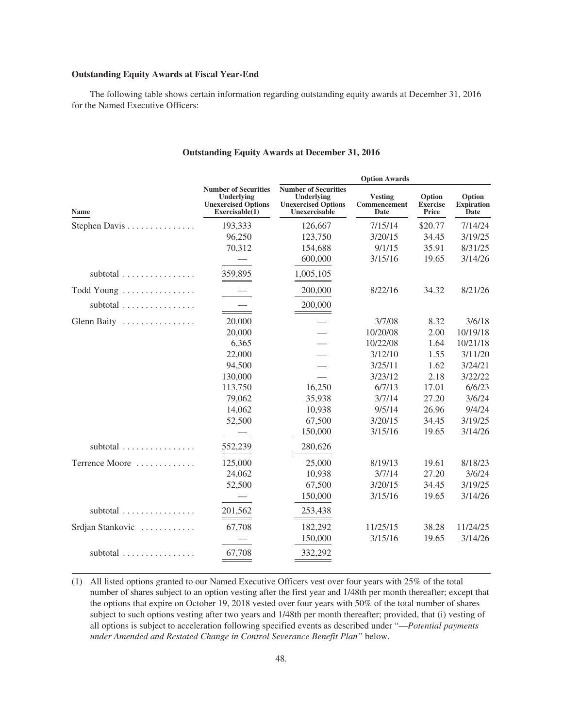## **Outstanding Equity Awards at Fiscal Year-End**

The following table shows certain information regarding outstanding equity awards at December 31, 2016 for the Named Executive Officers:

|                                        |                                                                                            | <b>Option Awards</b>                                                                     |                                        |                                           |                                     |
|----------------------------------------|--------------------------------------------------------------------------------------------|------------------------------------------------------------------------------------------|----------------------------------------|-------------------------------------------|-------------------------------------|
| Name                                   | <b>Number of Securities</b><br>Underlying<br><b>Unexercised Options</b><br>Exerciseable(1) | <b>Number of Securities</b><br>Underlying<br><b>Unexercised Options</b><br>Unexercisable | <b>Vesting</b><br>Commencement<br>Date | Option<br><b>Exercise</b><br><b>Price</b> | Option<br><b>Expiration</b><br>Date |
| Stephen Davis                          | 193,333                                                                                    | 126,667                                                                                  | 7/15/14                                | \$20.77                                   | 7/14/24                             |
|                                        | 96,250                                                                                     | 123,750                                                                                  | 3/20/15                                | 34.45                                     | 3/19/25                             |
|                                        | 70,312                                                                                     | 154,688                                                                                  | 9/1/15                                 | 35.91                                     | 8/31/25                             |
|                                        |                                                                                            | 600,000                                                                                  | 3/15/16                                | 19.65                                     | 3/14/26                             |
| subtotal                               | 359,895                                                                                    | 1,005,105                                                                                |                                        |                                           |                                     |
| Todd Young                             |                                                                                            | 200,000                                                                                  | 8/22/16                                | 34.32                                     | 8/21/26                             |
| subtotal $\ldots \ldots \ldots \ldots$ |                                                                                            | 200,000                                                                                  |                                        |                                           |                                     |
| Glenn Baity                            | 20,000                                                                                     |                                                                                          | 3/7/08                                 | 8.32                                      | 3/6/18                              |
|                                        | 20,000                                                                                     |                                                                                          | 10/20/08                               | 2.00                                      | 10/19/18                            |
|                                        | 6,365                                                                                      |                                                                                          | 10/22/08                               | 1.64                                      | 10/21/18                            |
|                                        | 22,000                                                                                     |                                                                                          | 3/12/10                                | 1.55                                      | 3/11/20                             |
|                                        | 94,500                                                                                     |                                                                                          | 3/25/11                                | 1.62                                      | 3/24/21                             |
|                                        | 130,000                                                                                    |                                                                                          | 3/23/12                                | 2.18                                      | 3/22/22                             |
|                                        | 113,750                                                                                    | 16,250                                                                                   | 6/7/13                                 | 17.01                                     | 6/6/23                              |
|                                        | 79,062                                                                                     | 35,938                                                                                   | 3/7/14                                 | 27.20                                     | 3/6/24                              |
|                                        | 14,062                                                                                     | 10,938                                                                                   | 9/5/14                                 | 26.96                                     | 9/4/24                              |
|                                        | 52,500                                                                                     | 67,500                                                                                   | 3/20/15                                | 34.45                                     | 3/19/25                             |
|                                        |                                                                                            | 150,000                                                                                  | 3/15/16                                | 19.65                                     | 3/14/26                             |
| subtotal $\ldots \ldots \ldots \ldots$ | 552,239                                                                                    | 280,626                                                                                  |                                        |                                           |                                     |
| Terrence Moore                         | 125,000                                                                                    | 25,000                                                                                   | 8/19/13                                | 19.61                                     | 8/18/23                             |
|                                        | 24,062                                                                                     | 10,938                                                                                   | 3/7/14                                 | 27.20                                     | 3/6/24                              |
|                                        | 52,500                                                                                     | 67,500                                                                                   | 3/20/15                                | 34.45                                     | 3/19/25                             |
|                                        |                                                                                            | 150,000                                                                                  | 3/15/16                                | 19.65                                     | 3/14/26                             |
| subtotal                               | 201.562                                                                                    | 253,438                                                                                  |                                        |                                           |                                     |
| Srdjan Stankovic                       | 67,708                                                                                     | 182,292                                                                                  | 11/25/15                               | 38.28                                     | 11/24/25                            |
|                                        |                                                                                            | 150,000                                                                                  | 3/15/16                                | 19.65                                     | 3/14/26                             |
| subtotal                               | 67,708                                                                                     | 332,292                                                                                  |                                        |                                           |                                     |

# **Outstanding Equity Awards at December 31, 2016**

(1) All listed options granted to our Named Executive Officers vest over four years with 25% of the total number of shares subject to an option vesting after the first year and 1/48th per month thereafter; except that the options that expire on October 19, 2018 vested over four years with 50% of the total number of shares subject to such options vesting after two years and 1/48th per month thereafter; provided, that (i) vesting of all options is subject to acceleration following specified events as described under "—*Potential payments under Amended and Restated Change in Control Severance Benefit Plan"* below.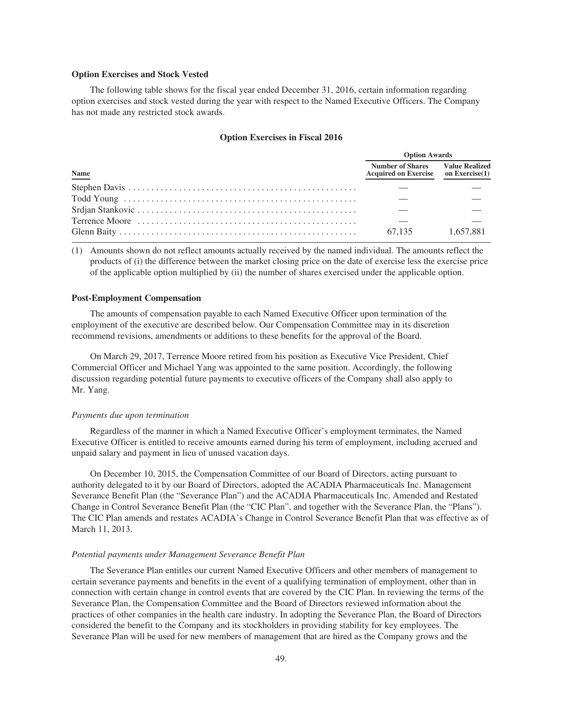## **Option Exercises and Stock Vested**

The following table shows for the fiscal year ended December 31, 2016, certain information regarding option exercises and stock vested during the year with respect to the Named Executive Officers. The Company has not made any restricted stock awards.

### **Option Exercises in Fiscal 2016**

|      | <b>Option Awards</b>                                                          |           |  |  |
|------|-------------------------------------------------------------------------------|-----------|--|--|
| Name | <b>Number of Shares</b> Value Realized<br>Acquired on Exercise on Exercise(1) |           |  |  |
|      |                                                                               |           |  |  |
|      |                                                                               |           |  |  |
|      |                                                                               |           |  |  |
|      |                                                                               |           |  |  |
|      | 67.135                                                                        | 1.657.881 |  |  |

(1) Amounts shown do not reflect amounts actually received by the named individual. The amounts reflect the products of (i) the difference between the market closing price on the date of exercise less the exercise price of the applicable option multiplied by (ii) the number of shares exercised under the applicable option.

## **Post-Employment Compensation**

The amounts of compensation payable to each Named Executive Officer upon termination of the employment of the executive are described below. Our Compensation Committee may in its discretion recommend revisions, amendments or additions to these benefits for the approval of the Board.

On March 29, 2017, Terrence Moore retired from his position as Executive Vice President, Chief Commercial Officer and Michael Yang was appointed to the same position. Accordingly, the following discussion regarding potential future payments to executive officers of the Company shall also apply to Mr. Yang.

### *Payments due upon termination*

Regardless of the manner in which a Named Executive Officer's employment terminates, the Named Executive Officer is entitled to receive amounts earned during his term of employment, including accrued and unpaid salary and payment in lieu of unused vacation days.

On December 10, 2015, the Compensation Committee of our Board of Directors, acting pursuant to authority delegated to it by our Board of Directors, adopted the ACADIA Pharmaceuticals Inc. Management Severance Benefit Plan (the "Severance Plan") and the ACADIA Pharmaceuticals Inc. Amended and Restated Change in Control Severance Benefit Plan (the "CIC Plan", and together with the Severance Plan, the "Plans"). The CIC Plan amends and restates ACADIA's Change in Control Severance Benefit Plan that was effective as of March 11, 2013.

#### *Potential payments under Management Severance Benefit Plan*

The Severance Plan entitles our current Named Executive Officers and other members of management to certain severance payments and benefits in the event of a qualifying termination of employment, other than in connection with certain change in control events that are covered by the CIC Plan. In reviewing the terms of the Severance Plan, the Compensation Committee and the Board of Directors reviewed information about the practices of other companies in the health care industry. In adopting the Severance Plan, the Board of Directors considered the benefit to the Company and its stockholders in providing stability for key employees. The Severance Plan will be used for new members of management that are hired as the Company grows and the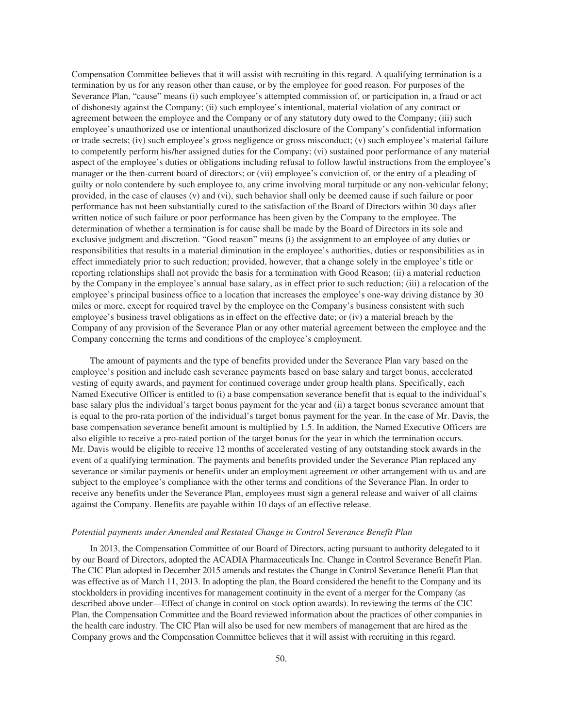Compensation Committee believes that it will assist with recruiting in this regard. A qualifying termination is a termination by us for any reason other than cause, or by the employee for good reason. For purposes of the Severance Plan, "cause" means (i) such employee's attempted commission of, or participation in, a fraud or act of dishonesty against the Company; (ii) such employee's intentional, material violation of any contract or agreement between the employee and the Company or of any statutory duty owed to the Company; (iii) such employee's unauthorized use or intentional unauthorized disclosure of the Company's confidential information or trade secrets; (iv) such employee's gross negligence or gross misconduct; (v) such employee's material failure to competently perform his/her assigned duties for the Company; (vi) sustained poor performance of any material aspect of the employee's duties or obligations including refusal to follow lawful instructions from the employee's manager or the then-current board of directors; or (vii) employee's conviction of, or the entry of a pleading of guilty or nolo contendere by such employee to, any crime involving moral turpitude or any non-vehicular felony; provided, in the case of clauses (v) and (vi), such behavior shall only be deemed cause if such failure or poor performance has not been substantially cured to the satisfaction of the Board of Directors within 30 days after written notice of such failure or poor performance has been given by the Company to the employee. The determination of whether a termination is for cause shall be made by the Board of Directors in its sole and exclusive judgment and discretion. "Good reason" means (i) the assignment to an employee of any duties or responsibilities that results in a material diminution in the employee's authorities, duties or responsibilities as in effect immediately prior to such reduction; provided, however, that a change solely in the employee's title or reporting relationships shall not provide the basis for a termination with Good Reason; (ii) a material reduction by the Company in the employee's annual base salary, as in effect prior to such reduction; (iii) a relocation of the employee's principal business office to a location that increases the employee's one-way driving distance by 30 miles or more, except for required travel by the employee on the Company's business consistent with such employee's business travel obligations as in effect on the effective date; or (iv) a material breach by the Company of any provision of the Severance Plan or any other material agreement between the employee and the Company concerning the terms and conditions of the employee's employment.

The amount of payments and the type of benefits provided under the Severance Plan vary based on the employee's position and include cash severance payments based on base salary and target bonus, accelerated vesting of equity awards, and payment for continued coverage under group health plans. Specifically, each Named Executive Officer is entitled to (i) a base compensation severance benefit that is equal to the individual's base salary plus the individual's target bonus payment for the year and (ii) a target bonus severance amount that is equal to the pro-rata portion of the individual's target bonus payment for the year. In the case of Mr. Davis, the base compensation severance benefit amount is multiplied by 1.5. In addition, the Named Executive Officers are also eligible to receive a pro-rated portion of the target bonus for the year in which the termination occurs. Mr. Davis would be eligible to receive 12 months of accelerated vesting of any outstanding stock awards in the event of a qualifying termination. The payments and benefits provided under the Severance Plan replaced any severance or similar payments or benefits under an employment agreement or other arrangement with us and are subject to the employee's compliance with the other terms and conditions of the Severance Plan. In order to receive any benefits under the Severance Plan, employees must sign a general release and waiver of all claims against the Company. Benefits are payable within 10 days of an effective release.

## *Potential payments under Amended and Restated Change in Control Severance Benefit Plan*

In 2013, the Compensation Committee of our Board of Directors, acting pursuant to authority delegated to it by our Board of Directors, adopted the ACADIA Pharmaceuticals Inc. Change in Control Severance Benefit Plan. The CIC Plan adopted in December 2015 amends and restates the Change in Control Severance Benefit Plan that was effective as of March 11, 2013. In adopting the plan, the Board considered the benefit to the Company and its stockholders in providing incentives for management continuity in the event of a merger for the Company (as described above under—Effect of change in control on stock option awards). In reviewing the terms of the CIC Plan, the Compensation Committee and the Board reviewed information about the practices of other companies in the health care industry. The CIC Plan will also be used for new members of management that are hired as the Company grows and the Compensation Committee believes that it will assist with recruiting in this regard.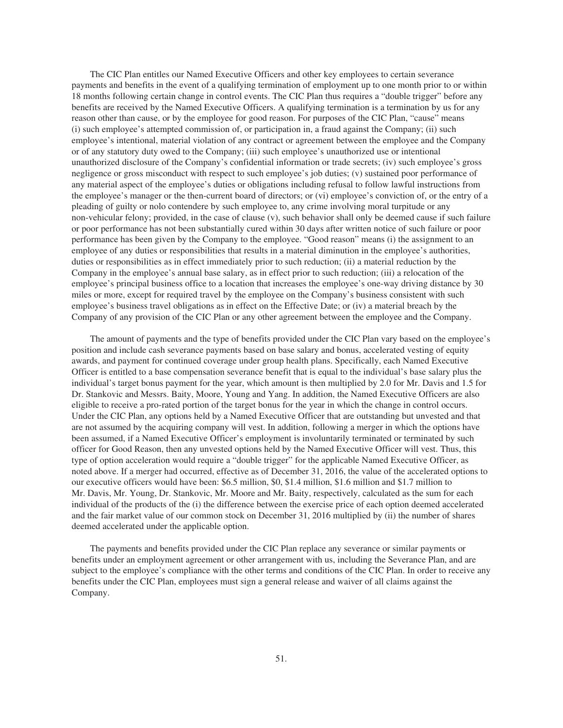The CIC Plan entitles our Named Executive Officers and other key employees to certain severance payments and benefits in the event of a qualifying termination of employment up to one month prior to or within 18 months following certain change in control events. The CIC Plan thus requires a "double trigger" before any benefits are received by the Named Executive Officers. A qualifying termination is a termination by us for any reason other than cause, or by the employee for good reason. For purposes of the CIC Plan, "cause" means (i) such employee's attempted commission of, or participation in, a fraud against the Company; (ii) such employee's intentional, material violation of any contract or agreement between the employee and the Company or of any statutory duty owed to the Company; (iii) such employee's unauthorized use or intentional unauthorized disclosure of the Company's confidential information or trade secrets; (iv) such employee's gross negligence or gross misconduct with respect to such employee's job duties; (v) sustained poor performance of any material aspect of the employee's duties or obligations including refusal to follow lawful instructions from the employee's manager or the then-current board of directors; or (vi) employee's conviction of, or the entry of a pleading of guilty or nolo contendere by such employee to, any crime involving moral turpitude or any non-vehicular felony; provided, in the case of clause (v), such behavior shall only be deemed cause if such failure or poor performance has not been substantially cured within 30 days after written notice of such failure or poor performance has been given by the Company to the employee. "Good reason" means (i) the assignment to an employee of any duties or responsibilities that results in a material diminution in the employee's authorities, duties or responsibilities as in effect immediately prior to such reduction; (ii) a material reduction by the Company in the employee's annual base salary, as in effect prior to such reduction; (iii) a relocation of the employee's principal business office to a location that increases the employee's one-way driving distance by 30 miles or more, except for required travel by the employee on the Company's business consistent with such employee's business travel obligations as in effect on the Effective Date; or (iv) a material breach by the Company of any provision of the CIC Plan or any other agreement between the employee and the Company.

The amount of payments and the type of benefits provided under the CIC Plan vary based on the employee's position and include cash severance payments based on base salary and bonus, accelerated vesting of equity awards, and payment for continued coverage under group health plans. Specifically, each Named Executive Officer is entitled to a base compensation severance benefit that is equal to the individual's base salary plus the individual's target bonus payment for the year, which amount is then multiplied by 2.0 for Mr. Davis and 1.5 for Dr. Stankovic and Messrs. Baity, Moore, Young and Yang. In addition, the Named Executive Officers are also eligible to receive a pro-rated portion of the target bonus for the year in which the change in control occurs. Under the CIC Plan, any options held by a Named Executive Officer that are outstanding but unvested and that are not assumed by the acquiring company will vest. In addition, following a merger in which the options have been assumed, if a Named Executive Officer's employment is involuntarily terminated or terminated by such officer for Good Reason, then any unvested options held by the Named Executive Officer will vest. Thus, this type of option acceleration would require a "double trigger" for the applicable Named Executive Officer, as noted above. If a merger had occurred, effective as of December 31, 2016, the value of the accelerated options to our executive officers would have been: \$6.5 million, \$0, \$1.4 million, \$1.6 million and \$1.7 million to Mr. Davis, Mr. Young, Dr. Stankovic, Mr. Moore and Mr. Baity, respectively, calculated as the sum for each individual of the products of the (i) the difference between the exercise price of each option deemed accelerated and the fair market value of our common stock on December 31, 2016 multiplied by (ii) the number of shares deemed accelerated under the applicable option.

The payments and benefits provided under the CIC Plan replace any severance or similar payments or benefits under an employment agreement or other arrangement with us, including the Severance Plan, and are subject to the employee's compliance with the other terms and conditions of the CIC Plan. In order to receive any benefits under the CIC Plan, employees must sign a general release and waiver of all claims against the Company.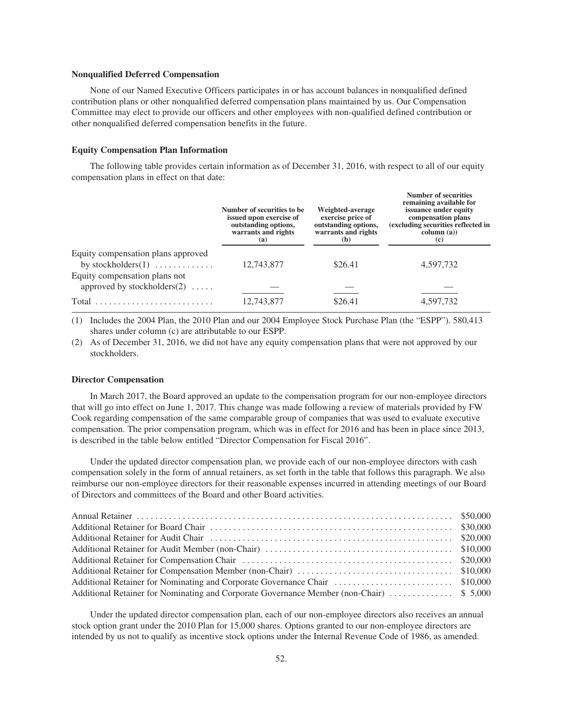### **Nonqualified Deferred Compensation**

None of our Named Executive Officers participates in or has account balances in nonqualified defined contribution plans or other nonqualified deferred compensation plans maintained by us. Our Compensation Committee may elect to provide our officers and other employees with non-qualified defined contribution or other nonqualified deferred compensation benefits in the future.

#### **Equity Compensation Plan Information**

The following table provides certain information as of December 31, 2016, with respect to all of our equity compensation plans in effect on that date:

|                                                                 | Number of securities to be.<br>issued upon exercise of<br>outstanding options,<br>warrants and rights<br>(a) | Weighted-average<br>exercise price of<br>outstanding options,<br>warrants and rights<br>(b) | <b>Number of securities</b><br>remaining available for<br>issuance under equity<br>compensation plans<br>(excluding securities reflected in<br>column (a))<br>(c) |
|-----------------------------------------------------------------|--------------------------------------------------------------------------------------------------------------|---------------------------------------------------------------------------------------------|-------------------------------------------------------------------------------------------------------------------------------------------------------------------|
| Equity compensation plans approved<br>by stockholders $(1)$     | 12,743,877                                                                                                   | \$26.41                                                                                     | 4,597,732                                                                                                                                                         |
| Equity compensation plans not<br>approved by stockholders $(2)$ |                                                                                                              |                                                                                             |                                                                                                                                                                   |
|                                                                 | 12,743,877                                                                                                   | \$26.41                                                                                     | 4,597,732                                                                                                                                                         |

(1) Includes the 2004 Plan, the 2010 Plan and our 2004 Employee Stock Purchase Plan (the "ESPP"). 580,413 shares under column (c) are attributable to our ESPP.

(2) As of December 31, 2016, we did not have any equity compensation plans that were not approved by our stockholders.

#### **Director Compensation**

In March 2017, the Board approved an update to the compensation program for our non-employee directors that will go into effect on June 1, 2017. This change was made following a review of materials provided by FW Cook regarding compensation of the same comparable group of companies that was used to evaluate executive compensation. The prior compensation program, which was in effect for 2016 and has been in place since 2013, is described in the table below entitled "Director Compensation for Fiscal 2016".

Under the updated director compensation plan, we provide each of our non-employee directors with cash compensation solely in the form of annual retainers, as set forth in the table that follows this paragraph. We also reimburse our non-employee directors for their reasonable expenses incurred in attending meetings of our Board of Directors and committees of the Board and other Board activities.

Under the updated director compensation plan, each of our non-employee directors also receives an annual stock option grant under the 2010 Plan for 15,000 shares. Options granted to our non-employee directors are intended by us not to qualify as incentive stock options under the Internal Revenue Code of 1986, as amended.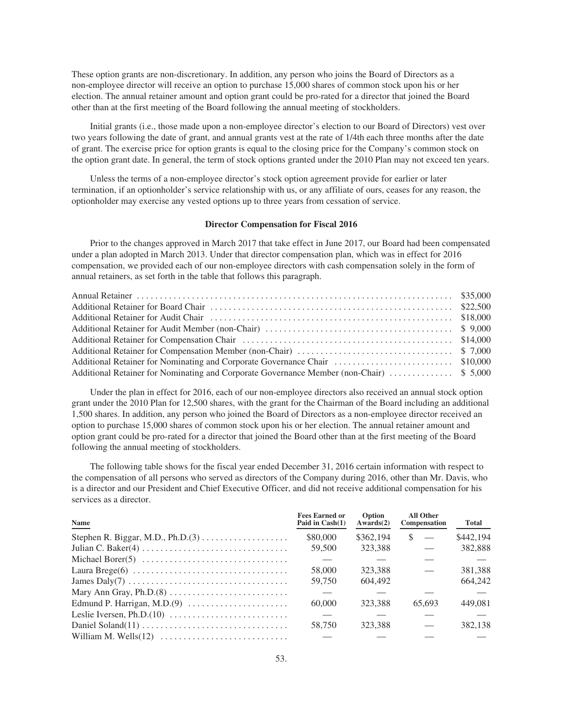These option grants are non-discretionary. In addition, any person who joins the Board of Directors as a non-employee director will receive an option to purchase 15,000 shares of common stock upon his or her election. The annual retainer amount and option grant could be pro-rated for a director that joined the Board other than at the first meeting of the Board following the annual meeting of stockholders.

Initial grants (i.e., those made upon a non-employee director's election to our Board of Directors) vest over two years following the date of grant, and annual grants vest at the rate of 1/4th each three months after the date of grant. The exercise price for option grants is equal to the closing price for the Company's common stock on the option grant date. In general, the term of stock options granted under the 2010 Plan may not exceed ten years.

Unless the terms of a non-employee director's stock option agreement provide for earlier or later termination, if an optionholder's service relationship with us, or any affiliate of ours, ceases for any reason, the optionholder may exercise any vested options up to three years from cessation of service.

### **Director Compensation for Fiscal 2016**

Prior to the changes approved in March 2017 that take effect in June 2017, our Board had been compensated under a plan adopted in March 2013. Under that director compensation plan, which was in effect for 2016 compensation, we provided each of our non-employee directors with cash compensation solely in the form of annual retainers, as set forth in the table that follows this paragraph.

Under the plan in effect for 2016, each of our non-employee directors also received an annual stock option grant under the 2010 Plan for 12,500 shares, with the grant for the Chairman of the Board including an additional 1,500 shares. In addition, any person who joined the Board of Directors as a non-employee director received an option to purchase 15,000 shares of common stock upon his or her election. The annual retainer amount and option grant could be pro-rated for a director that joined the Board other than at the first meeting of the Board following the annual meeting of stockholders.

The following table shows for the fiscal year ended December 31, 2016 certain information with respect to the compensation of all persons who served as directors of the Company during 2016, other than Mr. Davis, who is a director and our President and Chief Executive Officer, and did not receive additional compensation for his services as a director.

| Name                                                                              | <b>Fees Earned or</b><br>Paid in Cash(1) | Option<br>Awards(2) | <b>All Other</b><br><b>Compensation</b> | Total     |
|-----------------------------------------------------------------------------------|------------------------------------------|---------------------|-----------------------------------------|-----------|
|                                                                                   | \$80,000                                 | \$362,194           | -S<br>$\overline{\phantom{a}}$          | \$442,194 |
|                                                                                   | 59,500                                   | 323.388             |                                         | 382,888   |
| Michael Borer(5) $\dots \dots \dots \dots \dots \dots \dots \dots \dots \dots$    |                                          |                     |                                         |           |
|                                                                                   | 58,000                                   | 323.388             |                                         | 381,388   |
| James Daly(7) $\dots \dots \dots \dots \dots \dots \dots \dots \dots \dots \dots$ | 59.750                                   | 604,492             |                                         | 664,242   |
|                                                                                   |                                          |                     |                                         |           |
|                                                                                   | 60,000                                   | 323.388             | 65.693                                  | 449.081   |
|                                                                                   |                                          |                     |                                         |           |
|                                                                                   | 58.750                                   | 323.388             |                                         | 382,138   |
|                                                                                   |                                          |                     |                                         |           |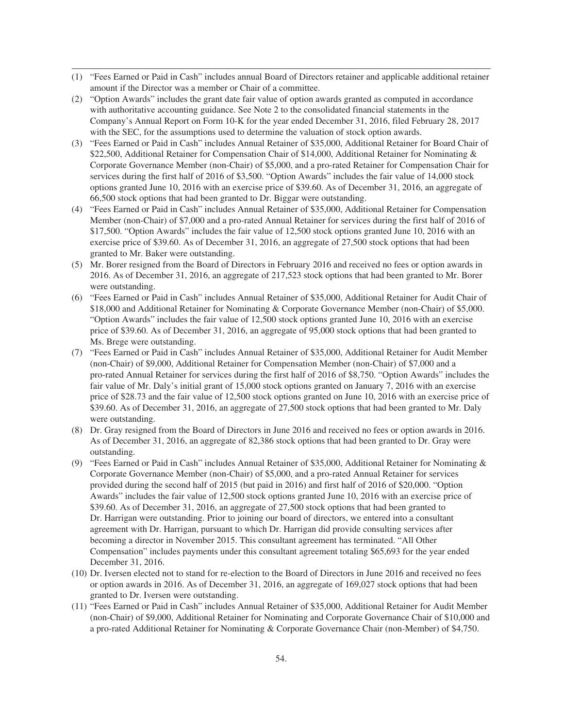- (1) "Fees Earned or Paid in Cash" includes annual Board of Directors retainer and applicable additional retainer amount if the Director was a member or Chair of a committee.
- (2) "Option Awards" includes the grant date fair value of option awards granted as computed in accordance with authoritative accounting guidance. See Note 2 to the consolidated financial statements in the Company's Annual Report on Form 10-K for the year ended December 31, 2016, filed February 28, 2017 with the SEC, for the assumptions used to determine the valuation of stock option awards.
- (3) "Fees Earned or Paid in Cash" includes Annual Retainer of \$35,000, Additional Retainer for Board Chair of \$22,500, Additional Retainer for Compensation Chair of \$14,000, Additional Retainer for Nominating & Corporate Governance Member (non-Chair) of \$5,000, and a pro-rated Retainer for Compensation Chair for services during the first half of 2016 of \$3,500. "Option Awards" includes the fair value of 14,000 stock options granted June 10, 2016 with an exercise price of \$39.60. As of December 31, 2016, an aggregate of 66,500 stock options that had been granted to Dr. Biggar were outstanding.
- (4) "Fees Earned or Paid in Cash" includes Annual Retainer of \$35,000, Additional Retainer for Compensation Member (non-Chair) of \$7,000 and a pro-rated Annual Retainer for services during the first half of 2016 of \$17,500. "Option Awards" includes the fair value of 12,500 stock options granted June 10, 2016 with an exercise price of \$39.60. As of December 31, 2016, an aggregate of 27,500 stock options that had been granted to Mr. Baker were outstanding.
- (5) Mr. Borer resigned from the Board of Directors in February 2016 and received no fees or option awards in 2016. As of December 31, 2016, an aggregate of 217,523 stock options that had been granted to Mr. Borer were outstanding.
- (6) "Fees Earned or Paid in Cash" includes Annual Retainer of \$35,000, Additional Retainer for Audit Chair of \$18,000 and Additional Retainer for Nominating & Corporate Governance Member (non-Chair) of \$5,000. "Option Awards" includes the fair value of 12,500 stock options granted June 10, 2016 with an exercise price of \$39.60. As of December 31, 2016, an aggregate of 95,000 stock options that had been granted to Ms. Brege were outstanding.
- (7) "Fees Earned or Paid in Cash" includes Annual Retainer of \$35,000, Additional Retainer for Audit Member (non-Chair) of \$9,000, Additional Retainer for Compensation Member (non-Chair) of \$7,000 and a pro-rated Annual Retainer for services during the first half of 2016 of \$8,750. "Option Awards" includes the fair value of Mr. Daly's initial grant of 15,000 stock options granted on January 7, 2016 with an exercise price of \$28.73 and the fair value of 12,500 stock options granted on June 10, 2016 with an exercise price of \$39.60. As of December 31, 2016, an aggregate of 27,500 stock options that had been granted to Mr. Daly were outstanding.
- (8) Dr. Gray resigned from the Board of Directors in June 2016 and received no fees or option awards in 2016. As of December 31, 2016, an aggregate of 82,386 stock options that had been granted to Dr. Gray were outstanding.
- (9) "Fees Earned or Paid in Cash" includes Annual Retainer of \$35,000, Additional Retainer for Nominating & Corporate Governance Member (non-Chair) of \$5,000, and a pro-rated Annual Retainer for services provided during the second half of 2015 (but paid in 2016) and first half of 2016 of \$20,000. "Option Awards" includes the fair value of 12,500 stock options granted June 10, 2016 with an exercise price of \$39.60. As of December 31, 2016, an aggregate of 27,500 stock options that had been granted to Dr. Harrigan were outstanding. Prior to joining our board of directors, we entered into a consultant agreement with Dr. Harrigan, pursuant to which Dr. Harrigan did provide consulting services after becoming a director in November 2015. This consultant agreement has terminated. "All Other Compensation" includes payments under this consultant agreement totaling \$65,693 for the year ended December 31, 2016.
- (10) Dr. Iversen elected not to stand for re-election to the Board of Directors in June 2016 and received no fees or option awards in 2016. As of December 31, 2016, an aggregate of 169,027 stock options that had been granted to Dr. Iversen were outstanding.
- (11) "Fees Earned or Paid in Cash" includes Annual Retainer of \$35,000, Additional Retainer for Audit Member (non-Chair) of \$9,000, Additional Retainer for Nominating and Corporate Governance Chair of \$10,000 and a pro-rated Additional Retainer for Nominating & Corporate Governance Chair (non-Member) of \$4,750.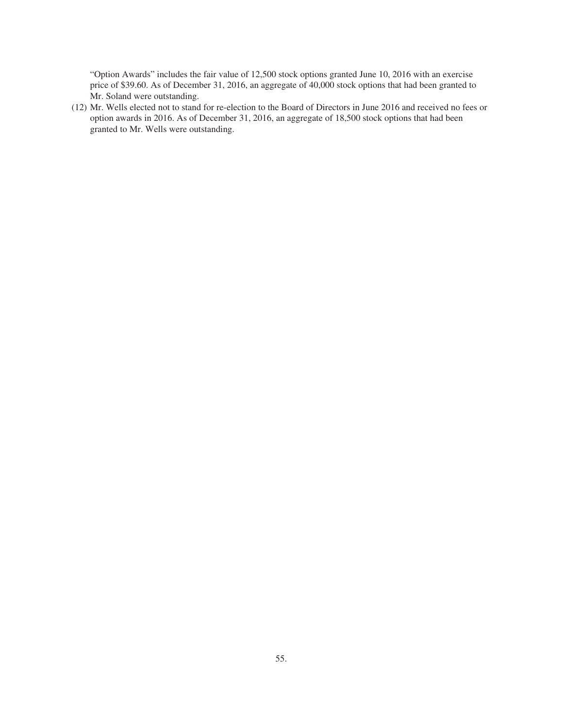"Option Awards" includes the fair value of 12,500 stock options granted June 10, 2016 with an exercise price of \$39.60. As of December 31, 2016, an aggregate of 40,000 stock options that had been granted to Mr. Soland were outstanding.

(12) Mr. Wells elected not to stand for re-election to the Board of Directors in June 2016 and received no fees or option awards in 2016. As of December 31, 2016, an aggregate of 18,500 stock options that had been granted to Mr. Wells were outstanding.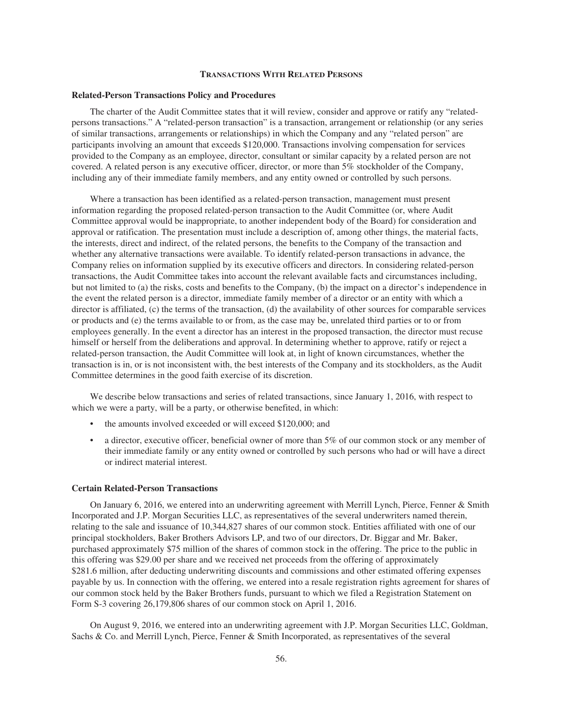## **TRANSACTIONS WITH RELATED PERSONS**

### **Related-Person Transactions Policy and Procedures**

The charter of the Audit Committee states that it will review, consider and approve or ratify any "relatedpersons transactions." A "related-person transaction" is a transaction, arrangement or relationship (or any series of similar transactions, arrangements or relationships) in which the Company and any "related person" are participants involving an amount that exceeds \$120,000. Transactions involving compensation for services provided to the Company as an employee, director, consultant or similar capacity by a related person are not covered. A related person is any executive officer, director, or more than 5% stockholder of the Company, including any of their immediate family members, and any entity owned or controlled by such persons.

Where a transaction has been identified as a related-person transaction, management must present information regarding the proposed related-person transaction to the Audit Committee (or, where Audit Committee approval would be inappropriate, to another independent body of the Board) for consideration and approval or ratification. The presentation must include a description of, among other things, the material facts, the interests, direct and indirect, of the related persons, the benefits to the Company of the transaction and whether any alternative transactions were available. To identify related-person transactions in advance, the Company relies on information supplied by its executive officers and directors. In considering related-person transactions, the Audit Committee takes into account the relevant available facts and circumstances including, but not limited to (a) the risks, costs and benefits to the Company, (b) the impact on a director's independence in the event the related person is a director, immediate family member of a director or an entity with which a director is affiliated, (c) the terms of the transaction, (d) the availability of other sources for comparable services or products and (e) the terms available to or from, as the case may be, unrelated third parties or to or from employees generally. In the event a director has an interest in the proposed transaction, the director must recuse himself or herself from the deliberations and approval. In determining whether to approve, ratify or reject a related-person transaction, the Audit Committee will look at, in light of known circumstances, whether the transaction is in, or is not inconsistent with, the best interests of the Company and its stockholders, as the Audit Committee determines in the good faith exercise of its discretion.

We describe below transactions and series of related transactions, since January 1, 2016, with respect to which we were a party, will be a party, or otherwise benefited, in which:

- the amounts involved exceeded or will exceed \$120,000; and
- a director, executive officer, beneficial owner of more than 5% of our common stock or any member of their immediate family or any entity owned or controlled by such persons who had or will have a direct or indirect material interest.

### **Certain Related-Person Transactions**

On January 6, 2016, we entered into an underwriting agreement with Merrill Lynch, Pierce, Fenner & Smith Incorporated and J.P. Morgan Securities LLC, as representatives of the several underwriters named therein, relating to the sale and issuance of 10,344,827 shares of our common stock. Entities affiliated with one of our principal stockholders, Baker Brothers Advisors LP, and two of our directors, Dr. Biggar and Mr. Baker, purchased approximately \$75 million of the shares of common stock in the offering. The price to the public in this offering was \$29.00 per share and we received net proceeds from the offering of approximately \$281.6 million, after deducting underwriting discounts and commissions and other estimated offering expenses payable by us. In connection with the offering, we entered into a resale registration rights agreement for shares of our common stock held by the Baker Brothers funds, pursuant to which we filed a Registration Statement on Form S-3 covering 26,179,806 shares of our common stock on April 1, 2016.

On August 9, 2016, we entered into an underwriting agreement with J.P. Morgan Securities LLC, Goldman, Sachs & Co. and Merrill Lynch, Pierce, Fenner & Smith Incorporated, as representatives of the several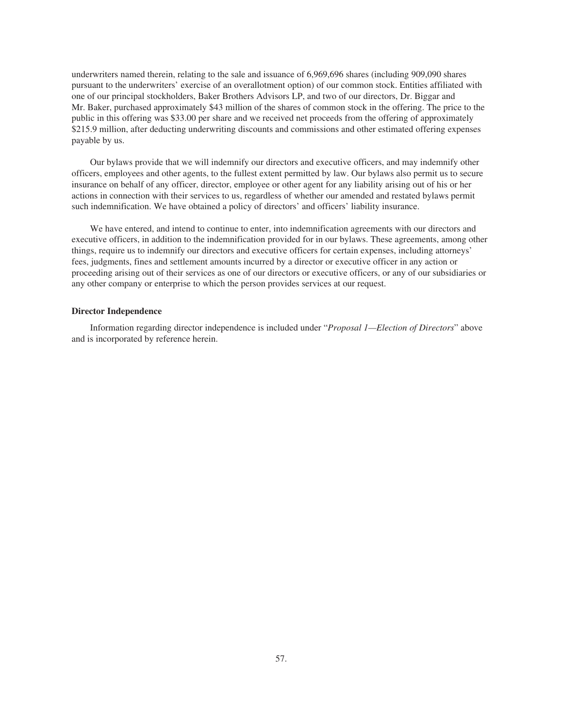underwriters named therein, relating to the sale and issuance of 6,969,696 shares (including 909,090 shares pursuant to the underwriters' exercise of an overallotment option) of our common stock. Entities affiliated with one of our principal stockholders, Baker Brothers Advisors LP, and two of our directors, Dr. Biggar and Mr. Baker, purchased approximately \$43 million of the shares of common stock in the offering. The price to the public in this offering was \$33.00 per share and we received net proceeds from the offering of approximately \$215.9 million, after deducting underwriting discounts and commissions and other estimated offering expenses payable by us.

Our bylaws provide that we will indemnify our directors and executive officers, and may indemnify other officers, employees and other agents, to the fullest extent permitted by law. Our bylaws also permit us to secure insurance on behalf of any officer, director, employee or other agent for any liability arising out of his or her actions in connection with their services to us, regardless of whether our amended and restated bylaws permit such indemnification. We have obtained a policy of directors' and officers' liability insurance.

We have entered, and intend to continue to enter, into indemnification agreements with our directors and executive officers, in addition to the indemnification provided for in our bylaws. These agreements, among other things, require us to indemnify our directors and executive officers for certain expenses, including attorneys' fees, judgments, fines and settlement amounts incurred by a director or executive officer in any action or proceeding arising out of their services as one of our directors or executive officers, or any of our subsidiaries or any other company or enterprise to which the person provides services at our request.

## **Director Independence**

Information regarding director independence is included under "*Proposal 1—Election of Directors*" above and is incorporated by reference herein.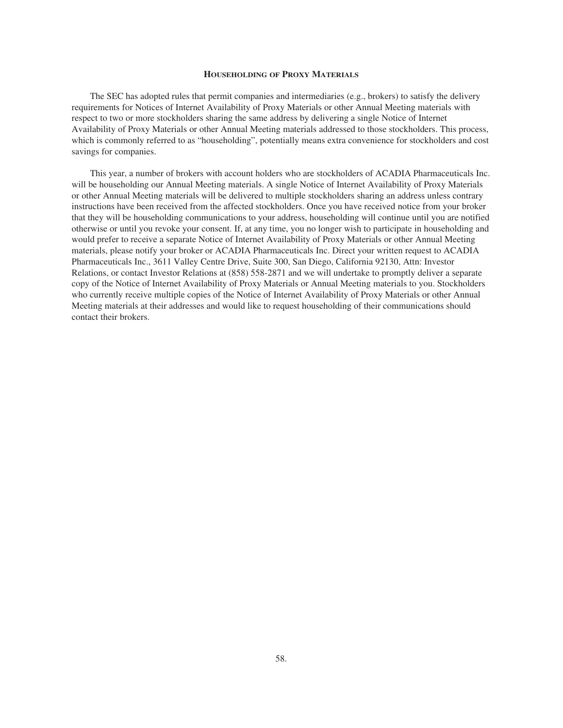## **HOUSEHOLDING OF PROXY MATERIALS**

The SEC has adopted rules that permit companies and intermediaries (e.g., brokers) to satisfy the delivery requirements for Notices of Internet Availability of Proxy Materials or other Annual Meeting materials with respect to two or more stockholders sharing the same address by delivering a single Notice of Internet Availability of Proxy Materials or other Annual Meeting materials addressed to those stockholders. This process, which is commonly referred to as "householding", potentially means extra convenience for stockholders and cost savings for companies.

This year, a number of brokers with account holders who are stockholders of ACADIA Pharmaceuticals Inc. will be householding our Annual Meeting materials. A single Notice of Internet Availability of Proxy Materials or other Annual Meeting materials will be delivered to multiple stockholders sharing an address unless contrary instructions have been received from the affected stockholders. Once you have received notice from your broker that they will be householding communications to your address, householding will continue until you are notified otherwise or until you revoke your consent. If, at any time, you no longer wish to participate in householding and would prefer to receive a separate Notice of Internet Availability of Proxy Materials or other Annual Meeting materials, please notify your broker or ACADIA Pharmaceuticals Inc. Direct your written request to ACADIA Pharmaceuticals Inc., 3611 Valley Centre Drive, Suite 300, San Diego, California 92130, Attn: Investor Relations, or contact Investor Relations at (858) 558-2871 and we will undertake to promptly deliver a separate copy of the Notice of Internet Availability of Proxy Materials or Annual Meeting materials to you. Stockholders who currently receive multiple copies of the Notice of Internet Availability of Proxy Materials or other Annual Meeting materials at their addresses and would like to request householding of their communications should contact their brokers.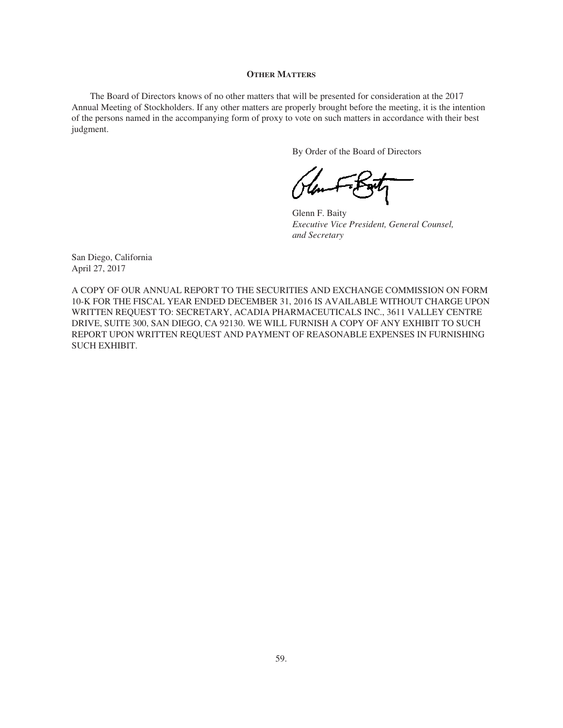### **OTHER MATTERS**

The Board of Directors knows of no other matters that will be presented for consideration at the 2017 Annual Meeting of Stockholders. If any other matters are properly brought before the meeting, it is the intention of the persons named in the accompanying form of proxy to vote on such matters in accordance with their best judgment.

By Order of the Board of Directors

Glenn F. Baity *Executive Vice President, General Counsel, and Secretary*

San Diego, California April 27, 2017

A COPY OF OUR ANNUAL REPORT TO THE SECURITIES AND EXCHANGE COMMISSION ON FORM 10-K FOR THE FISCAL YEAR ENDED DECEMBER 31, 2016 IS AVAILABLE WITHOUT CHARGE UPON WRITTEN REQUEST TO: SECRETARY, ACADIA PHARMACEUTICALS INC., 3611 VALLEY CENTRE DRIVE, SUITE 300, SAN DIEGO, CA 92130. WE WILL FURNISH A COPY OF ANY EXHIBIT TO SUCH REPORT UPON WRITTEN REQUEST AND PAYMENT OF REASONABLE EXPENSES IN FURNISHING SUCH EXHIBIT.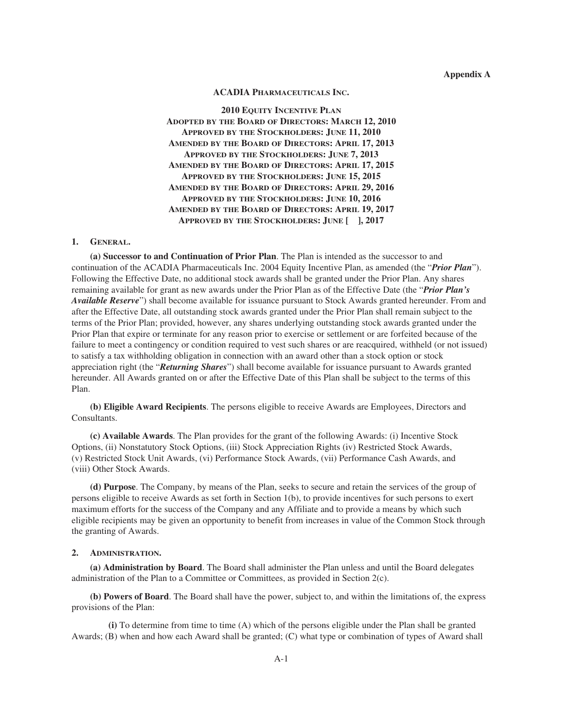## **Appendix A**

## **ACADIA PHARMACEUTICALS INC.**

**2010 EQUITY INCENTIVE PLAN ADOPTED BY THE BOARD OF DIRECTORS: MARCH 12, 2010 APPROVED BY THE STOCKHOLDERS: JUNE 11, 2010 AMENDED BY THE BOARD OF DIRECTORS: APRIL 17, 2013 APPROVED BY THE STOCKHOLDERS: JUNE 7, 2013 AMENDED BY THE BOARD OF DIRECTORS: APRIL 17, 2015 APPROVED BY THE STOCKHOLDERS: JUNE 15, 2015 AMENDED BY THE BOARD OF DIRECTORS: APRIL 29, 2016 APPROVED BY THE STOCKHOLDERS: JUNE 10, 2016 AMENDED BY THE BOARD OF DIRECTORS: APRIL 19, 2017 APPROVED BY THE STOCKHOLDERS: JUNE [ ], 2017**

# **1. GENERAL.**

**(a) Successor to and Continuation of Prior Plan**. The Plan is intended as the successor to and continuation of the ACADIA Pharmaceuticals Inc. 2004 Equity Incentive Plan, as amended (the "*Prior Plan*"). Following the Effective Date, no additional stock awards shall be granted under the Prior Plan. Any shares remaining available for grant as new awards under the Prior Plan as of the Effective Date (the "*Prior Plan's Available Reserve*") shall become available for issuance pursuant to Stock Awards granted hereunder. From and after the Effective Date, all outstanding stock awards granted under the Prior Plan shall remain subject to the terms of the Prior Plan; provided, however, any shares underlying outstanding stock awards granted under the Prior Plan that expire or terminate for any reason prior to exercise or settlement or are forfeited because of the failure to meet a contingency or condition required to vest such shares or are reacquired, withheld (or not issued) to satisfy a tax withholding obligation in connection with an award other than a stock option or stock appreciation right (the "*Returning Shares*") shall become available for issuance pursuant to Awards granted hereunder. All Awards granted on or after the Effective Date of this Plan shall be subject to the terms of this Plan.

**(b) Eligible Award Recipients**. The persons eligible to receive Awards are Employees, Directors and Consultants.

**(c) Available Awards**. The Plan provides for the grant of the following Awards: (i) Incentive Stock Options, (ii) Nonstatutory Stock Options, (iii) Stock Appreciation Rights (iv) Restricted Stock Awards, (v) Restricted Stock Unit Awards, (vi) Performance Stock Awards, (vii) Performance Cash Awards, and (viii) Other Stock Awards.

**(d) Purpose**. The Company, by means of the Plan, seeks to secure and retain the services of the group of persons eligible to receive Awards as set forth in Section 1(b), to provide incentives for such persons to exert maximum efforts for the success of the Company and any Affiliate and to provide a means by which such eligible recipients may be given an opportunity to benefit from increases in value of the Common Stock through the granting of Awards.

### **2. ADMINISTRATION.**

**(a) Administration by Board**. The Board shall administer the Plan unless and until the Board delegates administration of the Plan to a Committee or Committees, as provided in Section 2(c).

**(b) Powers of Board**. The Board shall have the power, subject to, and within the limitations of, the express provisions of the Plan:

**(i)** To determine from time to time (A) which of the persons eligible under the Plan shall be granted Awards; (B) when and how each Award shall be granted; (C) what type or combination of types of Award shall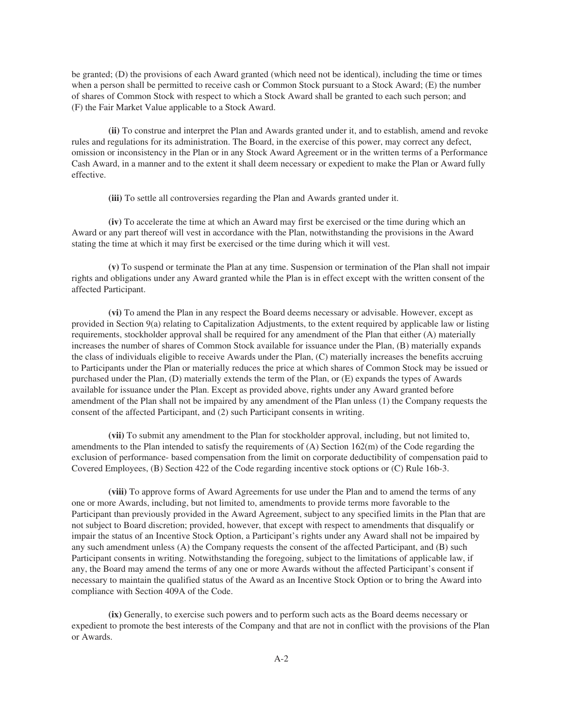be granted; (D) the provisions of each Award granted (which need not be identical), including the time or times when a person shall be permitted to receive cash or Common Stock pursuant to a Stock Award; (E) the number of shares of Common Stock with respect to which a Stock Award shall be granted to each such person; and (F) the Fair Market Value applicable to a Stock Award.

**(ii)** To construe and interpret the Plan and Awards granted under it, and to establish, amend and revoke rules and regulations for its administration. The Board, in the exercise of this power, may correct any defect, omission or inconsistency in the Plan or in any Stock Award Agreement or in the written terms of a Performance Cash Award, in a manner and to the extent it shall deem necessary or expedient to make the Plan or Award fully effective.

**(iii)** To settle all controversies regarding the Plan and Awards granted under it.

**(iv)** To accelerate the time at which an Award may first be exercised or the time during which an Award or any part thereof will vest in accordance with the Plan, notwithstanding the provisions in the Award stating the time at which it may first be exercised or the time during which it will vest.

**(v)** To suspend or terminate the Plan at any time. Suspension or termination of the Plan shall not impair rights and obligations under any Award granted while the Plan is in effect except with the written consent of the affected Participant.

**(vi)** To amend the Plan in any respect the Board deems necessary or advisable. However, except as provided in Section 9(a) relating to Capitalization Adjustments, to the extent required by applicable law or listing requirements, stockholder approval shall be required for any amendment of the Plan that either (A) materially increases the number of shares of Common Stock available for issuance under the Plan, (B) materially expands the class of individuals eligible to receive Awards under the Plan, (C) materially increases the benefits accruing to Participants under the Plan or materially reduces the price at which shares of Common Stock may be issued or purchased under the Plan, (D) materially extends the term of the Plan, or (E) expands the types of Awards available for issuance under the Plan. Except as provided above, rights under any Award granted before amendment of the Plan shall not be impaired by any amendment of the Plan unless (1) the Company requests the consent of the affected Participant, and (2) such Participant consents in writing.

**(vii)** To submit any amendment to the Plan for stockholder approval, including, but not limited to, amendments to the Plan intended to satisfy the requirements of  $(A)$  Section 162 $(m)$  of the Code regarding the exclusion of performance- based compensation from the limit on corporate deductibility of compensation paid to Covered Employees, (B) Section 422 of the Code regarding incentive stock options or (C) Rule 16b-3.

**(viii)** To approve forms of Award Agreements for use under the Plan and to amend the terms of any one or more Awards, including, but not limited to, amendments to provide terms more favorable to the Participant than previously provided in the Award Agreement, subject to any specified limits in the Plan that are not subject to Board discretion; provided, however, that except with respect to amendments that disqualify or impair the status of an Incentive Stock Option, a Participant's rights under any Award shall not be impaired by any such amendment unless (A) the Company requests the consent of the affected Participant, and (B) such Participant consents in writing. Notwithstanding the foregoing, subject to the limitations of applicable law, if any, the Board may amend the terms of any one or more Awards without the affected Participant's consent if necessary to maintain the qualified status of the Award as an Incentive Stock Option or to bring the Award into compliance with Section 409A of the Code.

**(ix)** Generally, to exercise such powers and to perform such acts as the Board deems necessary or expedient to promote the best interests of the Company and that are not in conflict with the provisions of the Plan or Awards.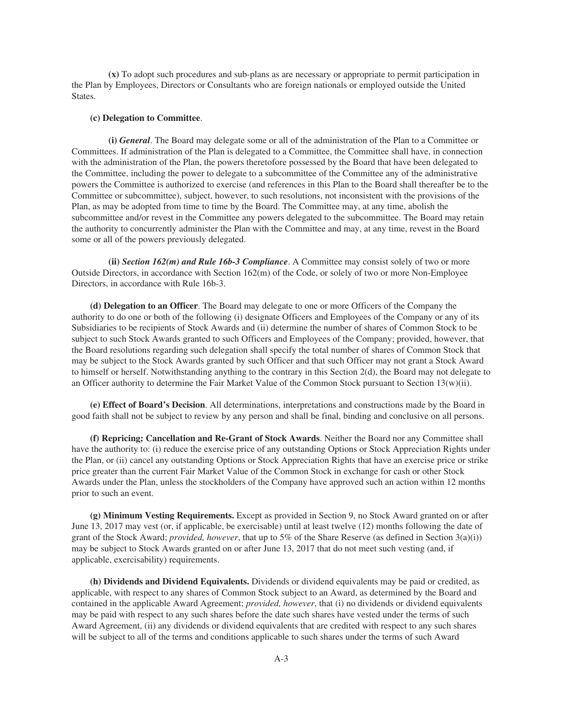**(x)** To adopt such procedures and sub-plans as are necessary or appropriate to permit participation in the Plan by Employees, Directors or Consultants who are foreign nationals or employed outside the United States.

## **(c) Delegation to Committee**.

**(i)** *General*. The Board may delegate some or all of the administration of the Plan to a Committee or Committees. If administration of the Plan is delegated to a Committee, the Committee shall have, in connection with the administration of the Plan, the powers theretofore possessed by the Board that have been delegated to the Committee, including the power to delegate to a subcommittee of the Committee any of the administrative powers the Committee is authorized to exercise (and references in this Plan to the Board shall thereafter be to the Committee or subcommittee), subject, however, to such resolutions, not inconsistent with the provisions of the Plan, as may be adopted from time to time by the Board. The Committee may, at any time, abolish the subcommittee and/or revest in the Committee any powers delegated to the subcommittee. The Board may retain the authority to concurrently administer the Plan with the Committee and may, at any time, revest in the Board some or all of the powers previously delegated.

**(ii)** *Section 162(m) and Rule 16b-3 Compliance*. A Committee may consist solely of two or more Outside Directors, in accordance with Section 162(m) of the Code, or solely of two or more Non-Employee Directors, in accordance with Rule 16b-3.

**(d) Delegation to an Officer**. The Board may delegate to one or more Officers of the Company the authority to do one or both of the following (i) designate Officers and Employees of the Company or any of its Subsidiaries to be recipients of Stock Awards and (ii) determine the number of shares of Common Stock to be subject to such Stock Awards granted to such Officers and Employees of the Company; provided, however, that the Board resolutions regarding such delegation shall specify the total number of shares of Common Stock that may be subject to the Stock Awards granted by such Officer and that such Officer may not grant a Stock Award to himself or herself. Notwithstanding anything to the contrary in this Section 2(d), the Board may not delegate to an Officer authority to determine the Fair Market Value of the Common Stock pursuant to Section 13(w)(ii).

**(e) Effect of Board's Decision**. All determinations, interpretations and constructions made by the Board in good faith shall not be subject to review by any person and shall be final, binding and conclusive on all persons.

**(f) Repricing; Cancellation and Re-Grant of Stock Awards**. Neither the Board nor any Committee shall have the authority to: (i) reduce the exercise price of any outstanding Options or Stock Appreciation Rights under the Plan, or (ii) cancel any outstanding Options or Stock Appreciation Rights that have an exercise price or strike price greater than the current Fair Market Value of the Common Stock in exchange for cash or other Stock Awards under the Plan, unless the stockholders of the Company have approved such an action within 12 months prior to such an event.

**(g) Minimum Vesting Requirements.** Except as provided in Section 9, no Stock Award granted on or after June 13, 2017 may vest (or, if applicable, be exercisable) until at least twelve (12) months following the date of grant of the Stock Award; *provided, however*, that up to 5% of the Share Reserve (as defined in Section 3(a)(i)) may be subject to Stock Awards granted on or after June 13, 2017 that do not meet such vesting (and, if applicable, exercisability) requirements.

**(h) Dividends and Dividend Equivalents.** Dividends or dividend equivalents may be paid or credited, as applicable, with respect to any shares of Common Stock subject to an Award, as determined by the Board and contained in the applicable Award Agreement; *provided, however*, that (i) no dividends or dividend equivalents may be paid with respect to any such shares before the date such shares have vested under the terms of such Award Agreement, (ii) any dividends or dividend equivalents that are credited with respect to any such shares will be subject to all of the terms and conditions applicable to such shares under the terms of such Award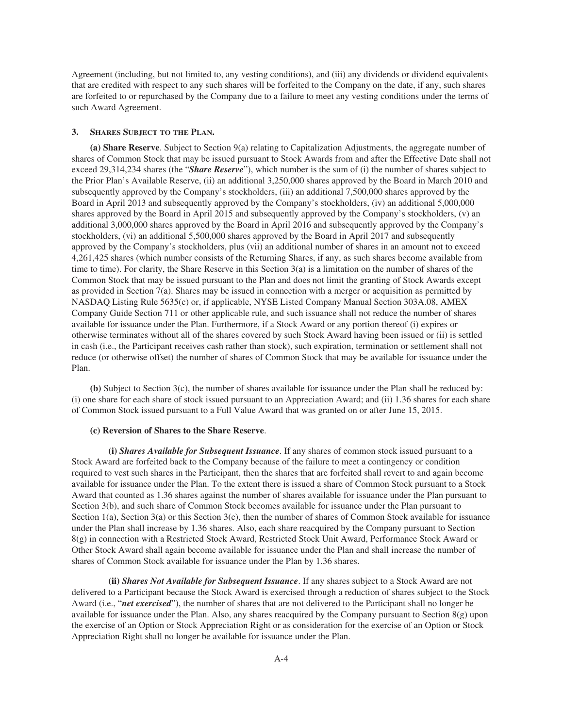Agreement (including, but not limited to, any vesting conditions), and (iii) any dividends or dividend equivalents that are credited with respect to any such shares will be forfeited to the Company on the date, if any, such shares are forfeited to or repurchased by the Company due to a failure to meet any vesting conditions under the terms of such Award Agreement.

## **3. SHARES SUBJECT TO THE PLAN.**

**(a) Share Reserve**. Subject to Section 9(a) relating to Capitalization Adjustments, the aggregate number of shares of Common Stock that may be issued pursuant to Stock Awards from and after the Effective Date shall not exceed 29,314,234 shares (the "*Share Reserve*"), which number is the sum of (i) the number of shares subject to the Prior Plan's Available Reserve, (ii) an additional 3,250,000 shares approved by the Board in March 2010 and subsequently approved by the Company's stockholders, (iii) an additional 7,500,000 shares approved by the Board in April 2013 and subsequently approved by the Company's stockholders, (iv) an additional 5,000,000 shares approved by the Board in April 2015 and subsequently approved by the Company's stockholders, (v) an additional 3,000,000 shares approved by the Board in April 2016 and subsequently approved by the Company's stockholders, (vi) an additional 5,500,000 shares approved by the Board in April 2017 and subsequently approved by the Company's stockholders, plus (vii) an additional number of shares in an amount not to exceed 4,261,425 shares (which number consists of the Returning Shares, if any, as such shares become available from time to time). For clarity, the Share Reserve in this Section  $3(a)$  is a limitation on the number of shares of the Common Stock that may be issued pursuant to the Plan and does not limit the granting of Stock Awards except as provided in Section 7(a). Shares may be issued in connection with a merger or acquisition as permitted by NASDAQ Listing Rule 5635(c) or, if applicable, NYSE Listed Company Manual Section 303A.08, AMEX Company Guide Section 711 or other applicable rule, and such issuance shall not reduce the number of shares available for issuance under the Plan. Furthermore, if a Stock Award or any portion thereof (i) expires or otherwise terminates without all of the shares covered by such Stock Award having been issued or (ii) is settled in cash (i.e., the Participant receives cash rather than stock), such expiration, termination or settlement shall not reduce (or otherwise offset) the number of shares of Common Stock that may be available for issuance under the Plan.

**(b)** Subject to Section 3(c), the number of shares available for issuance under the Plan shall be reduced by: (i) one share for each share of stock issued pursuant to an Appreciation Award; and (ii) 1.36 shares for each share of Common Stock issued pursuant to a Full Value Award that was granted on or after June 15, 2015.

## **(c) Reversion of Shares to the Share Reserve**.

**(i)** *Shares Available for Subsequent Issuance*. If any shares of common stock issued pursuant to a Stock Award are forfeited back to the Company because of the failure to meet a contingency or condition required to vest such shares in the Participant, then the shares that are forfeited shall revert to and again become available for issuance under the Plan. To the extent there is issued a share of Common Stock pursuant to a Stock Award that counted as 1.36 shares against the number of shares available for issuance under the Plan pursuant to Section 3(b), and such share of Common Stock becomes available for issuance under the Plan pursuant to Section 1(a), Section 3(a) or this Section 3(c), then the number of shares of Common Stock available for issuance under the Plan shall increase by 1.36 shares. Also, each share reacquired by the Company pursuant to Section 8(g) in connection with a Restricted Stock Award, Restricted Stock Unit Award, Performance Stock Award or Other Stock Award shall again become available for issuance under the Plan and shall increase the number of shares of Common Stock available for issuance under the Plan by 1.36 shares.

**(ii)** *Shares Not Available for Subsequent Issuance*. If any shares subject to a Stock Award are not delivered to a Participant because the Stock Award is exercised through a reduction of shares subject to the Stock Award (i.e., "*net exercised*"), the number of shares that are not delivered to the Participant shall no longer be available for issuance under the Plan. Also, any shares reacquired by the Company pursuant to Section 8(g) upon the exercise of an Option or Stock Appreciation Right or as consideration for the exercise of an Option or Stock Appreciation Right shall no longer be available for issuance under the Plan.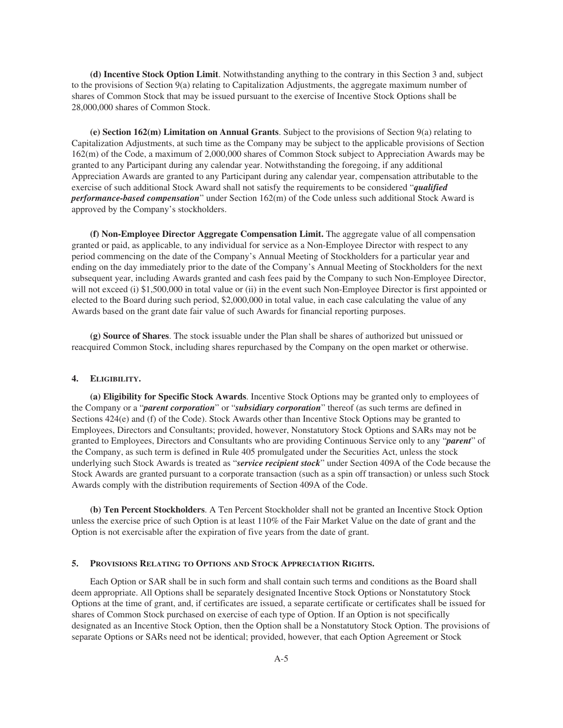**(d) Incentive Stock Option Limit**. Notwithstanding anything to the contrary in this Section 3 and, subject to the provisions of Section 9(a) relating to Capitalization Adjustments, the aggregate maximum number of shares of Common Stock that may be issued pursuant to the exercise of Incentive Stock Options shall be 28,000,000 shares of Common Stock.

**(e) Section 162(m) Limitation on Annual Grants**. Subject to the provisions of Section 9(a) relating to Capitalization Adjustments, at such time as the Company may be subject to the applicable provisions of Section 162(m) of the Code, a maximum of 2,000,000 shares of Common Stock subject to Appreciation Awards may be granted to any Participant during any calendar year. Notwithstanding the foregoing, if any additional Appreciation Awards are granted to any Participant during any calendar year, compensation attributable to the exercise of such additional Stock Award shall not satisfy the requirements to be considered "*qualified performance-based compensation*" under Section 162(m) of the Code unless such additional Stock Award is approved by the Company's stockholders.

**(f) Non-Employee Director Aggregate Compensation Limit.** The aggregate value of all compensation granted or paid, as applicable, to any individual for service as a Non-Employee Director with respect to any period commencing on the date of the Company's Annual Meeting of Stockholders for a particular year and ending on the day immediately prior to the date of the Company's Annual Meeting of Stockholders for the next subsequent year, including Awards granted and cash fees paid by the Company to such Non-Employee Director, will not exceed (i) \$1,500,000 in total value or (ii) in the event such Non-Employee Director is first appointed or elected to the Board during such period, \$2,000,000 in total value, in each case calculating the value of any Awards based on the grant date fair value of such Awards for financial reporting purposes.

**(g) Source of Shares**. The stock issuable under the Plan shall be shares of authorized but unissued or reacquired Common Stock, including shares repurchased by the Company on the open market or otherwise.

## **4. ELIGIBILITY.**

**(a) Eligibility for Specific Stock Awards**. Incentive Stock Options may be granted only to employees of the Company or a "*parent corporation*" or "*subsidiary corporation*" thereof (as such terms are defined in Sections 424(e) and (f) of the Code). Stock Awards other than Incentive Stock Options may be granted to Employees, Directors and Consultants; provided, however, Nonstatutory Stock Options and SARs may not be granted to Employees, Directors and Consultants who are providing Continuous Service only to any "*parent*" of the Company, as such term is defined in Rule 405 promulgated under the Securities Act, unless the stock underlying such Stock Awards is treated as "*service recipient stock*" under Section 409A of the Code because the Stock Awards are granted pursuant to a corporate transaction (such as a spin off transaction) or unless such Stock Awards comply with the distribution requirements of Section 409A of the Code.

**(b) Ten Percent Stockholders**. A Ten Percent Stockholder shall not be granted an Incentive Stock Option unless the exercise price of such Option is at least 110% of the Fair Market Value on the date of grant and the Option is not exercisable after the expiration of five years from the date of grant.

### **5. PROVISIONS RELATING TO OPTIONS AND STOCK APPRECIATION RIGHTS.**

Each Option or SAR shall be in such form and shall contain such terms and conditions as the Board shall deem appropriate. All Options shall be separately designated Incentive Stock Options or Nonstatutory Stock Options at the time of grant, and, if certificates are issued, a separate certificate or certificates shall be issued for shares of Common Stock purchased on exercise of each type of Option. If an Option is not specifically designated as an Incentive Stock Option, then the Option shall be a Nonstatutory Stock Option. The provisions of separate Options or SARs need not be identical; provided, however, that each Option Agreement or Stock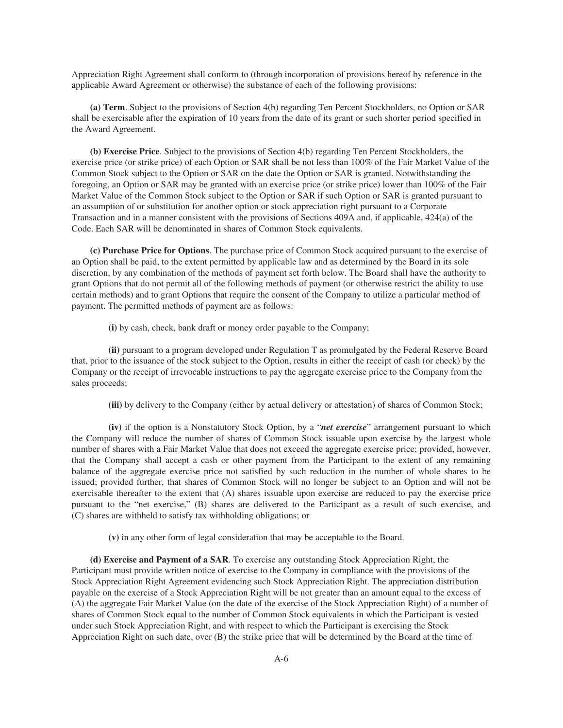Appreciation Right Agreement shall conform to (through incorporation of provisions hereof by reference in the applicable Award Agreement or otherwise) the substance of each of the following provisions:

**(a) Term**. Subject to the provisions of Section 4(b) regarding Ten Percent Stockholders, no Option or SAR shall be exercisable after the expiration of 10 years from the date of its grant or such shorter period specified in the Award Agreement.

**(b) Exercise Price**. Subject to the provisions of Section 4(b) regarding Ten Percent Stockholders, the exercise price (or strike price) of each Option or SAR shall be not less than 100% of the Fair Market Value of the Common Stock subject to the Option or SAR on the date the Option or SAR is granted. Notwithstanding the foregoing, an Option or SAR may be granted with an exercise price (or strike price) lower than 100% of the Fair Market Value of the Common Stock subject to the Option or SAR if such Option or SAR is granted pursuant to an assumption of or substitution for another option or stock appreciation right pursuant to a Corporate Transaction and in a manner consistent with the provisions of Sections 409A and, if applicable, 424(a) of the Code. Each SAR will be denominated in shares of Common Stock equivalents.

**(c) Purchase Price for Options**. The purchase price of Common Stock acquired pursuant to the exercise of an Option shall be paid, to the extent permitted by applicable law and as determined by the Board in its sole discretion, by any combination of the methods of payment set forth below. The Board shall have the authority to grant Options that do not permit all of the following methods of payment (or otherwise restrict the ability to use certain methods) and to grant Options that require the consent of the Company to utilize a particular method of payment. The permitted methods of payment are as follows:

**(i)** by cash, check, bank draft or money order payable to the Company;

**(ii)** pursuant to a program developed under Regulation T as promulgated by the Federal Reserve Board that, prior to the issuance of the stock subject to the Option, results in either the receipt of cash (or check) by the Company or the receipt of irrevocable instructions to pay the aggregate exercise price to the Company from the sales proceeds;

**(iii)** by delivery to the Company (either by actual delivery or attestation) of shares of Common Stock;

**(iv)** if the option is a Nonstatutory Stock Option, by a "*net exercise*" arrangement pursuant to which the Company will reduce the number of shares of Common Stock issuable upon exercise by the largest whole number of shares with a Fair Market Value that does not exceed the aggregate exercise price; provided, however, that the Company shall accept a cash or other payment from the Participant to the extent of any remaining balance of the aggregate exercise price not satisfied by such reduction in the number of whole shares to be issued; provided further, that shares of Common Stock will no longer be subject to an Option and will not be exercisable thereafter to the extent that (A) shares issuable upon exercise are reduced to pay the exercise price pursuant to the "net exercise," (B) shares are delivered to the Participant as a result of such exercise, and (C) shares are withheld to satisfy tax withholding obligations; or

**(v)** in any other form of legal consideration that may be acceptable to the Board.

**(d) Exercise and Payment of a SAR**. To exercise any outstanding Stock Appreciation Right, the Participant must provide written notice of exercise to the Company in compliance with the provisions of the Stock Appreciation Right Agreement evidencing such Stock Appreciation Right. The appreciation distribution payable on the exercise of a Stock Appreciation Right will be not greater than an amount equal to the excess of (A) the aggregate Fair Market Value (on the date of the exercise of the Stock Appreciation Right) of a number of shares of Common Stock equal to the number of Common Stock equivalents in which the Participant is vested under such Stock Appreciation Right, and with respect to which the Participant is exercising the Stock Appreciation Right on such date, over (B) the strike price that will be determined by the Board at the time of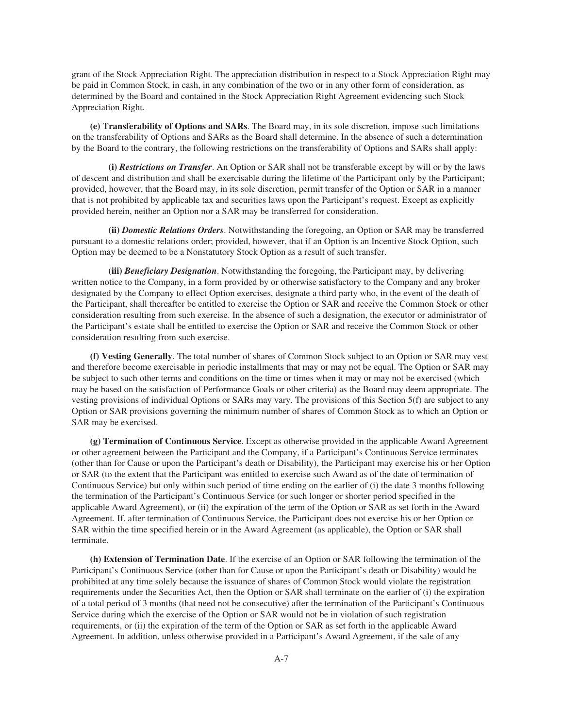grant of the Stock Appreciation Right. The appreciation distribution in respect to a Stock Appreciation Right may be paid in Common Stock, in cash, in any combination of the two or in any other form of consideration, as determined by the Board and contained in the Stock Appreciation Right Agreement evidencing such Stock Appreciation Right.

**(e) Transferability of Options and SARs**. The Board may, in its sole discretion, impose such limitations on the transferability of Options and SARs as the Board shall determine. In the absence of such a determination by the Board to the contrary, the following restrictions on the transferability of Options and SARs shall apply:

**(i)** *Restrictions on Transfer*. An Option or SAR shall not be transferable except by will or by the laws of descent and distribution and shall be exercisable during the lifetime of the Participant only by the Participant; provided, however, that the Board may, in its sole discretion, permit transfer of the Option or SAR in a manner that is not prohibited by applicable tax and securities laws upon the Participant's request. Except as explicitly provided herein, neither an Option nor a SAR may be transferred for consideration.

**(ii)** *Domestic Relations Orders*. Notwithstanding the foregoing, an Option or SAR may be transferred pursuant to a domestic relations order; provided, however, that if an Option is an Incentive Stock Option, such Option may be deemed to be a Nonstatutory Stock Option as a result of such transfer.

**(iii)** *Beneficiary Designation*. Notwithstanding the foregoing, the Participant may, by delivering written notice to the Company, in a form provided by or otherwise satisfactory to the Company and any broker designated by the Company to effect Option exercises, designate a third party who, in the event of the death of the Participant, shall thereafter be entitled to exercise the Option or SAR and receive the Common Stock or other consideration resulting from such exercise. In the absence of such a designation, the executor or administrator of the Participant's estate shall be entitled to exercise the Option or SAR and receive the Common Stock or other consideration resulting from such exercise.

**(f) Vesting Generally**. The total number of shares of Common Stock subject to an Option or SAR may vest and therefore become exercisable in periodic installments that may or may not be equal. The Option or SAR may be subject to such other terms and conditions on the time or times when it may or may not be exercised (which may be based on the satisfaction of Performance Goals or other criteria) as the Board may deem appropriate. The vesting provisions of individual Options or SARs may vary. The provisions of this Section 5(f) are subject to any Option or SAR provisions governing the minimum number of shares of Common Stock as to which an Option or SAR may be exercised.

**(g) Termination of Continuous Service**. Except as otherwise provided in the applicable Award Agreement or other agreement between the Participant and the Company, if a Participant's Continuous Service terminates (other than for Cause or upon the Participant's death or Disability), the Participant may exercise his or her Option or SAR (to the extent that the Participant was entitled to exercise such Award as of the date of termination of Continuous Service) but only within such period of time ending on the earlier of (i) the date 3 months following the termination of the Participant's Continuous Service (or such longer or shorter period specified in the applicable Award Agreement), or (ii) the expiration of the term of the Option or SAR as set forth in the Award Agreement. If, after termination of Continuous Service, the Participant does not exercise his or her Option or SAR within the time specified herein or in the Award Agreement (as applicable), the Option or SAR shall terminate.

**(h) Extension of Termination Date**. If the exercise of an Option or SAR following the termination of the Participant's Continuous Service (other than for Cause or upon the Participant's death or Disability) would be prohibited at any time solely because the issuance of shares of Common Stock would violate the registration requirements under the Securities Act, then the Option or SAR shall terminate on the earlier of (i) the expiration of a total period of 3 months (that need not be consecutive) after the termination of the Participant's Continuous Service during which the exercise of the Option or SAR would not be in violation of such registration requirements, or (ii) the expiration of the term of the Option or SAR as set forth in the applicable Award Agreement. In addition, unless otherwise provided in a Participant's Award Agreement, if the sale of any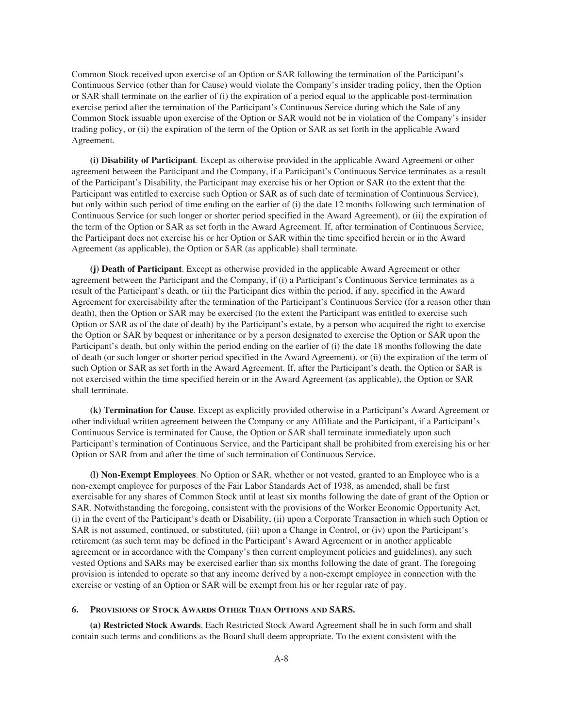Common Stock received upon exercise of an Option or SAR following the termination of the Participant's Continuous Service (other than for Cause) would violate the Company's insider trading policy, then the Option or SAR shall terminate on the earlier of (i) the expiration of a period equal to the applicable post-termination exercise period after the termination of the Participant's Continuous Service during which the Sale of any Common Stock issuable upon exercise of the Option or SAR would not be in violation of the Company's insider trading policy, or (ii) the expiration of the term of the Option or SAR as set forth in the applicable Award Agreement.

**(i) Disability of Participant**. Except as otherwise provided in the applicable Award Agreement or other agreement between the Participant and the Company, if a Participant's Continuous Service terminates as a result of the Participant's Disability, the Participant may exercise his or her Option or SAR (to the extent that the Participant was entitled to exercise such Option or SAR as of such date of termination of Continuous Service), but only within such period of time ending on the earlier of (i) the date 12 months following such termination of Continuous Service (or such longer or shorter period specified in the Award Agreement), or (ii) the expiration of the term of the Option or SAR as set forth in the Award Agreement. If, after termination of Continuous Service, the Participant does not exercise his or her Option or SAR within the time specified herein or in the Award Agreement (as applicable), the Option or SAR (as applicable) shall terminate.

**(j) Death of Participant**. Except as otherwise provided in the applicable Award Agreement or other agreement between the Participant and the Company, if (i) a Participant's Continuous Service terminates as a result of the Participant's death, or (ii) the Participant dies within the period, if any, specified in the Award Agreement for exercisability after the termination of the Participant's Continuous Service (for a reason other than death), then the Option or SAR may be exercised (to the extent the Participant was entitled to exercise such Option or SAR as of the date of death) by the Participant's estate, by a person who acquired the right to exercise the Option or SAR by bequest or inheritance or by a person designated to exercise the Option or SAR upon the Participant's death, but only within the period ending on the earlier of (i) the date 18 months following the date of death (or such longer or shorter period specified in the Award Agreement), or (ii) the expiration of the term of such Option or SAR as set forth in the Award Agreement. If, after the Participant's death, the Option or SAR is not exercised within the time specified herein or in the Award Agreement (as applicable), the Option or SAR shall terminate.

**(k) Termination for Cause**. Except as explicitly provided otherwise in a Participant's Award Agreement or other individual written agreement between the Company or any Affiliate and the Participant, if a Participant's Continuous Service is terminated for Cause, the Option or SAR shall terminate immediately upon such Participant's termination of Continuous Service, and the Participant shall be prohibited from exercising his or her Option or SAR from and after the time of such termination of Continuous Service.

**(l) Non-Exempt Employees**. No Option or SAR, whether or not vested, granted to an Employee who is a non-exempt employee for purposes of the Fair Labor Standards Act of 1938, as amended, shall be first exercisable for any shares of Common Stock until at least six months following the date of grant of the Option or SAR. Notwithstanding the foregoing, consistent with the provisions of the Worker Economic Opportunity Act, (i) in the event of the Participant's death or Disability, (ii) upon a Corporate Transaction in which such Option or SAR is not assumed, continued, or substituted, (iii) upon a Change in Control, or (iv) upon the Participant's retirement (as such term may be defined in the Participant's Award Agreement or in another applicable agreement or in accordance with the Company's then current employment policies and guidelines), any such vested Options and SARs may be exercised earlier than six months following the date of grant. The foregoing provision is intended to operate so that any income derived by a non-exempt employee in connection with the exercise or vesting of an Option or SAR will be exempt from his or her regular rate of pay.

### **6. PROVISIONS OF STOCK AWARDS OTHER THAN OPTIONS AND SARS.**

**(a) Restricted Stock Awards**. Each Restricted Stock Award Agreement shall be in such form and shall contain such terms and conditions as the Board shall deem appropriate. To the extent consistent with the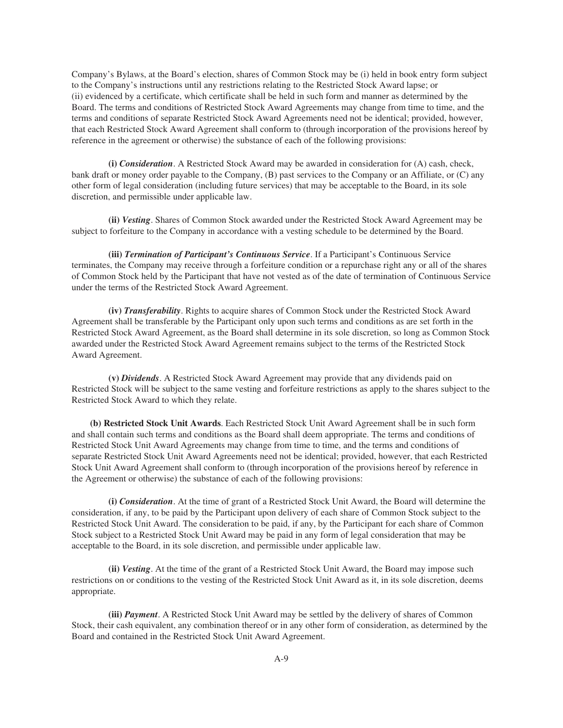Company's Bylaws, at the Board's election, shares of Common Stock may be (i) held in book entry form subject to the Company's instructions until any restrictions relating to the Restricted Stock Award lapse; or (ii) evidenced by a certificate, which certificate shall be held in such form and manner as determined by the Board. The terms and conditions of Restricted Stock Award Agreements may change from time to time, and the terms and conditions of separate Restricted Stock Award Agreements need not be identical; provided, however, that each Restricted Stock Award Agreement shall conform to (through incorporation of the provisions hereof by reference in the agreement or otherwise) the substance of each of the following provisions:

**(i)** *Consideration*. A Restricted Stock Award may be awarded in consideration for (A) cash, check, bank draft or money order payable to the Company, (B) past services to the Company or an Affiliate, or (C) any other form of legal consideration (including future services) that may be acceptable to the Board, in its sole discretion, and permissible under applicable law.

**(ii)** *Vesting*. Shares of Common Stock awarded under the Restricted Stock Award Agreement may be subject to forfeiture to the Company in accordance with a vesting schedule to be determined by the Board.

**(iii)** *Termination of Participant's Continuous Service*. If a Participant's Continuous Service terminates, the Company may receive through a forfeiture condition or a repurchase right any or all of the shares of Common Stock held by the Participant that have not vested as of the date of termination of Continuous Service under the terms of the Restricted Stock Award Agreement.

**(iv)** *Transferability*. Rights to acquire shares of Common Stock under the Restricted Stock Award Agreement shall be transferable by the Participant only upon such terms and conditions as are set forth in the Restricted Stock Award Agreement, as the Board shall determine in its sole discretion, so long as Common Stock awarded under the Restricted Stock Award Agreement remains subject to the terms of the Restricted Stock Award Agreement.

**(v)** *Dividends*. A Restricted Stock Award Agreement may provide that any dividends paid on Restricted Stock will be subject to the same vesting and forfeiture restrictions as apply to the shares subject to the Restricted Stock Award to which they relate.

**(b) Restricted Stock Unit Awards**. Each Restricted Stock Unit Award Agreement shall be in such form and shall contain such terms and conditions as the Board shall deem appropriate. The terms and conditions of Restricted Stock Unit Award Agreements may change from time to time, and the terms and conditions of separate Restricted Stock Unit Award Agreements need not be identical; provided, however, that each Restricted Stock Unit Award Agreement shall conform to (through incorporation of the provisions hereof by reference in the Agreement or otherwise) the substance of each of the following provisions:

**(i)** *Consideration*. At the time of grant of a Restricted Stock Unit Award, the Board will determine the consideration, if any, to be paid by the Participant upon delivery of each share of Common Stock subject to the Restricted Stock Unit Award. The consideration to be paid, if any, by the Participant for each share of Common Stock subject to a Restricted Stock Unit Award may be paid in any form of legal consideration that may be acceptable to the Board, in its sole discretion, and permissible under applicable law.

**(ii)** *Vesting*. At the time of the grant of a Restricted Stock Unit Award, the Board may impose such restrictions on or conditions to the vesting of the Restricted Stock Unit Award as it, in its sole discretion, deems appropriate.

**(iii)** *Payment*. A Restricted Stock Unit Award may be settled by the delivery of shares of Common Stock, their cash equivalent, any combination thereof or in any other form of consideration, as determined by the Board and contained in the Restricted Stock Unit Award Agreement.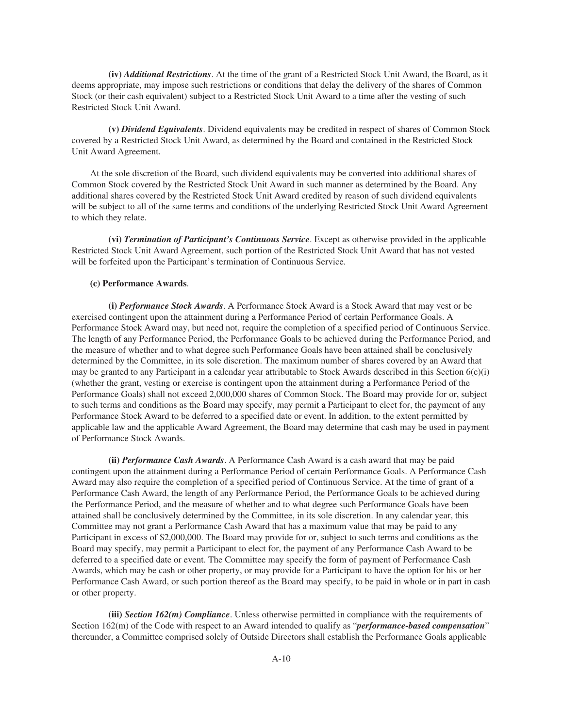**(iv)** *Additional Restrictions*. At the time of the grant of a Restricted Stock Unit Award, the Board, as it deems appropriate, may impose such restrictions or conditions that delay the delivery of the shares of Common Stock (or their cash equivalent) subject to a Restricted Stock Unit Award to a time after the vesting of such Restricted Stock Unit Award.

**(v)** *Dividend Equivalents*. Dividend equivalents may be credited in respect of shares of Common Stock covered by a Restricted Stock Unit Award, as determined by the Board and contained in the Restricted Stock Unit Award Agreement.

At the sole discretion of the Board, such dividend equivalents may be converted into additional shares of Common Stock covered by the Restricted Stock Unit Award in such manner as determined by the Board. Any additional shares covered by the Restricted Stock Unit Award credited by reason of such dividend equivalents will be subject to all of the same terms and conditions of the underlying Restricted Stock Unit Award Agreement to which they relate.

**(vi)** *Termination of Participant's Continuous Service*. Except as otherwise provided in the applicable Restricted Stock Unit Award Agreement, such portion of the Restricted Stock Unit Award that has not vested will be forfeited upon the Participant's termination of Continuous Service.

## **(c) Performance Awards**.

**(i)** *Performance Stock Awards*. A Performance Stock Award is a Stock Award that may vest or be exercised contingent upon the attainment during a Performance Period of certain Performance Goals. A Performance Stock Award may, but need not, require the completion of a specified period of Continuous Service. The length of any Performance Period, the Performance Goals to be achieved during the Performance Period, and the measure of whether and to what degree such Performance Goals have been attained shall be conclusively determined by the Committee, in its sole discretion. The maximum number of shares covered by an Award that may be granted to any Participant in a calendar year attributable to Stock Awards described in this Section  $6(c)(i)$ (whether the grant, vesting or exercise is contingent upon the attainment during a Performance Period of the Performance Goals) shall not exceed 2,000,000 shares of Common Stock. The Board may provide for or, subject to such terms and conditions as the Board may specify, may permit a Participant to elect for, the payment of any Performance Stock Award to be deferred to a specified date or event. In addition, to the extent permitted by applicable law and the applicable Award Agreement, the Board may determine that cash may be used in payment of Performance Stock Awards.

**(ii)** *Performance Cash Awards*. A Performance Cash Award is a cash award that may be paid contingent upon the attainment during a Performance Period of certain Performance Goals. A Performance Cash Award may also require the completion of a specified period of Continuous Service. At the time of grant of a Performance Cash Award, the length of any Performance Period, the Performance Goals to be achieved during the Performance Period, and the measure of whether and to what degree such Performance Goals have been attained shall be conclusively determined by the Committee, in its sole discretion. In any calendar year, this Committee may not grant a Performance Cash Award that has a maximum value that may be paid to any Participant in excess of \$2,000,000. The Board may provide for or, subject to such terms and conditions as the Board may specify, may permit a Participant to elect for, the payment of any Performance Cash Award to be deferred to a specified date or event. The Committee may specify the form of payment of Performance Cash Awards, which may be cash or other property, or may provide for a Participant to have the option for his or her Performance Cash Award, or such portion thereof as the Board may specify, to be paid in whole or in part in cash or other property.

**(iii)** *Section 162(m) Compliance*. Unless otherwise permitted in compliance with the requirements of Section 162(m) of the Code with respect to an Award intended to qualify as "*performance-based compensation*" thereunder, a Committee comprised solely of Outside Directors shall establish the Performance Goals applicable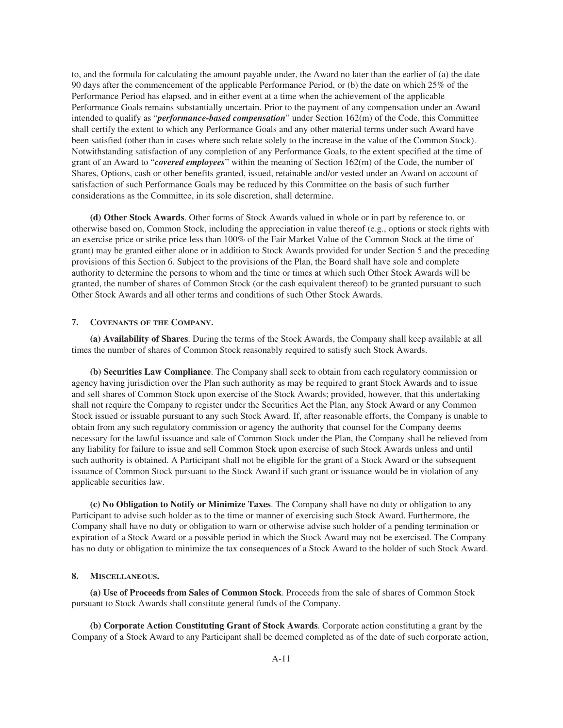to, and the formula for calculating the amount payable under, the Award no later than the earlier of (a) the date 90 days after the commencement of the applicable Performance Period, or (b) the date on which 25% of the Performance Period has elapsed, and in either event at a time when the achievement of the applicable Performance Goals remains substantially uncertain. Prior to the payment of any compensation under an Award intended to qualify as "*performance-based compensation*" under Section 162(m) of the Code, this Committee shall certify the extent to which any Performance Goals and any other material terms under such Award have been satisfied (other than in cases where such relate solely to the increase in the value of the Common Stock). Notwithstanding satisfaction of any completion of any Performance Goals, to the extent specified at the time of grant of an Award to "*covered employees*" within the meaning of Section 162(m) of the Code, the number of Shares, Options, cash or other benefits granted, issued, retainable and/or vested under an Award on account of satisfaction of such Performance Goals may be reduced by this Committee on the basis of such further considerations as the Committee, in its sole discretion, shall determine.

**(d) Other Stock Awards**. Other forms of Stock Awards valued in whole or in part by reference to, or otherwise based on, Common Stock, including the appreciation in value thereof (e.g., options or stock rights with an exercise price or strike price less than 100% of the Fair Market Value of the Common Stock at the time of grant) may be granted either alone or in addition to Stock Awards provided for under Section 5 and the preceding provisions of this Section 6. Subject to the provisions of the Plan, the Board shall have sole and complete authority to determine the persons to whom and the time or times at which such Other Stock Awards will be granted, the number of shares of Common Stock (or the cash equivalent thereof) to be granted pursuant to such Other Stock Awards and all other terms and conditions of such Other Stock Awards.

## **7. COVENANTS OF THE COMPANY.**

**(a) Availability of Shares**. During the terms of the Stock Awards, the Company shall keep available at all times the number of shares of Common Stock reasonably required to satisfy such Stock Awards.

**(b) Securities Law Compliance**. The Company shall seek to obtain from each regulatory commission or agency having jurisdiction over the Plan such authority as may be required to grant Stock Awards and to issue and sell shares of Common Stock upon exercise of the Stock Awards; provided, however, that this undertaking shall not require the Company to register under the Securities Act the Plan, any Stock Award or any Common Stock issued or issuable pursuant to any such Stock Award. If, after reasonable efforts, the Company is unable to obtain from any such regulatory commission or agency the authority that counsel for the Company deems necessary for the lawful issuance and sale of Common Stock under the Plan, the Company shall be relieved from any liability for failure to issue and sell Common Stock upon exercise of such Stock Awards unless and until such authority is obtained. A Participant shall not be eligible for the grant of a Stock Award or the subsequent issuance of Common Stock pursuant to the Stock Award if such grant or issuance would be in violation of any applicable securities law.

**(c) No Obligation to Notify or Minimize Taxes**. The Company shall have no duty or obligation to any Participant to advise such holder as to the time or manner of exercising such Stock Award. Furthermore, the Company shall have no duty or obligation to warn or otherwise advise such holder of a pending termination or expiration of a Stock Award or a possible period in which the Stock Award may not be exercised. The Company has no duty or obligation to minimize the tax consequences of a Stock Award to the holder of such Stock Award.

## **8. MISCELLANEOUS.**

**(a) Use of Proceeds from Sales of Common Stock**. Proceeds from the sale of shares of Common Stock pursuant to Stock Awards shall constitute general funds of the Company.

**(b) Corporate Action Constituting Grant of Stock Awards**. Corporate action constituting a grant by the Company of a Stock Award to any Participant shall be deemed completed as of the date of such corporate action,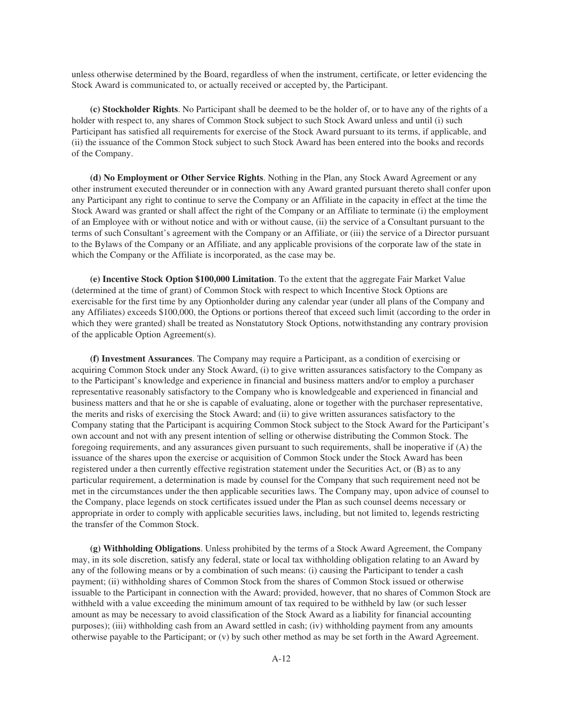unless otherwise determined by the Board, regardless of when the instrument, certificate, or letter evidencing the Stock Award is communicated to, or actually received or accepted by, the Participant.

**(c) Stockholder Rights**. No Participant shall be deemed to be the holder of, or to have any of the rights of a holder with respect to, any shares of Common Stock subject to such Stock Award unless and until (i) such Participant has satisfied all requirements for exercise of the Stock Award pursuant to its terms, if applicable, and (ii) the issuance of the Common Stock subject to such Stock Award has been entered into the books and records of the Company.

**(d) No Employment or Other Service Rights**. Nothing in the Plan, any Stock Award Agreement or any other instrument executed thereunder or in connection with any Award granted pursuant thereto shall confer upon any Participant any right to continue to serve the Company or an Affiliate in the capacity in effect at the time the Stock Award was granted or shall affect the right of the Company or an Affiliate to terminate (i) the employment of an Employee with or without notice and with or without cause, (ii) the service of a Consultant pursuant to the terms of such Consultant's agreement with the Company or an Affiliate, or (iii) the service of a Director pursuant to the Bylaws of the Company or an Affiliate, and any applicable provisions of the corporate law of the state in which the Company or the Affiliate is incorporated, as the case may be.

**(e) Incentive Stock Option \$100,000 Limitation**. To the extent that the aggregate Fair Market Value (determined at the time of grant) of Common Stock with respect to which Incentive Stock Options are exercisable for the first time by any Optionholder during any calendar year (under all plans of the Company and any Affiliates) exceeds \$100,000, the Options or portions thereof that exceed such limit (according to the order in which they were granted) shall be treated as Nonstatutory Stock Options, notwithstanding any contrary provision of the applicable Option Agreement(s).

**(f) Investment Assurances**. The Company may require a Participant, as a condition of exercising or acquiring Common Stock under any Stock Award, (i) to give written assurances satisfactory to the Company as to the Participant's knowledge and experience in financial and business matters and/or to employ a purchaser representative reasonably satisfactory to the Company who is knowledgeable and experienced in financial and business matters and that he or she is capable of evaluating, alone or together with the purchaser representative, the merits and risks of exercising the Stock Award; and (ii) to give written assurances satisfactory to the Company stating that the Participant is acquiring Common Stock subject to the Stock Award for the Participant's own account and not with any present intention of selling or otherwise distributing the Common Stock. The foregoing requirements, and any assurances given pursuant to such requirements, shall be inoperative if (A) the issuance of the shares upon the exercise or acquisition of Common Stock under the Stock Award has been registered under a then currently effective registration statement under the Securities Act, or (B) as to any particular requirement, a determination is made by counsel for the Company that such requirement need not be met in the circumstances under the then applicable securities laws. The Company may, upon advice of counsel to the Company, place legends on stock certificates issued under the Plan as such counsel deems necessary or appropriate in order to comply with applicable securities laws, including, but not limited to, legends restricting the transfer of the Common Stock.

**(g) Withholding Obligations**. Unless prohibited by the terms of a Stock Award Agreement, the Company may, in its sole discretion, satisfy any federal, state or local tax withholding obligation relating to an Award by any of the following means or by a combination of such means: (i) causing the Participant to tender a cash payment; (ii) withholding shares of Common Stock from the shares of Common Stock issued or otherwise issuable to the Participant in connection with the Award; provided, however, that no shares of Common Stock are withheld with a value exceeding the minimum amount of tax required to be withheld by law (or such lesser amount as may be necessary to avoid classification of the Stock Award as a liability for financial accounting purposes); (iii) withholding cash from an Award settled in cash; (iv) withholding payment from any amounts otherwise payable to the Participant; or (v) by such other method as may be set forth in the Award Agreement.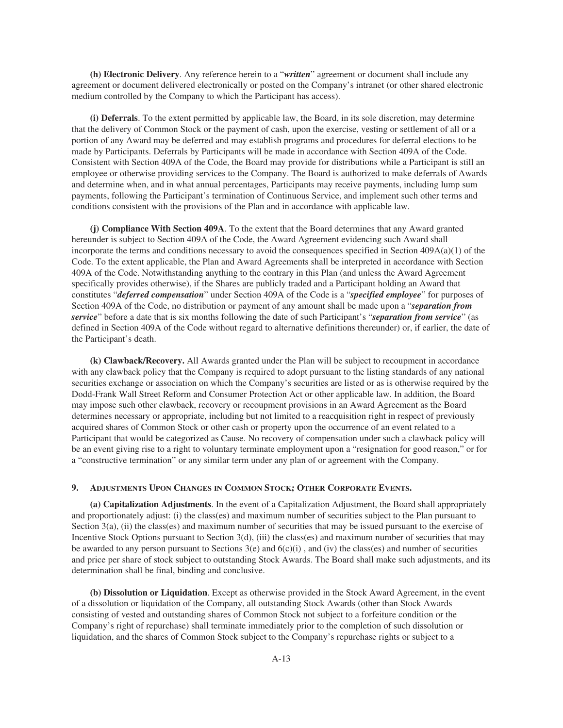**(h) Electronic Delivery**. Any reference herein to a "*written*" agreement or document shall include any agreement or document delivered electronically or posted on the Company's intranet (or other shared electronic medium controlled by the Company to which the Participant has access).

**(i) Deferrals**. To the extent permitted by applicable law, the Board, in its sole discretion, may determine that the delivery of Common Stock or the payment of cash, upon the exercise, vesting or settlement of all or a portion of any Award may be deferred and may establish programs and procedures for deferral elections to be made by Participants. Deferrals by Participants will be made in accordance with Section 409A of the Code. Consistent with Section 409A of the Code, the Board may provide for distributions while a Participant is still an employee or otherwise providing services to the Company. The Board is authorized to make deferrals of Awards and determine when, and in what annual percentages, Participants may receive payments, including lump sum payments, following the Participant's termination of Continuous Service, and implement such other terms and conditions consistent with the provisions of the Plan and in accordance with applicable law.

**(j) Compliance With Section 409A**. To the extent that the Board determines that any Award granted hereunder is subject to Section 409A of the Code, the Award Agreement evidencing such Award shall incorporate the terms and conditions necessary to avoid the consequences specified in Section  $409A(a)(1)$  of the Code. To the extent applicable, the Plan and Award Agreements shall be interpreted in accordance with Section 409A of the Code. Notwithstanding anything to the contrary in this Plan (and unless the Award Agreement specifically provides otherwise), if the Shares are publicly traded and a Participant holding an Award that constitutes "*deferred compensation*" under Section 409A of the Code is a "*specified employee*" for purposes of Section 409A of the Code, no distribution or payment of any amount shall be made upon a "*separation from service*" before a date that is six months following the date of such Participant's "*separation from service*" (as defined in Section 409A of the Code without regard to alternative definitions thereunder) or, if earlier, the date of the Participant's death.

**(k) Clawback/Recovery.** All Awards granted under the Plan will be subject to recoupment in accordance with any clawback policy that the Company is required to adopt pursuant to the listing standards of any national securities exchange or association on which the Company's securities are listed or as is otherwise required by the Dodd-Frank Wall Street Reform and Consumer Protection Act or other applicable law. In addition, the Board may impose such other clawback, recovery or recoupment provisions in an Award Agreement as the Board determines necessary or appropriate, including but not limited to a reacquisition right in respect of previously acquired shares of Common Stock or other cash or property upon the occurrence of an event related to a Participant that would be categorized as Cause. No recovery of compensation under such a clawback policy will be an event giving rise to a right to voluntary terminate employment upon a "resignation for good reason," or for a "constructive termination" or any similar term under any plan of or agreement with the Company.

## **9. ADJUSTMENTS UPON CHANGES IN COMMON STOCK; OTHER CORPORATE EVENTS.**

**(a) Capitalization Adjustments**. In the event of a Capitalization Adjustment, the Board shall appropriately and proportionately adjust: (i) the class(es) and maximum number of securities subject to the Plan pursuant to Section 3(a), (ii) the class(es) and maximum number of securities that may be issued pursuant to the exercise of Incentive Stock Options pursuant to Section 3(d), (iii) the class(es) and maximum number of securities that may be awarded to any person pursuant to Sections  $3(e)$  and  $6(c)(i)$ , and (iv) the class(es) and number of securities and price per share of stock subject to outstanding Stock Awards. The Board shall make such adjustments, and its determination shall be final, binding and conclusive.

**(b) Dissolution or Liquidation**. Except as otherwise provided in the Stock Award Agreement, in the event of a dissolution or liquidation of the Company, all outstanding Stock Awards (other than Stock Awards consisting of vested and outstanding shares of Common Stock not subject to a forfeiture condition or the Company's right of repurchase) shall terminate immediately prior to the completion of such dissolution or liquidation, and the shares of Common Stock subject to the Company's repurchase rights or subject to a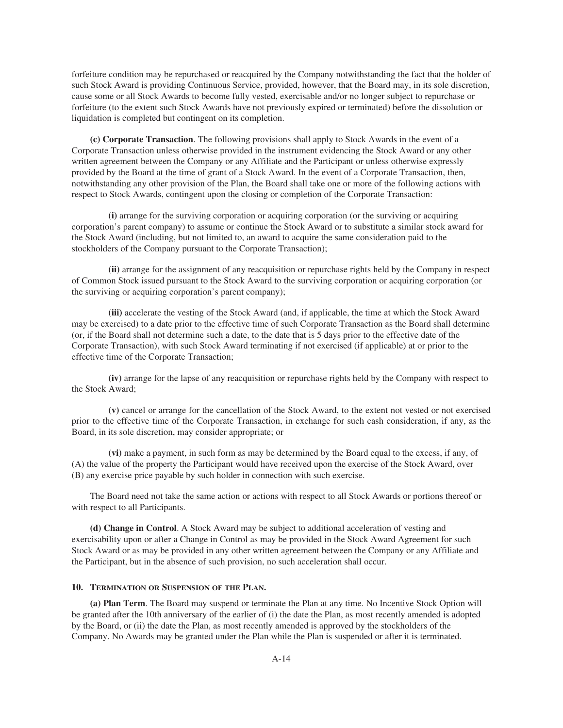forfeiture condition may be repurchased or reacquired by the Company notwithstanding the fact that the holder of such Stock Award is providing Continuous Service, provided, however, that the Board may, in its sole discretion, cause some or all Stock Awards to become fully vested, exercisable and/or no longer subject to repurchase or forfeiture (to the extent such Stock Awards have not previously expired or terminated) before the dissolution or liquidation is completed but contingent on its completion.

**(c) Corporate Transaction**. The following provisions shall apply to Stock Awards in the event of a Corporate Transaction unless otherwise provided in the instrument evidencing the Stock Award or any other written agreement between the Company or any Affiliate and the Participant or unless otherwise expressly provided by the Board at the time of grant of a Stock Award. In the event of a Corporate Transaction, then, notwithstanding any other provision of the Plan, the Board shall take one or more of the following actions with respect to Stock Awards, contingent upon the closing or completion of the Corporate Transaction:

**(i)** arrange for the surviving corporation or acquiring corporation (or the surviving or acquiring corporation's parent company) to assume or continue the Stock Award or to substitute a similar stock award for the Stock Award (including, but not limited to, an award to acquire the same consideration paid to the stockholders of the Company pursuant to the Corporate Transaction);

**(ii)** arrange for the assignment of any reacquisition or repurchase rights held by the Company in respect of Common Stock issued pursuant to the Stock Award to the surviving corporation or acquiring corporation (or the surviving or acquiring corporation's parent company);

**(iii)** accelerate the vesting of the Stock Award (and, if applicable, the time at which the Stock Award may be exercised) to a date prior to the effective time of such Corporate Transaction as the Board shall determine (or, if the Board shall not determine such a date, to the date that is 5 days prior to the effective date of the Corporate Transaction), with such Stock Award terminating if not exercised (if applicable) at or prior to the effective time of the Corporate Transaction;

**(iv)** arrange for the lapse of any reacquisition or repurchase rights held by the Company with respect to the Stock Award;

**(v)** cancel or arrange for the cancellation of the Stock Award, to the extent not vested or not exercised prior to the effective time of the Corporate Transaction, in exchange for such cash consideration, if any, as the Board, in its sole discretion, may consider appropriate; or

**(vi)** make a payment, in such form as may be determined by the Board equal to the excess, if any, of (A) the value of the property the Participant would have received upon the exercise of the Stock Award, over (B) any exercise price payable by such holder in connection with such exercise.

The Board need not take the same action or actions with respect to all Stock Awards or portions thereof or with respect to all Participants.

**(d) Change in Control**. A Stock Award may be subject to additional acceleration of vesting and exercisability upon or after a Change in Control as may be provided in the Stock Award Agreement for such Stock Award or as may be provided in any other written agreement between the Company or any Affiliate and the Participant, but in the absence of such provision, no such acceleration shall occur.

## **10. TERMINATION OR SUSPENSION OF THE PLAN.**

**(a) Plan Term**. The Board may suspend or terminate the Plan at any time. No Incentive Stock Option will be granted after the 10th anniversary of the earlier of (i) the date the Plan, as most recently amended is adopted by the Board, or (ii) the date the Plan, as most recently amended is approved by the stockholders of the Company. No Awards may be granted under the Plan while the Plan is suspended or after it is terminated.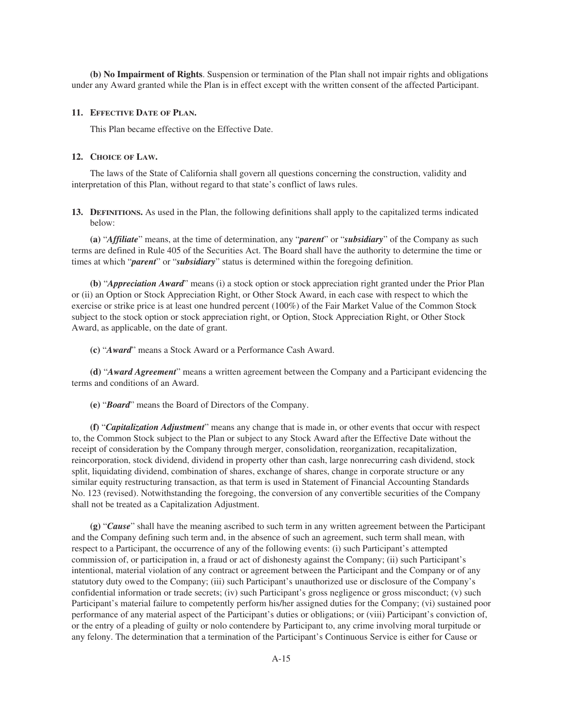**(b) No Impairment of Rights**. Suspension or termination of the Plan shall not impair rights and obligations under any Award granted while the Plan is in effect except with the written consent of the affected Participant.

## **11. EFFECTIVE DATE OF PLAN.**

This Plan became effective on the Effective Date.

## **12. CHOICE OF LAW.**

The laws of the State of California shall govern all questions concerning the construction, validity and interpretation of this Plan, without regard to that state's conflict of laws rules.

**13. DEFINITIONS.** As used in the Plan, the following definitions shall apply to the capitalized terms indicated below:

**(a)** "*Affiliate*" means, at the time of determination, any "*parent*" or "*subsidiary*" of the Company as such terms are defined in Rule 405 of the Securities Act. The Board shall have the authority to determine the time or times at which "*parent*" or "*subsidiary*" status is determined within the foregoing definition.

**(b)** "*Appreciation Award*" means (i) a stock option or stock appreciation right granted under the Prior Plan or (ii) an Option or Stock Appreciation Right, or Other Stock Award, in each case with respect to which the exercise or strike price is at least one hundred percent (100%) of the Fair Market Value of the Common Stock subject to the stock option or stock appreciation right, or Option, Stock Appreciation Right, or Other Stock Award, as applicable, on the date of grant.

**(c)** "*Award*" means a Stock Award or a Performance Cash Award.

**(d)** "*Award Agreement*" means a written agreement between the Company and a Participant evidencing the terms and conditions of an Award.

**(e)** "*Board*" means the Board of Directors of the Company.

**(f)** "*Capitalization Adjustment*" means any change that is made in, or other events that occur with respect to, the Common Stock subject to the Plan or subject to any Stock Award after the Effective Date without the receipt of consideration by the Company through merger, consolidation, reorganization, recapitalization, reincorporation, stock dividend, dividend in property other than cash, large nonrecurring cash dividend, stock split, liquidating dividend, combination of shares, exchange of shares, change in corporate structure or any similar equity restructuring transaction, as that term is used in Statement of Financial Accounting Standards No. 123 (revised). Notwithstanding the foregoing, the conversion of any convertible securities of the Company shall not be treated as a Capitalization Adjustment.

**(g)** "*Cause*" shall have the meaning ascribed to such term in any written agreement between the Participant and the Company defining such term and, in the absence of such an agreement, such term shall mean, with respect to a Participant, the occurrence of any of the following events: (i) such Participant's attempted commission of, or participation in, a fraud or act of dishonesty against the Company; (ii) such Participant's intentional, material violation of any contract or agreement between the Participant and the Company or of any statutory duty owed to the Company; (iii) such Participant's unauthorized use or disclosure of the Company's confidential information or trade secrets; (iv) such Participant's gross negligence or gross misconduct; (v) such Participant's material failure to competently perform his/her assigned duties for the Company; (vi) sustained poor performance of any material aspect of the Participant's duties or obligations; or (viii) Participant's conviction of, or the entry of a pleading of guilty or nolo contendere by Participant to, any crime involving moral turpitude or any felony. The determination that a termination of the Participant's Continuous Service is either for Cause or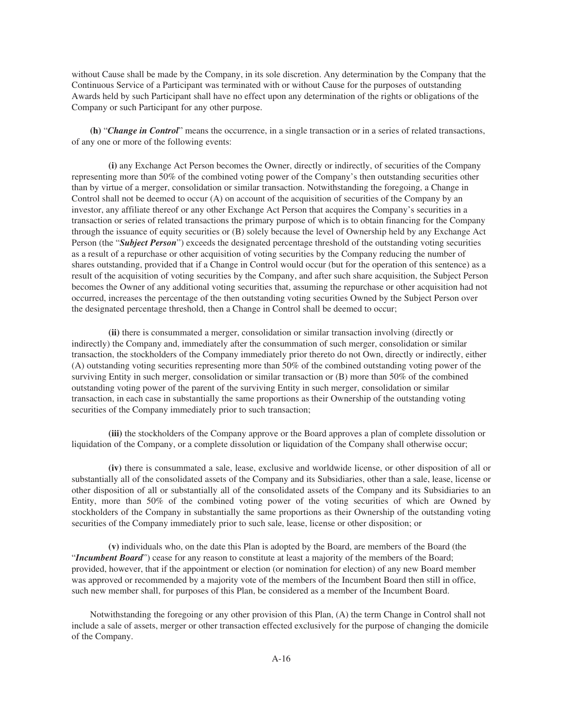without Cause shall be made by the Company, in its sole discretion. Any determination by the Company that the Continuous Service of a Participant was terminated with or without Cause for the purposes of outstanding Awards held by such Participant shall have no effect upon any determination of the rights or obligations of the Company or such Participant for any other purpose.

**(h)** "*Change in Control*" means the occurrence, in a single transaction or in a series of related transactions, of any one or more of the following events:

**(i)** any Exchange Act Person becomes the Owner, directly or indirectly, of securities of the Company representing more than 50% of the combined voting power of the Company's then outstanding securities other than by virtue of a merger, consolidation or similar transaction. Notwithstanding the foregoing, a Change in Control shall not be deemed to occur (A) on account of the acquisition of securities of the Company by an investor, any affiliate thereof or any other Exchange Act Person that acquires the Company's securities in a transaction or series of related transactions the primary purpose of which is to obtain financing for the Company through the issuance of equity securities or (B) solely because the level of Ownership held by any Exchange Act Person (the "*Subject Person*") exceeds the designated percentage threshold of the outstanding voting securities as a result of a repurchase or other acquisition of voting securities by the Company reducing the number of shares outstanding, provided that if a Change in Control would occur (but for the operation of this sentence) as a result of the acquisition of voting securities by the Company, and after such share acquisition, the Subject Person becomes the Owner of any additional voting securities that, assuming the repurchase or other acquisition had not occurred, increases the percentage of the then outstanding voting securities Owned by the Subject Person over the designated percentage threshold, then a Change in Control shall be deemed to occur;

**(ii)** there is consummated a merger, consolidation or similar transaction involving (directly or indirectly) the Company and, immediately after the consummation of such merger, consolidation or similar transaction, the stockholders of the Company immediately prior thereto do not Own, directly or indirectly, either (A) outstanding voting securities representing more than 50% of the combined outstanding voting power of the surviving Entity in such merger, consolidation or similar transaction or (B) more than 50% of the combined outstanding voting power of the parent of the surviving Entity in such merger, consolidation or similar transaction, in each case in substantially the same proportions as their Ownership of the outstanding voting securities of the Company immediately prior to such transaction;

**(iii)** the stockholders of the Company approve or the Board approves a plan of complete dissolution or liquidation of the Company, or a complete dissolution or liquidation of the Company shall otherwise occur;

**(iv)** there is consummated a sale, lease, exclusive and worldwide license, or other disposition of all or substantially all of the consolidated assets of the Company and its Subsidiaries, other than a sale, lease, license or other disposition of all or substantially all of the consolidated assets of the Company and its Subsidiaries to an Entity, more than 50% of the combined voting power of the voting securities of which are Owned by stockholders of the Company in substantially the same proportions as their Ownership of the outstanding voting securities of the Company immediately prior to such sale, lease, license or other disposition; or

**(v)** individuals who, on the date this Plan is adopted by the Board, are members of the Board (the "*Incumbent Board*") cease for any reason to constitute at least a majority of the members of the Board; provided, however, that if the appointment or election (or nomination for election) of any new Board member was approved or recommended by a majority vote of the members of the Incumbent Board then still in office, such new member shall, for purposes of this Plan, be considered as a member of the Incumbent Board.

Notwithstanding the foregoing or any other provision of this Plan, (A) the term Change in Control shall not include a sale of assets, merger or other transaction effected exclusively for the purpose of changing the domicile of the Company.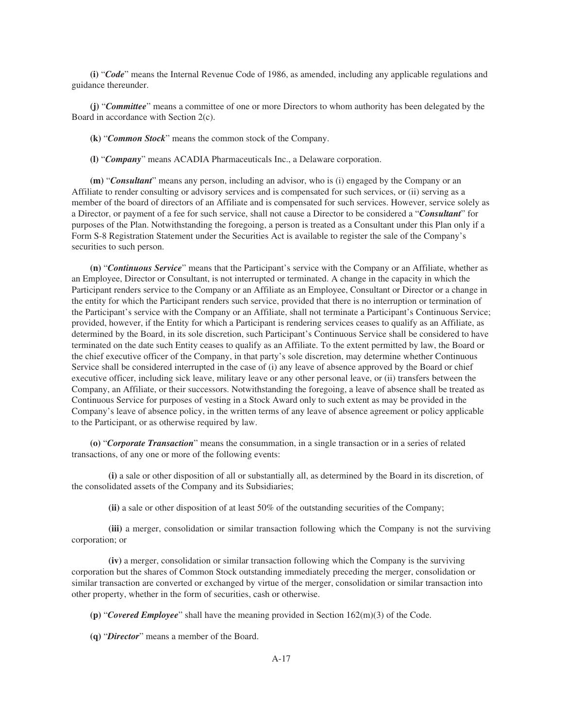**(i)** "*Code*" means the Internal Revenue Code of 1986, as amended, including any applicable regulations and guidance thereunder.

**(j)** "*Committee*" means a committee of one or more Directors to whom authority has been delegated by the Board in accordance with Section 2(c).

**(k)** "*Common Stock*" means the common stock of the Company.

**(l)** "*Company*" means ACADIA Pharmaceuticals Inc., a Delaware corporation.

**(m)** "*Consultant*" means any person, including an advisor, who is (i) engaged by the Company or an Affiliate to render consulting or advisory services and is compensated for such services, or (ii) serving as a member of the board of directors of an Affiliate and is compensated for such services. However, service solely as a Director, or payment of a fee for such service, shall not cause a Director to be considered a "*Consultant*" for purposes of the Plan. Notwithstanding the foregoing, a person is treated as a Consultant under this Plan only if a Form S-8 Registration Statement under the Securities Act is available to register the sale of the Company's securities to such person.

**(n)** "*Continuous Service*" means that the Participant's service with the Company or an Affiliate, whether as an Employee, Director or Consultant, is not interrupted or terminated. A change in the capacity in which the Participant renders service to the Company or an Affiliate as an Employee, Consultant or Director or a change in the entity for which the Participant renders such service, provided that there is no interruption or termination of the Participant's service with the Company or an Affiliate, shall not terminate a Participant's Continuous Service; provided, however, if the Entity for which a Participant is rendering services ceases to qualify as an Affiliate, as determined by the Board, in its sole discretion, such Participant's Continuous Service shall be considered to have terminated on the date such Entity ceases to qualify as an Affiliate. To the extent permitted by law, the Board or the chief executive officer of the Company, in that party's sole discretion, may determine whether Continuous Service shall be considered interrupted in the case of (i) any leave of absence approved by the Board or chief executive officer, including sick leave, military leave or any other personal leave, or (ii) transfers between the Company, an Affiliate, or their successors. Notwithstanding the foregoing, a leave of absence shall be treated as Continuous Service for purposes of vesting in a Stock Award only to such extent as may be provided in the Company's leave of absence policy, in the written terms of any leave of absence agreement or policy applicable to the Participant, or as otherwise required by law.

**(o)** "*Corporate Transaction*" means the consummation, in a single transaction or in a series of related transactions, of any one or more of the following events:

**(i)** a sale or other disposition of all or substantially all, as determined by the Board in its discretion, of the consolidated assets of the Company and its Subsidiaries;

**(ii)** a sale or other disposition of at least 50% of the outstanding securities of the Company;

**(iii)** a merger, consolidation or similar transaction following which the Company is not the surviving corporation; or

**(iv)** a merger, consolidation or similar transaction following which the Company is the surviving corporation but the shares of Common Stock outstanding immediately preceding the merger, consolidation or similar transaction are converted or exchanged by virtue of the merger, consolidation or similar transaction into other property, whether in the form of securities, cash or otherwise.

**(p)** "*Covered Employee*" shall have the meaning provided in Section 162(m)(3) of the Code.

**(q)** "*Director*" means a member of the Board.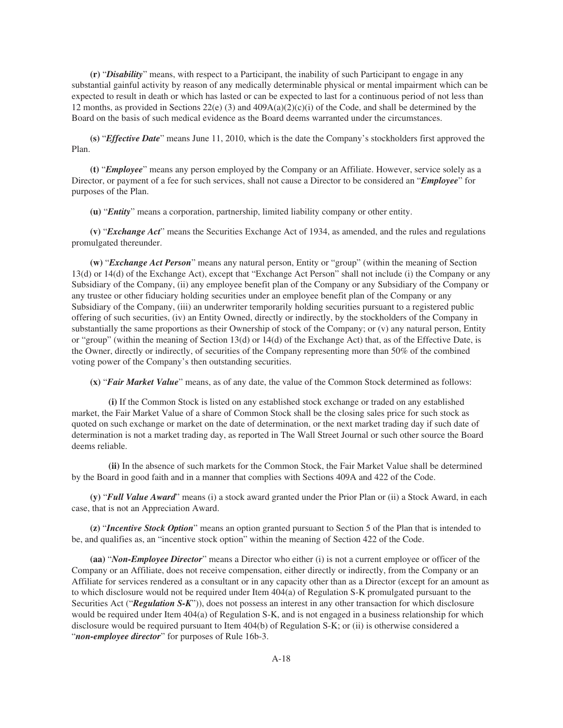**(r)** "*Disability*" means, with respect to a Participant, the inability of such Participant to engage in any substantial gainful activity by reason of any medically determinable physical or mental impairment which can be expected to result in death or which has lasted or can be expected to last for a continuous period of not less than 12 months, as provided in Sections 22(e) (3) and  $409A(a)(2)(c)(i)$  of the Code, and shall be determined by the Board on the basis of such medical evidence as the Board deems warranted under the circumstances.

**(s)** "*Effective Date*" means June 11, 2010, which is the date the Company's stockholders first approved the Plan.

**(t)** "*Employee*" means any person employed by the Company or an Affiliate. However, service solely as a Director, or payment of a fee for such services, shall not cause a Director to be considered an "*Employee*" for purposes of the Plan.

**(u)** "*Entity*" means a corporation, partnership, limited liability company or other entity.

**(v)** "*Exchange Act*" means the Securities Exchange Act of 1934, as amended, and the rules and regulations promulgated thereunder.

**(w)** "*Exchange Act Person*" means any natural person, Entity or "group" (within the meaning of Section 13(d) or 14(d) of the Exchange Act), except that "Exchange Act Person" shall not include (i) the Company or any Subsidiary of the Company, (ii) any employee benefit plan of the Company or any Subsidiary of the Company or any trustee or other fiduciary holding securities under an employee benefit plan of the Company or any Subsidiary of the Company, (iii) an underwriter temporarily holding securities pursuant to a registered public offering of such securities, (iv) an Entity Owned, directly or indirectly, by the stockholders of the Company in substantially the same proportions as their Ownership of stock of the Company; or (v) any natural person, Entity or "group" (within the meaning of Section 13(d) or 14(d) of the Exchange Act) that, as of the Effective Date, is the Owner, directly or indirectly, of securities of the Company representing more than 50% of the combined voting power of the Company's then outstanding securities.

**(x)** "*Fair Market Value*" means, as of any date, the value of the Common Stock determined as follows:

**(i)** If the Common Stock is listed on any established stock exchange or traded on any established market, the Fair Market Value of a share of Common Stock shall be the closing sales price for such stock as quoted on such exchange or market on the date of determination, or the next market trading day if such date of determination is not a market trading day, as reported in The Wall Street Journal or such other source the Board deems reliable.

**(ii)** In the absence of such markets for the Common Stock, the Fair Market Value shall be determined by the Board in good faith and in a manner that complies with Sections 409A and 422 of the Code.

**(y)** "*Full Value Award*" means (i) a stock award granted under the Prior Plan or (ii) a Stock Award, in each case, that is not an Appreciation Award.

**(z)** "*Incentive Stock Option*" means an option granted pursuant to Section 5 of the Plan that is intended to be, and qualifies as, an "incentive stock option" within the meaning of Section 422 of the Code.

**(aa)** "*Non-Employee Director*" means a Director who either (i) is not a current employee or officer of the Company or an Affiliate, does not receive compensation, either directly or indirectly, from the Company or an Affiliate for services rendered as a consultant or in any capacity other than as a Director (except for an amount as to which disclosure would not be required under Item 404(a) of Regulation S-K promulgated pursuant to the Securities Act ("*Regulation S-K*")), does not possess an interest in any other transaction for which disclosure would be required under Item 404(a) of Regulation S-K, and is not engaged in a business relationship for which disclosure would be required pursuant to Item 404(b) of Regulation S-K; or (ii) is otherwise considered a "*non-employee director*" for purposes of Rule 16b-3.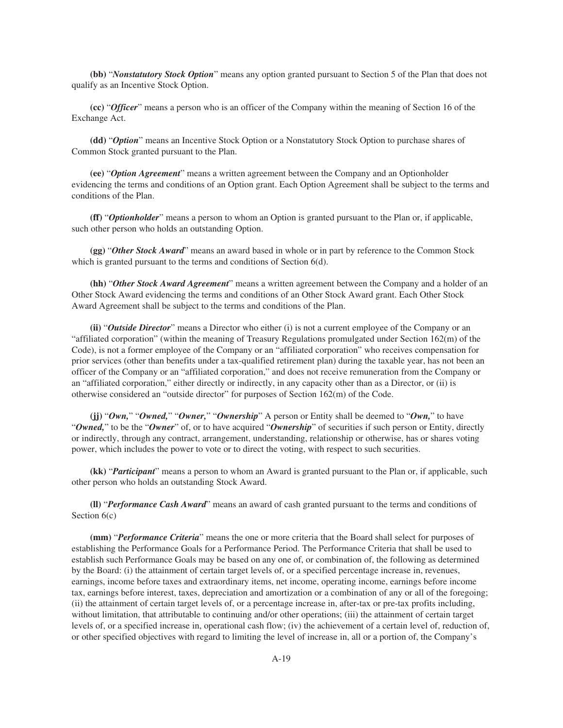**(bb)** "*Nonstatutory Stock Option*" means any option granted pursuant to Section 5 of the Plan that does not qualify as an Incentive Stock Option.

**(cc)** "*Officer*" means a person who is an officer of the Company within the meaning of Section 16 of the Exchange Act.

**(dd)** "*Option*" means an Incentive Stock Option or a Nonstatutory Stock Option to purchase shares of Common Stock granted pursuant to the Plan.

**(ee)** "*Option Agreement*" means a written agreement between the Company and an Optionholder evidencing the terms and conditions of an Option grant. Each Option Agreement shall be subject to the terms and conditions of the Plan.

**(ff)** "*Optionholder*" means a person to whom an Option is granted pursuant to the Plan or, if applicable, such other person who holds an outstanding Option.

**(gg)** "*Other Stock Award*" means an award based in whole or in part by reference to the Common Stock which is granted pursuant to the terms and conditions of Section 6(d).

**(hh)** "*Other Stock Award Agreement*" means a written agreement between the Company and a holder of an Other Stock Award evidencing the terms and conditions of an Other Stock Award grant. Each Other Stock Award Agreement shall be subject to the terms and conditions of the Plan.

**(ii)** "*Outside Director*" means a Director who either (i) is not a current employee of the Company or an "affiliated corporation" (within the meaning of Treasury Regulations promulgated under Section 162(m) of the Code), is not a former employee of the Company or an "affiliated corporation" who receives compensation for prior services (other than benefits under a tax-qualified retirement plan) during the taxable year, has not been an officer of the Company or an "affiliated corporation," and does not receive remuneration from the Company or an "affiliated corporation," either directly or indirectly, in any capacity other than as a Director, or (ii) is otherwise considered an "outside director" for purposes of Section 162(m) of the Code.

**(jj)** "*Own,*" "*Owned,*" "*Owner,*" "*Ownership*" A person or Entity shall be deemed to "*Own,*" to have "*Owned,*" to be the "*Owner*" of, or to have acquired "*Ownership*" of securities if such person or Entity, directly or indirectly, through any contract, arrangement, understanding, relationship or otherwise, has or shares voting power, which includes the power to vote or to direct the voting, with respect to such securities.

**(kk)** "*Participant*" means a person to whom an Award is granted pursuant to the Plan or, if applicable, such other person who holds an outstanding Stock Award.

**(ll)** "*Performance Cash Award*" means an award of cash granted pursuant to the terms and conditions of Section  $6(c)$ 

**(mm)** "*Performance Criteria*" means the one or more criteria that the Board shall select for purposes of establishing the Performance Goals for a Performance Period. The Performance Criteria that shall be used to establish such Performance Goals may be based on any one of, or combination of, the following as determined by the Board: (i) the attainment of certain target levels of, or a specified percentage increase in, revenues, earnings, income before taxes and extraordinary items, net income, operating income, earnings before income tax, earnings before interest, taxes, depreciation and amortization or a combination of any or all of the foregoing; (ii) the attainment of certain target levels of, or a percentage increase in, after-tax or pre-tax profits including, without limitation, that attributable to continuing and/or other operations; (iii) the attainment of certain target levels of, or a specified increase in, operational cash flow; (iv) the achievement of a certain level of, reduction of, or other specified objectives with regard to limiting the level of increase in, all or a portion of, the Company's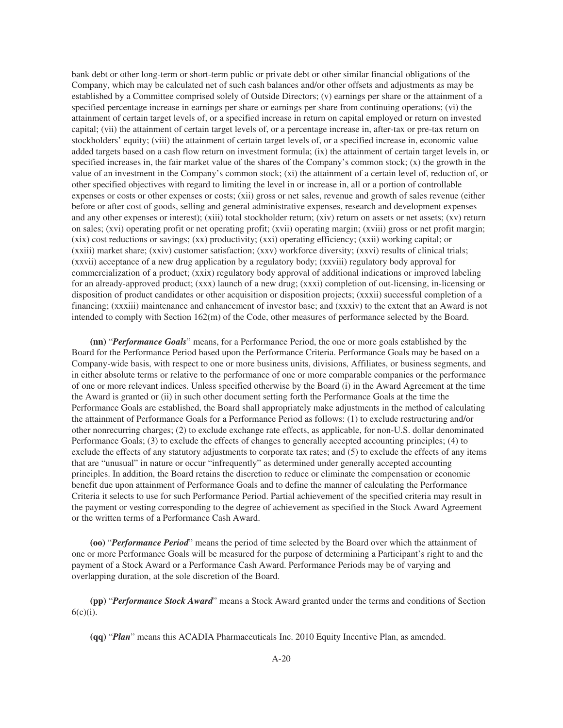bank debt or other long-term or short-term public or private debt or other similar financial obligations of the Company, which may be calculated net of such cash balances and/or other offsets and adjustments as may be established by a Committee comprised solely of Outside Directors; (v) earnings per share or the attainment of a specified percentage increase in earnings per share or earnings per share from continuing operations; (vi) the attainment of certain target levels of, or a specified increase in return on capital employed or return on invested capital; (vii) the attainment of certain target levels of, or a percentage increase in, after-tax or pre-tax return on stockholders' equity; (viii) the attainment of certain target levels of, or a specified increase in, economic value added targets based on a cash flow return on investment formula; (ix) the attainment of certain target levels in, or specified increases in, the fair market value of the shares of the Company's common stock;  $(x)$  the growth in the value of an investment in the Company's common stock; (xi) the attainment of a certain level of, reduction of, or other specified objectives with regard to limiting the level in or increase in, all or a portion of controllable expenses or costs or other expenses or costs; (xii) gross or net sales, revenue and growth of sales revenue (either before or after cost of goods, selling and general administrative expenses, research and development expenses and any other expenses or interest); (xiii) total stockholder return; (xiv) return on assets or net assets; (xv) return on sales; (xvi) operating profit or net operating profit; (xvii) operating margin; (xviii) gross or net profit margin; (xix) cost reductions or savings; (xx) productivity; (xxi) operating efficiency; (xxii) working capital; or (xxiii) market share; (xxiv) customer satisfaction; (xxv) workforce diversity; (xxvi) results of clinical trials; (xxvii) acceptance of a new drug application by a regulatory body; (xxviii) regulatory body approval for commercialization of a product; (xxix) regulatory body approval of additional indications or improved labeling for an already-approved product; (xxx) launch of a new drug; (xxxi) completion of out-licensing, in-licensing or disposition of product candidates or other acquisition or disposition projects; (xxxii) successful completion of a financing; (xxxiii) maintenance and enhancement of investor base; and (xxxiv) to the extent that an Award is not intended to comply with Section 162(m) of the Code, other measures of performance selected by the Board.

**(nn)** "*Performance Goals*" means, for a Performance Period, the one or more goals established by the Board for the Performance Period based upon the Performance Criteria. Performance Goals may be based on a Company-wide basis, with respect to one or more business units, divisions, Affiliates, or business segments, and in either absolute terms or relative to the performance of one or more comparable companies or the performance of one or more relevant indices. Unless specified otherwise by the Board (i) in the Award Agreement at the time the Award is granted or (ii) in such other document setting forth the Performance Goals at the time the Performance Goals are established, the Board shall appropriately make adjustments in the method of calculating the attainment of Performance Goals for a Performance Period as follows: (1) to exclude restructuring and/or other nonrecurring charges; (2) to exclude exchange rate effects, as applicable, for non-U.S. dollar denominated Performance Goals; (3) to exclude the effects of changes to generally accepted accounting principles; (4) to exclude the effects of any statutory adjustments to corporate tax rates; and (5) to exclude the effects of any items that are "unusual" in nature or occur "infrequently" as determined under generally accepted accounting principles. In addition, the Board retains the discretion to reduce or eliminate the compensation or economic benefit due upon attainment of Performance Goals and to define the manner of calculating the Performance Criteria it selects to use for such Performance Period. Partial achievement of the specified criteria may result in the payment or vesting corresponding to the degree of achievement as specified in the Stock Award Agreement or the written terms of a Performance Cash Award.

**(oo)** "*Performance Period*" means the period of time selected by the Board over which the attainment of one or more Performance Goals will be measured for the purpose of determining a Participant's right to and the payment of a Stock Award or a Performance Cash Award. Performance Periods may be of varying and overlapping duration, at the sole discretion of the Board.

**(pp)** "*Performance Stock Award*" means a Stock Award granted under the terms and conditions of Section  $6(c)(i)$ .

**(qq)** "*Plan*" means this ACADIA Pharmaceuticals Inc. 2010 Equity Incentive Plan, as amended.